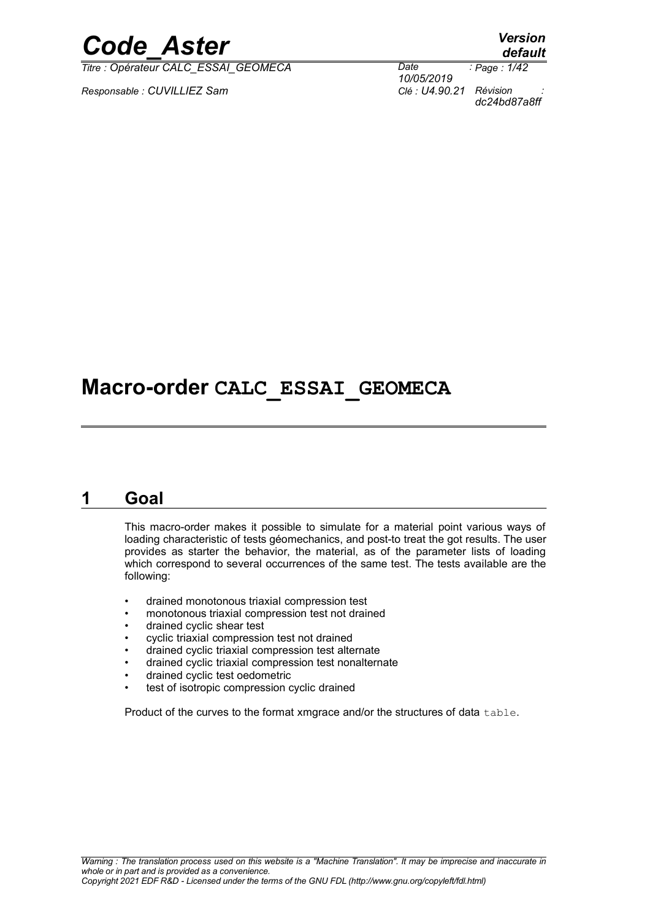*Titre : Opérateur CALC\_ESSAI\_GEOMECA Date :*

*Responsable : CUVILLIEZ Sam Clé : U4.90.21 Révision :*

*default*

*10/05/2019 Page : 1/42 dc24bd87a8ff*

# **Macro-order CALC\_ESSAI\_GEOMECA**

### **1 Goal**

This macro-order makes it possible to simulate for a material point various ways of loading characteristic of tests géomechanics, and post-to treat the got results. The user provides as starter the behavior, the material, as of the parameter lists of loading which correspond to several occurrences of the same test. The tests available are the following:

- drained monotonous triaxial compression test
- monotonous triaxial compression test not drained
- drained cyclic shear test
- cyclic triaxial compression test not drained
- drained cyclic triaxial compression test alternate
- drained cyclic triaxial compression test nonalternate
- drained cyclic test oedometric
- test of isotropic compression cyclic drained

Product of the curves to the format xmgrace and/or the structures of data table.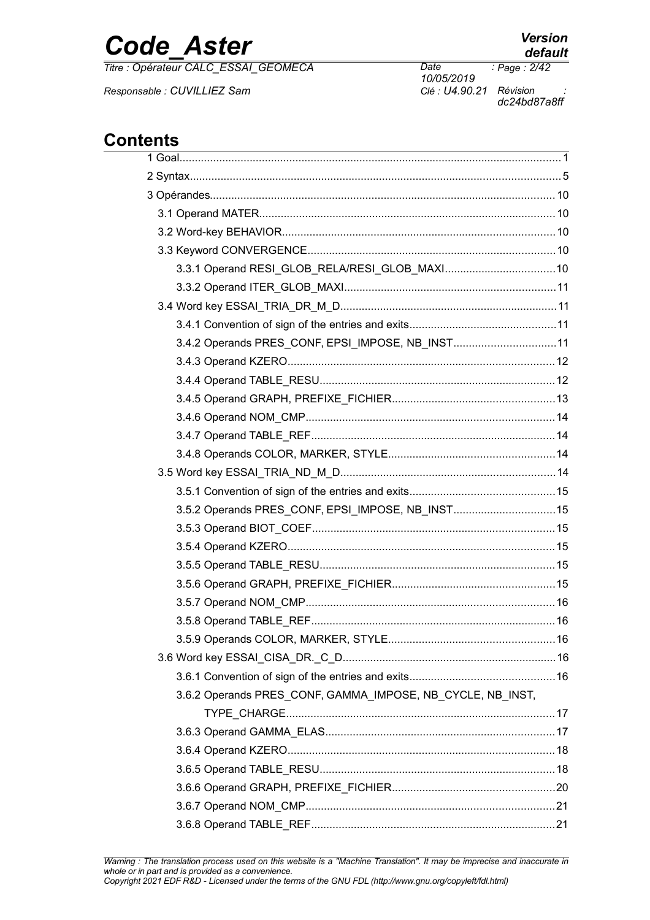*Titre : Opérateur CALC\_ESSAI\_GEOMECA Date :*

*Responsable : CUVILLIEZ Sam Clé : U4.90.21 Révision :*

### **Contents**

| GIILƏ                                                      |  |
|------------------------------------------------------------|--|
|                                                            |  |
|                                                            |  |
|                                                            |  |
|                                                            |  |
|                                                            |  |
|                                                            |  |
|                                                            |  |
|                                                            |  |
|                                                            |  |
|                                                            |  |
| 3.4.2 Operands PRES_CONF, EPSI_IMPOSE, NB_INST11           |  |
|                                                            |  |
|                                                            |  |
|                                                            |  |
|                                                            |  |
|                                                            |  |
|                                                            |  |
|                                                            |  |
|                                                            |  |
| 3.5.2 Operands PRES_CONF, EPSI_IMPOSE, NB_INST15           |  |
|                                                            |  |
|                                                            |  |
|                                                            |  |
|                                                            |  |
|                                                            |  |
|                                                            |  |
|                                                            |  |
|                                                            |  |
|                                                            |  |
| 3.6.2 Operands PRES_CONF, GAMMA_IMPOSE, NB_CYCLE, NB_INST, |  |
|                                                            |  |
|                                                            |  |
|                                                            |  |
|                                                            |  |
|                                                            |  |
|                                                            |  |
|                                                            |  |

# *default*

*10/05/2019 Page : 2/42 dc24bd87a8ff*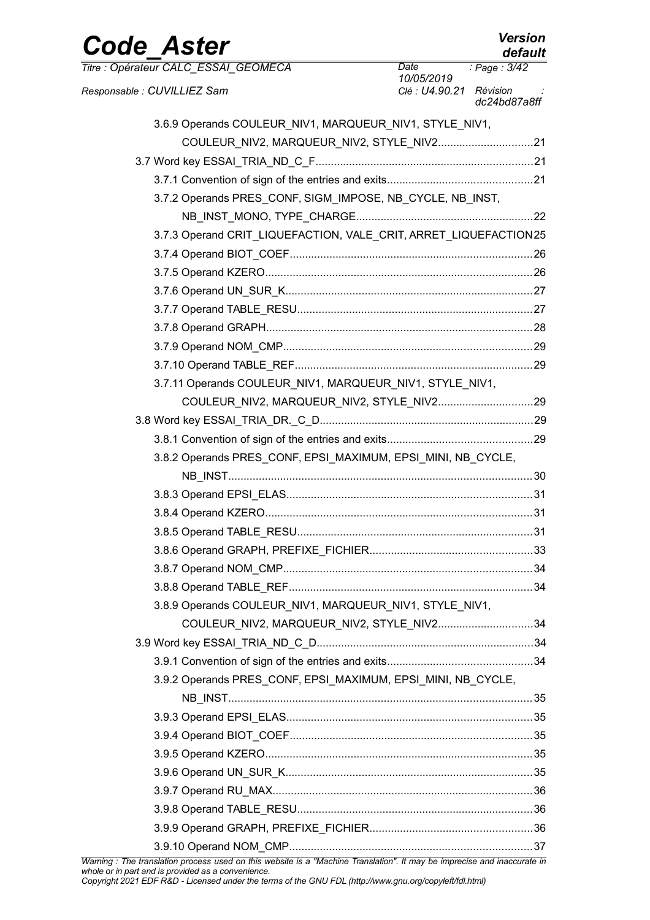| <b>Code Aster</b>                                                                                                        |                                       | <b>Version</b><br>default |
|--------------------------------------------------------------------------------------------------------------------------|---------------------------------------|---------------------------|
| Titre : Opérateur CALC ESSAI GEOMECA                                                                                     | Date                                  | Page: 3/42                |
| Responsable : CUVILLIEZ Sam                                                                                              | 10/05/2019<br>Clé : U4.90.21 Révision | dc24bd87a8ff              |
| 3.6.9 Operands COULEUR_NIV1, MARQUEUR_NIV1, STYLE_NIV1,                                                                  |                                       |                           |
|                                                                                                                          |                                       |                           |
|                                                                                                                          |                                       |                           |
|                                                                                                                          |                                       |                           |
| 3.7.2 Operands PRES_CONF, SIGM_IMPOSE, NB_CYCLE, NB_INST,                                                                |                                       |                           |
|                                                                                                                          |                                       |                           |
| 3.7.3 Operand CRIT_LIQUEFACTION, VALE_CRIT, ARRET_LIQUEFACTION25                                                         |                                       |                           |
|                                                                                                                          |                                       |                           |
|                                                                                                                          |                                       |                           |
|                                                                                                                          |                                       |                           |
|                                                                                                                          |                                       |                           |
|                                                                                                                          |                                       |                           |
|                                                                                                                          |                                       |                           |
|                                                                                                                          |                                       |                           |
| 3.7.11 Operands COULEUR NIV1, MARQUEUR NIV1, STYLE NIV1,                                                                 |                                       |                           |
|                                                                                                                          |                                       |                           |
|                                                                                                                          |                                       |                           |
|                                                                                                                          |                                       |                           |
| 3.8.2 Operands PRES_CONF, EPSI_MAXIMUM, EPSI_MINI, NB_CYCLE,                                                             |                                       |                           |
|                                                                                                                          |                                       |                           |
|                                                                                                                          |                                       |                           |
|                                                                                                                          |                                       |                           |
|                                                                                                                          |                                       |                           |
|                                                                                                                          |                                       |                           |
|                                                                                                                          |                                       |                           |
|                                                                                                                          |                                       |                           |
| 3.8.9 Operands COULEUR_NIV1, MARQUEUR_NIV1, STYLE_NIV1,                                                                  |                                       |                           |
| COULEUR NIV2, MARQUEUR NIV2, STYLE NIV234                                                                                |                                       |                           |
|                                                                                                                          |                                       |                           |
|                                                                                                                          |                                       |                           |
| 3.9.2 Operands PRES_CONF, EPSI_MAXIMUM, EPSI_MINI, NB_CYCLE,                                                             |                                       |                           |
|                                                                                                                          |                                       |                           |
|                                                                                                                          |                                       |                           |
|                                                                                                                          |                                       |                           |
|                                                                                                                          |                                       |                           |
|                                                                                                                          |                                       |                           |
|                                                                                                                          |                                       |                           |
|                                                                                                                          |                                       |                           |
|                                                                                                                          |                                       |                           |
|                                                                                                                          |                                       |                           |
| Warning : The translation process used on this website is a "Machine Translation". It may be imprecise and inaccurate in |                                       |                           |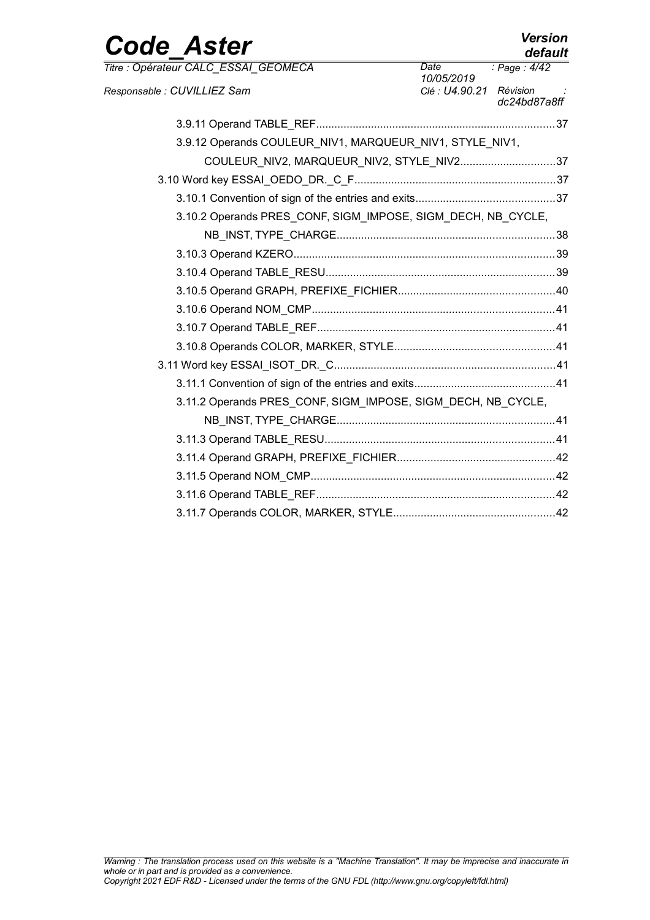| <b>Code Aster</b>                                            |                         | <b>Version</b><br>default |
|--------------------------------------------------------------|-------------------------|---------------------------|
| Titre : Opérateur CALC ESSAI GEOMECA                         | Date<br>10/05/2019      | : Page: $4/42$            |
| Responsable : CUVILLIEZ Sam                                  | Clé : U4.90.21 Révision | dc24bd87a8ff              |
|                                                              |                         |                           |
| 3.9.12 Operands COULEUR_NIV1, MARQUEUR_NIV1, STYLE_NIV1,     |                         |                           |
| COULEUR NIV2, MARQUEUR NIV2, STYLE NIV237                    |                         |                           |
|                                                              |                         |                           |
|                                                              |                         |                           |
| 3.10.2 Operands PRES_CONF, SIGM_IMPOSE, SIGM_DECH, NB_CYCLE, |                         |                           |
|                                                              |                         |                           |
|                                                              |                         |                           |
|                                                              |                         |                           |
|                                                              |                         |                           |
|                                                              |                         |                           |
|                                                              |                         |                           |
|                                                              |                         |                           |
|                                                              |                         |                           |
|                                                              |                         |                           |
| 3.11.2 Operands PRES_CONF, SIGM_IMPOSE, SIGM_DECH, NB_CYCLE, |                         |                           |
|                                                              |                         |                           |
|                                                              |                         |                           |
|                                                              |                         |                           |
|                                                              |                         |                           |
|                                                              |                         |                           |
|                                                              |                         |                           |
|                                                              |                         |                           |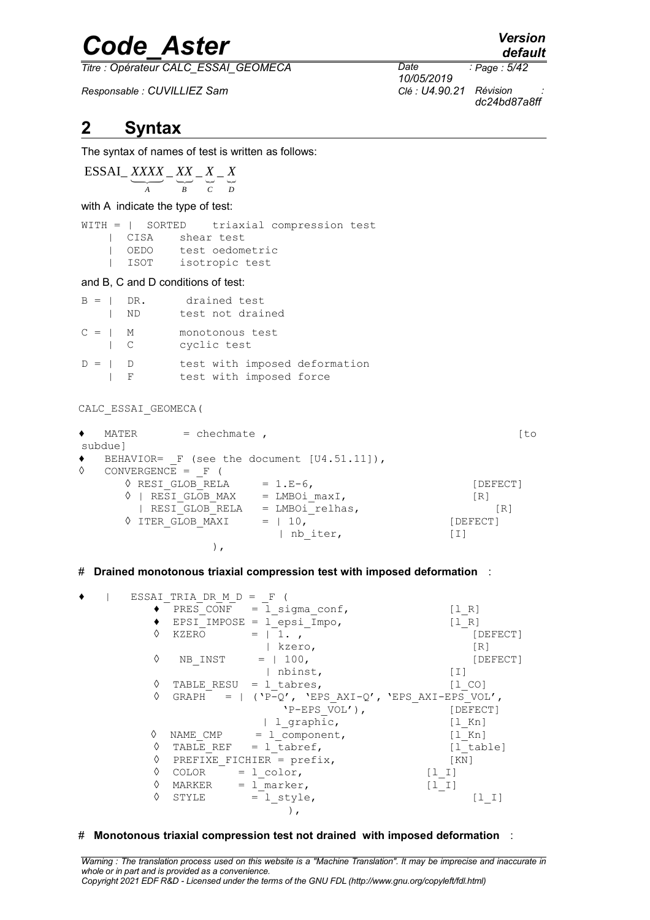*Titre : Opérateur CALC\_ESSAI\_GEOMECA Date :*

*Responsable : CUVILLIEZ Sam Clé : U4.90.21 Révision :*

*default Page : 5/42*

*10/05/2019 dc24bd87a8ff*

### **2 Syntax**

The syntax of names of test is written as follows:

### $\overline{ESSAI}$   $\overline{XXX}$   $\overline{XX}$   $\overline{XX}$   $\overline{X}$   $\overline{X}$   $\overline{X}$   $\overline{X}$   $\overline{X}$ *A B C D*

with A indicate the type of test:

WITH = | SORTED triaxial compression test | CISA shear test<br>| OEDO test oedome test oedometric | ISOT isotropic test

#### and B, C and D conditions of test:

| $B =   DR$ .                                                   |           | – ND | drained test<br>test not drained                         |
|----------------------------------------------------------------|-----------|------|----------------------------------------------------------|
| $C =   M$<br>$\overline{\phantom{a}}$ $\overline{\phantom{a}}$ |           |      | monotonous test<br>cyclic test                           |
| $D =   D$                                                      | $\perp$ F |      | test with imposed deformation<br>test with imposed force |

CALC\_ESSAI\_GEOMECA(

| ٠ | $=$ chechmate,<br>MATER |                                                 | [to      |
|---|-------------------------|-------------------------------------------------|----------|
|   | subdue]                 |                                                 |          |
| ۰ |                         | BEHAVIOR= $F$ (see the document $[U4.51.11]$ ), |          |
| ♦ | $CONVERGENCE = F$       |                                                 |          |
|   | ♦ RESI GLOB RELA        | $= 1.E-6$ ,                                     | [DEFECT] |
|   | RESI GLOB MAX           | $=$ LMBOi maxI,                                 | [R]      |
|   | RESI GLOB RELA          | = LMBOi relhas,                                 | R1       |
|   | ♦ ITER GLOB MAXI        | $= 10$                                          | [DEFECT] |
|   |                         | nb iter,                                        | [I]      |
|   |                         |                                                 |          |

#### # **Drained monotonous triaxial compression test with imposed deformation** :

|  |   | ESSAI TRIA DR M $D = F$  |                                                   |                                           |
|--|---|--------------------------|---------------------------------------------------|-------------------------------------------|
|  |   |                          | PRES CONF = $1$ sigma conf,                       | $\begin{bmatrix} 1 & R \end{bmatrix}$     |
|  |   |                          | EPSI IMPOSE = $1$ epsi Impo,                      | $\begin{bmatrix} 1 & R \end{bmatrix}$     |
|  | ♦ | KZERO                    | $= 1.$                                            | [DEFECT]                                  |
|  |   |                          | kzero,                                            | $\lceil R \rceil$                         |
|  | ♦ | NB INST                  | $= 100$ ,                                         | [DEFECT]                                  |
|  |   |                          | nbinst,                                           | $\begin{bmatrix} 1 \end{bmatrix}$         |
|  | ♦ | TABLE RESU = $1$ tabres, |                                                   | $\begin{bmatrix} 1 & C & O \end{bmatrix}$ |
|  | ♦ |                          | GRAPH = $  (P-Q', YES AXI-Q', YEPS AXI-EPS VOL',$ |                                           |
|  |   |                          | $'P-EPS VOL')$ ,                                  | [DEFECT]                                  |
|  |   |                          | 1 graphic,                                        | $\lceil 1 \rceil$ Kn                      |
|  | ♦ | NAME CMP                 | $=$ 1 component,                                  | $\lceil 1 \rceil$ Kn                      |
|  | ♦ |                          | TABLE REF $= 1$ tabref,                           | [l table]                                 |
|  | ♦ |                          | PREFIXE FICHIER = $prefix,$                       | [KN]                                      |
|  | ♦ | COLOR                    | $= 1$ color,                                      | $ I-I $                                   |
|  | ♦ | MARKER                   | $= 1$ marker,                                     | $[1 1]$                                   |
|  | ♦ | STYLE                    | $= 1$ style,                                      | נב בן                                     |
|  |   |                          |                                                   |                                           |

#### # **Monotonous triaxial compression test not drained with imposed deformation** :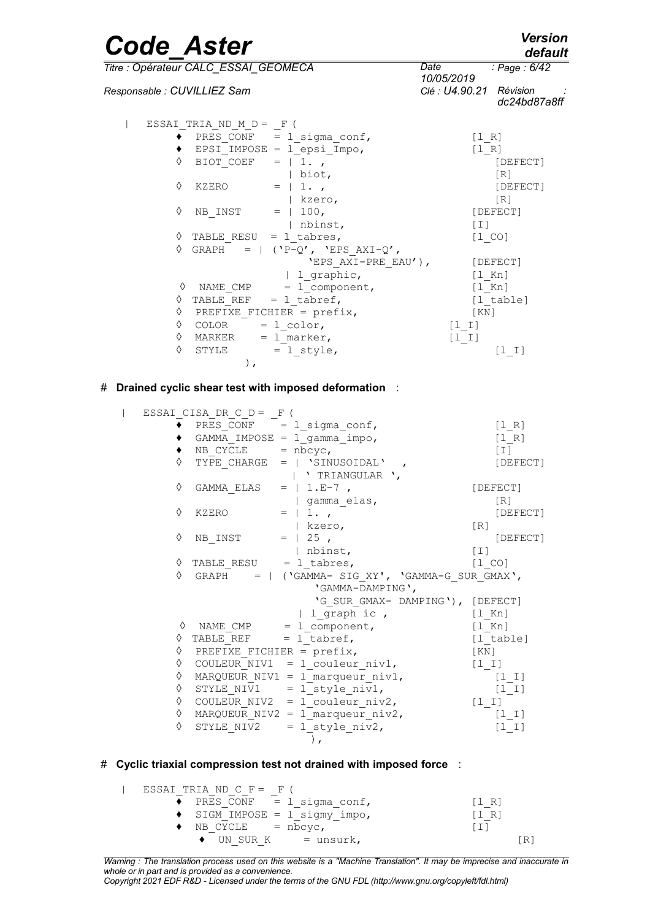| <b>Code Aster</b>                    |                           |                                |                         | <b>Version</b><br>default |
|--------------------------------------|---------------------------|--------------------------------|-------------------------|---------------------------|
| Titre : Opérateur CALC ESSAI GEOMECA |                           |                                | Date<br>10/05/2019      | : Page : 6/42             |
| Responsable : CUVILLIEZ Sam          |                           |                                | Clé : U4.90.21 Révision | dc24bd87a8ff              |
|                                      | ESSAI TRIA ND $M D = F$ ( |                                |                         |                           |
|                                      |                           | PRES CONF = $1$ sigma conf,    | [1 R]                   |                           |
|                                      |                           | EPSI IMPOSE = $l$ epsi Impo,   | [1 R]                   |                           |
| ♦                                    |                           | BIOT COEF = $ 1.$              |                         | [DEFECT]                  |
|                                      |                           | $\vert$ biot,                  |                         | [R]                       |
| ♦                                    | KZERO                     | $= 1.7$                        |                         | [DEFECT]                  |
|                                      |                           | kzero,                         |                         | $\lceil R \rceil$         |
| ♦                                    |                           | NB INST = $  100$ ,            |                         | [DEFECT]                  |
|                                      |                           | nbinst,                        | [T]                     |                           |
| ♦                                    |                           | TABLE RESU = $1$ tabres,       | $[1\  \, \mathrm{CO}]$  |                           |
| ♦                                    |                           | GRAPH = $ (P-Q', YEPS AXI-Q',$ |                         |                           |
|                                      |                           | 'EPS AXI-PRE EAU'),            |                         | [DEFECT]                  |
|                                      |                           | 1 graphic,                     |                         | $[1$ Kn]                  |
| ♦                                    | NAME CMP                  | $= 1$ component,               | $[1$ Kn]                |                           |
| ♦                                    |                           | TABLE REF = $1$ tabref,        |                         | [1 table]                 |
| ♦                                    |                           | PREFIXE FICHIER = $prefix,$    | KN                      |                           |
| ♦                                    | $COLOR = 1 color,$        |                                | [1 I]                   |                           |
| ♦                                    | MARKER                    | $= 1$ marker,                  | [1 1]                   |                           |
| ♦                                    | STYLE                     | $= 1$ style,                   |                         | $[1 1]$                   |
|                                      | $\,$ ,                    |                                |                         |                           |

#### # **Drained cyclic shear test with imposed deformation** :

 | ESSAI\_CISA\_DR\_C\_D = \_F (  $\blacklozenge$  PRES CONF  $=$  l sigma conf,  $[1\ R]$  ♦ GAMMA\_IMPOSE = l\_gamma\_impo, [l\_R]  $\bullet$  NB CYCLE = nbcyc, [I]  $\sqrt{VPE}$  CHARGE = | 'SINUSOIDAL' ,  $[DEFECT]$  | ' TRIANGULAR ',  $\Diamond$  GAMMA ELAS = | 1.E-7 , [DEFECT] | gamma\_elas, [R]  $\sqrt{C}$  KZERO = | 1.,  $\sqrt{C}$  [DEFECT] | kzero, [R]  $\sqrt[3]{}$  NB INST = | 25 , [DEFECT] | nbinst, [I]  $\sqrt{1}$  TABLE RESU = 1 tabres, [1 CO]  $\Diamond$  GRAPH = | ('GAMMA- SIG XY', 'GAMMA-G SUR GMAX', 'GAMMA-DAMPING', 'G\_SUR\_GMAX- DAMPING'), [DEFECT]<br>1 graph ic, [1 Kn]  $\begin{array}{ccc} | & \text{l\_graph} \text{ic} \end{array}$ ,<br>  $\begin{array}{ccc} \text{NAME } \text{CMP} & = & \text{l} \text{ component} \end{array}$  $= 1$  component,  $[1]$ Kn]  $\sqrt{N_{\text{ATHE}}-N_{\text{HTHE}}}=1_{\text{tabref}}$ , [l\_table]  $\sqrt{PRE}$  PREFIXE FICHIER = prefix, [KN]  $\Diamond$  COULEUR NIV1 = 1 couleur niv1, [1\_I]  $\sqrt{N}$  MARQUEUR NIV1 = l\_marqueur niv1,  $\frac{1}{\sqrt{N}}$  [l\_I]  $\sqrt{2}$  STYLE NIV1 = l style niv1, [l\_I]  $\sqrt[6]{}$  COULEUR NIV2 = l<sup>-</sup>couleur niv2, [l\_I]  $\%$  MARQUEUR\_NIV2 = 1\_marqueur\_niv2, [1\_I]<br>  $\%$  STYLE NIV2 = 1 style niv2, [1 I]  $\Diamond$  STYLE NIV2 = l style niv2,  $\left( \begin{array}{c} 0 \\ 0 \end{array} \right)$ ,

#### # **Cyclic triaxial compression test not drained with imposed force** :

 | ESSAI\_TRIA\_ND\_C\_F = \_F (  $\blacklozenge$  PRES CONF = l sigma conf,  $[1\ R]$  $\triangleleft$  SIGM IMPOSE =  $1$  sigmy impo,  $[1 \rceil R]$  $\bullet$  NB CYCLE = nbcyc,  $\overline{1}$  [I]  $\bullet$  UN SUR K = unsurk, [R]

*Warning : The translation process used on this website is a "Machine Translation". It may be imprecise and inaccurate in whole or in part and is provided as a convenience. Copyright 2021 EDF R&D - Licensed under the terms of the GNU FDL (http://www.gnu.org/copyleft/fdl.html)*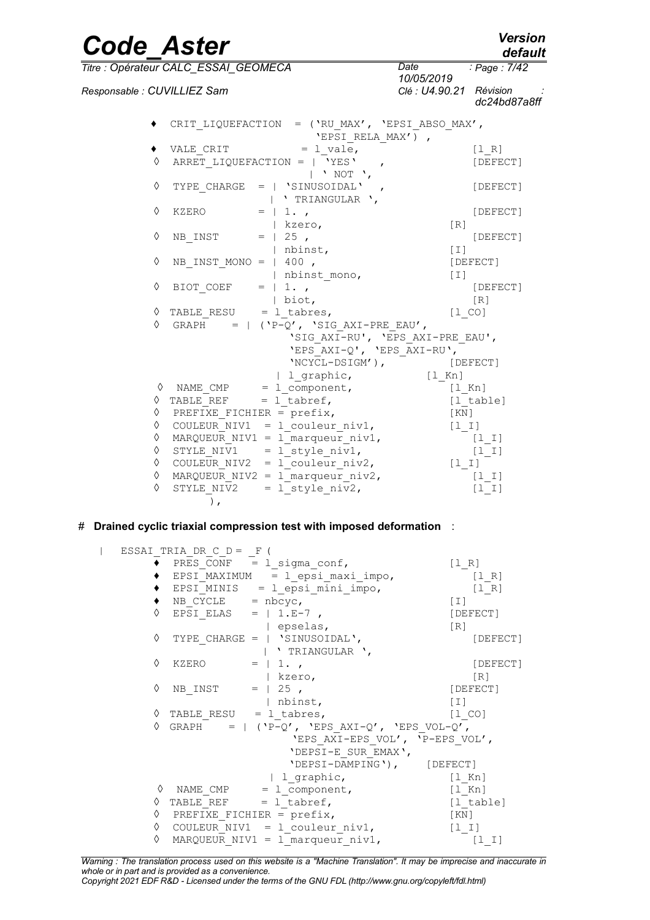#### *Code\_Aster Version default*

*Page : 7/42*

*10/05/2019*

*Titre : Opérateur CALC\_ESSAI\_GEOMECA Date :*

| Responsable : CUVILLIEZ Sam |                           |                                                                         | 1 <i>0/05/2019</i><br>Clé : U4.90.21 Révision | dc24bd87a8ff |
|-----------------------------|---------------------------|-------------------------------------------------------------------------|-----------------------------------------------|--------------|
|                             |                           | CRIT LIQUEFACTION = $(\$ EV MAX', 'EPSI ABSO MAX',<br>'EPSI RELA MAX'), |                                               |              |
|                             |                           | VALE CRIT $= 1$ vale,                                                   |                                               | [1 R]        |
| ♦                           |                           | ARRET LIQUEFACTION = $ $ 'YES',<br>$\vert$ ' NOT ',                     |                                               | [DEFECT]     |
| ♦                           |                           | TYPE CHARGE = $ $ 'SINUSOIDAL',<br>  'TRIANGULAR ',                     |                                               | [DEFECT]     |
| ♦                           | KZERO                     | $= 1.7$                                                                 |                                               | [DEFECT]     |
|                             |                           | kzero,                                                                  | $\lceil R \rceil$                             |              |
| ♦                           | NB INST                   | $=$   25 ,                                                              |                                               | [DEFECT]     |
|                             |                           | nbinst,                                                                 | [T]                                           |              |
| ♦                           | NB INST MONO = $ $ 400,   |                                                                         |                                               | [DEFECT]     |
|                             |                           | nbinst mono,                                                            | $\lceil 1 \rceil$                             |              |
| ♦                           | BIOT COEF = $ 1.7$        |                                                                         |                                               | [DEFECT]     |
|                             |                           | $\vert$ biot,                                                           |                                               | [R]          |
| ♦                           | TABLE_RESU = $l$ _tabres, |                                                                         | $[1\  \, \mathrm{CO}]$                        |              |
| ♦                           |                           | GRAPH = $  (P-Q', YSTG AXI-PRE EAU',$                                   |                                               |              |
|                             |                           | 'SIG AXI-RU', 'EPS AXI-PRE EAU',                                        |                                               |              |
|                             |                           | 'EPS $AXI-Q'$ , 'EPS $AXI-RU'$ ,                                        |                                               |              |
|                             |                           | 'NCYCL-DSIGM'), [DEFECT]                                                |                                               |              |
|                             |                           | 1 graphic,                                                              | $[1$ Kn]                                      |              |
|                             |                           | $\Diamond$ NAME CMP = 1 component,                                      | $[1$ Kn]                                      |              |
|                             |                           | $\Diamond$ TABLE REF = 1 tabref,                                        | [l table]                                     |              |
|                             |                           | $\Diamond$ PREFIXE FICHIER = prefix,                                    | $\lceil KN \rceil$                            |              |
|                             |                           | $\Diamond$ COULEUR NIV1 = 1 couleur niv1,                               | $[1 I]$                                       |              |
| ♦                           |                           | MARQUEUR NIV1 = 1 marqueur niv1,                                        |                                               | $[1 1]$      |
|                             |                           | $\Diamond$ STYLE_NIV1 = l_style_niv1,                                   |                                               | $[1 \t1]$    |
|                             |                           | $\Diamond$ COULEUR NIV2 = 1 couleur niv2,                               | $[1 I]$                                       |              |
| ♦                           |                           | MARQUEUR NIV2 = 1 marqueur niv2,                                        |                                               | $[1 1]$      |
| ♦                           | STYLE NIV2                | $= 1$ style niv2,                                                       |                                               | [1 1]        |
|                             | $\rightarrow$             |                                                                         |                                               |              |

#### # **Drained cyclic triaxial compression test with imposed deformation** :

```
 | ESSAI_TRIA_DR_C_D = _F (
\blacklozenge PRES_CONF = l_sigma_conf, [1_R]\bullet EPSI<sup>-</sup>MAXIMUM = l epsi_maxi_impo, [1_R]\triangleleft EPSI_MINIS = l epsi_mini_impo, [l_R]
          \bullet NB CYCLE = nbcyc, [I]
          \Diamond EPSI ELAS = | 1.E-7 , [DEFECT]
                         | epselas, [R]
           ◊ TYPE_CHARGE = | 'SINUSOIDAL', [DEFECT]
          \begin{array}{ccc}\n & - & \cdot & \cdot & \cdot \\
\circ & \text{KZERO} & = & | & 1. \end{array},
                       = | 1. , [DEFECT]
                         | kzero, [R]
         \Diamond NB INST = | 25 , [DEFECT]
                         | nbinst, [I]
           ◊ TABLE_RESU = l_tabres, [l_CO]
          \Diamond GRAPH = | ('P-Q', 'EPS AXI-Q', 'EPS VOL-Q',
                             'EPS_AXI-EPS_VOL', 'P-EPS_VOL',
                             'DEPSI-E_SUR_EMAX',
                             'DEPSI-DAMPING'), [DEFECT]
                         | l_graphic, [l_Kn]
         \sqrt[3]{} NAME_CMP = 1_component, [1_Kn]<br>
\sqrt[3]{} TABLE REF = 1 tabref, [1 tab
                     = l<sup>-</sup>tabref, [l<sup>-table</sup>]
         \Diamond PREFIXE FICHIER = prefix, [KN]
           ◊ COULEUR_NIV1 = l_couleur_niv1, [l_I]
           ◊ MARQUEUR_NIV1 = l_marqueur_niv1, [l_I]
```
*Warning : The translation process used on this website is a "Machine Translation". It may be imprecise and inaccurate in whole or in part and is provided as a convenience.*

*Copyright 2021 EDF R&D - Licensed under the terms of the GNU FDL (http://www.gnu.org/copyleft/fdl.html)*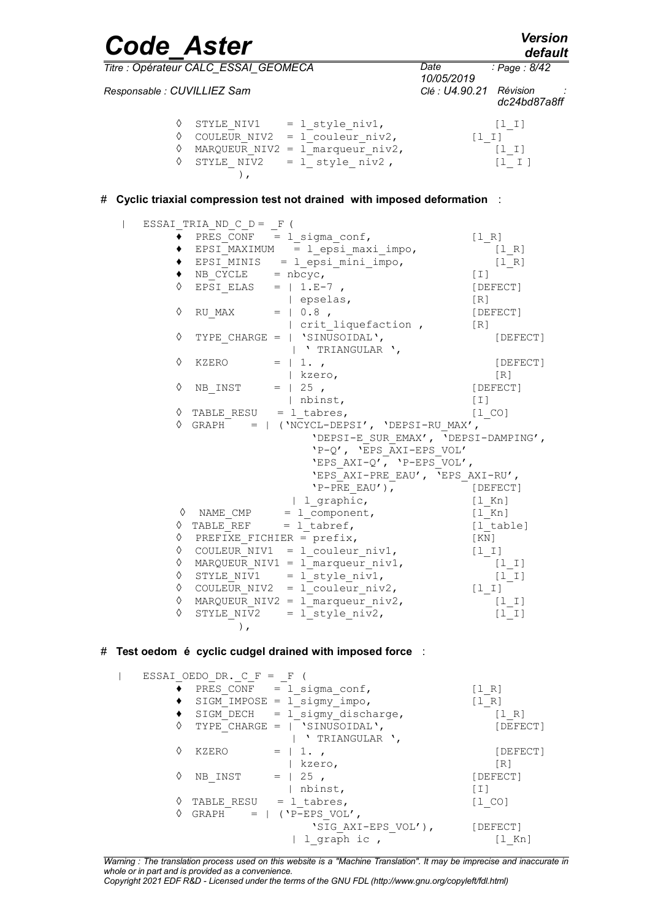| <b>Code Aster</b>           |                                      |                                                                                                                                                                                           |                                       | <b>Version</b><br>default                    |
|-----------------------------|--------------------------------------|-------------------------------------------------------------------------------------------------------------------------------------------------------------------------------------------|---------------------------------------|----------------------------------------------|
|                             | Titre : Opérateur CALC_ESSAI_GEOMECA |                                                                                                                                                                                           | Date                                  | : Page : 8/42                                |
| Responsable : CUVILLIEZ Sam |                                      |                                                                                                                                                                                           | 10/05/2019<br>Clé : U4.90.21 Révision | dc24bd87a8ff                                 |
| ◇<br>♦                      | $\,$ ,                               | $\Diamond$ STYLE_NIV1 = l_style_niv1,<br>$\circ$ COULEUR_NIV2 = $1$ couleur_niv2,<br>MARQUEUR NIV2 = 1 marqueur niv2,<br>STYLE NIV2 = $1$ style niv2,                                     |                                       | $[1 1]$<br>$[1 1]$<br>[1 I]<br>$[1 \quad I]$ |
|                             |                                      | # Cyclic triaxial compression test not drained with imposed deformation :                                                                                                                 |                                       |                                              |
|                             | ESSAI TRIA_ND_C_D = _F (             |                                                                                                                                                                                           |                                       |                                              |
|                             |                                      | $PRES_CONF = 1_sigma_Conf,$                                                                                                                                                               | [1 R]                                 |                                              |
|                             |                                      | $EPSI_MAXIMUM = 1 epsi maxi impo,$                                                                                                                                                        |                                       | $[1 R]$                                      |
|                             |                                      | EPSI_MINIS = l_epsi_mini_impo,<br>NB_CYCLE = nbcyc,                                                                                                                                       |                                       | [1 R]                                        |
| ٠                           |                                      |                                                                                                                                                                                           | [T]                                   |                                              |
| ◇                           | EPSI ELAS = $  1.F^{-7}$ ,           |                                                                                                                                                                                           | [DEFECT]                              |                                              |
|                             |                                      | epselas,                                                                                                                                                                                  | [R]                                   |                                              |
| ♦                           | RU MAX = $  0.8$ ,                   |                                                                                                                                                                                           |                                       | [DEFECT]                                     |
| ♦                           |                                      | crit liquefaction,<br>TYPE CHARGE = $ $ 'SINUSOIDAL',<br>  ' TRIANGULAR ',                                                                                                                | [R]                                   | [DEFECT]                                     |
| ♦                           | KZERO                                | $= 1.7$                                                                                                                                                                                   |                                       | [DEFECT]                                     |
|                             |                                      | kzero,                                                                                                                                                                                    |                                       | [R]                                          |
| ♦                           | NB INST                              | $=$   25,                                                                                                                                                                                 |                                       | [DEFECT]                                     |
|                             |                                      | nbinst,                                                                                                                                                                                   | $[1]$                                 |                                              |
|                             | $\Diamond$ TABLE RESU = 1 tabres,    |                                                                                                                                                                                           | $[1 \tC0]$                            |                                              |
|                             |                                      | $\Diamond$ GRAPH =   ('NCYCL-DEPSI', 'DEPSI-RU MAX',<br>'DEPSI-E SUR EMAX', 'DEPSI-DAMPING',<br>'P-Q', 'EPS AXI-EPS VOL'<br>'EPS AXI-Q', 'P-EPS VOL',<br>'EPS AXI-PRE EAU', 'EPS AXI-RU', |                                       |                                              |
|                             |                                      | $'P-PRE$ $EAU'$ ),                                                                                                                                                                        | $[$ DEFECT $]$                        |                                              |
|                             |                                      | 1 graphic,                                                                                                                                                                                | $[1$ Kn]                              |                                              |
| ♦                           |                                      | NAME CMP = $1$ _component,                                                                                                                                                                |                                       | $[1$ Kn]                                     |
| ♦                           | TABLE REF $= 1$ tabref,              |                                                                                                                                                                                           |                                       | [1 table]                                    |
| $\Diamond$                  | PREFIXE FICHIER = $prefix,$          | $\Diamond$ COULEUR NIV1 = 1 couleur niv1,                                                                                                                                                 | [ KN ]                                |                                              |
| ♦                           |                                      | MARQUEUR NIV1 = 1 marqueur niv1,                                                                                                                                                          | $[1 1]$                               | $[1 1]$                                      |
| ♦                           |                                      | STYLE NIV1 = $1$ style niv1,                                                                                                                                                              |                                       | $[1 1]$                                      |
| ♦                           |                                      | COULEUR NIV2 = $1$ couleur niv2,                                                                                                                                                          |                                       | [1 I]                                        |
| ♦                           |                                      | MARQUEUR NIV2 = 1 marqueur niv2,                                                                                                                                                          |                                       | [1 I]                                        |
| ◇                           | $\rightarrow$                        | STYLE NIV2 = $1$ style niv2,                                                                                                                                                              |                                       | $[1 1]$                                      |
|                             |                                      | # Test oedom é cyclic cudgel drained with imposed force :                                                                                                                                 |                                       |                                              |
| $\mathbf{L}$                | ESSAI OEDO DR. $C_F = F$ (           |                                                                                                                                                                                           |                                       |                                              |
|                             | $\bullet$ PRES CONF = 1 sigma conf,  |                                                                                                                                                                                           | [1 R]                                 |                                              |

|                   |                        | PRES CONF = $1$ sigma conf,      | [1 R]              |
|-------------------|------------------------|----------------------------------|--------------------|
|                   |                        | SIGM IMPOSE = $1$ sigmy impo,    | [1 R]              |
|                   |                        | SIGM DECH $=$ 1 sigmy discharge, | '1 R]              |
|                   |                        | TYPE CHARGE = $ $ 'SINUSOIDAL',  | [DEFECT]           |
|                   |                        | TRIANGULAR <sup>'</sup> ,        |                    |
| ♦                 | KZERO                  |                                  | [DEFECT]           |
|                   |                        | kzero,                           | $\lceil R \rceil$  |
| ♦                 | NB INST                | 25,                              | [DEFECT]           |
|                   |                        | nbinst,                          | [I]                |
| $\langle \rangle$ | TABLE RESU             | $= 1$ tabres,                    | $[1 \, \text{CO}]$ |
| $\langle \rangle$ | GRAPH<br>$\alpha = -1$ | $('P-EPS VOL',$                  |                    |
|                   |                        | 'SIG AXI-EPS VOL'),              | [DEFECT]           |
|                   |                        | 1 graph ic                       | 'l Kn]             |

*Warning : The translation process used on this website is a "Machine Translation". It may be imprecise and inaccurate in whole or in part and is provided as a convenience.*

*Copyright 2021 EDF R&D - Licensed under the terms of the GNU FDL (http://www.gnu.org/copyleft/fdl.html)*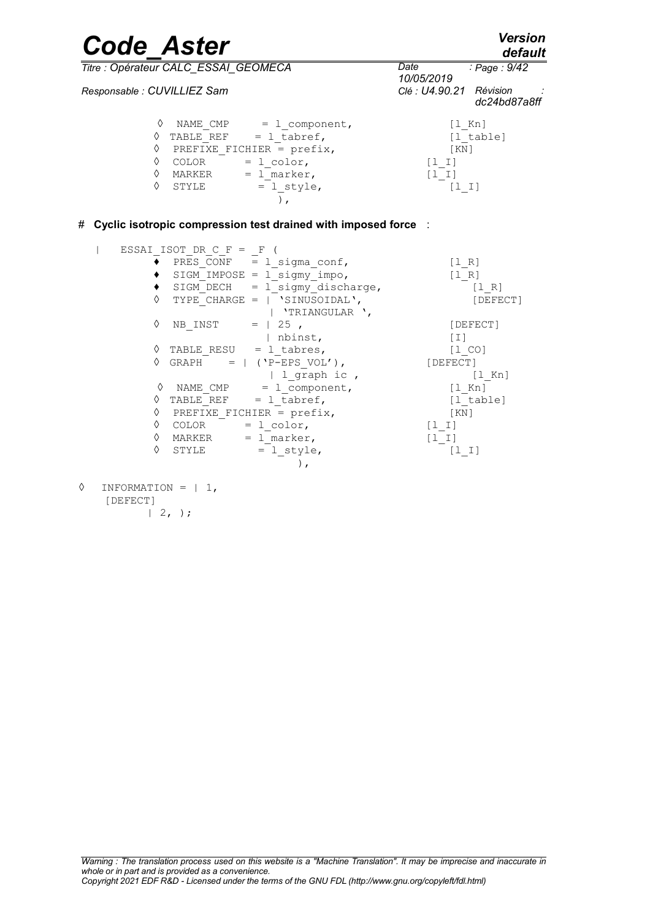*Code\_Aster Version default*

*Page : 9/42*

*Titre : Opérateur CALC\_ESSAI\_GEOMECA Date :*

*Responsable : CUVILLIEZ Sam* 

*10/05/2019 dc24bd87a8ff* ◊ NAME\_CMP = l\_component, [l\_Kn]  $\Diamond$  TABLE\_REF = l\_tabref,  $[1$ \_table]  $\Diamond$  PREFIXE FICHIER = prefix,  $[KN]$  $\sqrt{0}$  COLOR = 1 color, [l\_I]  $\Diamond$  MARKER =  $1$  marker,  $[1]$  $\Diamond$  STYLE = l style,  $[1\ 1]$  $\left( \begin{array}{c} 0 \\ 0 \end{array} \right)$ ,

# **Cyclic isotropic compression test drained with imposed force** :

|                   | ESSAI ISOT DR C F = F |                                   |                                       |
|-------------------|-----------------------|-----------------------------------|---------------------------------------|
|                   |                       | PRES CONF $=$ 1 sigma conf,       | [1 R]                                 |
|                   |                       | SIGM IMPOSE = $1$ sigmy impo,     | $\begin{bmatrix} 1 & R \end{bmatrix}$ |
|                   |                       | SIGM DECH $=$ 1 sigmy discharge,  | $\begin{bmatrix} 1 & R \end{bmatrix}$ |
| ♦                 |                       | TYPE CHARGE = $ $ 'SINUSOIDAL',   | [DEFECT]                              |
|                   |                       | 'TRIANGULAR',                     |                                       |
| ♦                 | NB INST               | $=$   25,                         | [DEFECT]                              |
|                   |                       | nbinst,                           | $\lceil 1 \rceil$                     |
|                   |                       | $\Diamond$ TABLE RESU = 1 tabres, | $[1\  \, \mathrm{CO}]$                |
|                   |                       | $\text{GRAPH}$ =   ('P-EPS VOL'), | [DEFECT]                              |
|                   |                       | 1 graph ic ,                      | [1 Kn]                                |
| ♦                 |                       | NAME CMP $= 1$ component,         | $[1$ Kn]                              |
|                   |                       | TABLE REF $= 1$ tabref,           | [1 table]                             |
|                   |                       | PREFIXE FICHIER = $prefix,$       | KN                                    |
| $\langle \rangle$ | COLOR                 | $= 1$ color,                      | $[1 1]$                               |
| ♦                 | MARKER                | $= 1$ marker,                     | $[1 1]$                               |
| ♦                 | STYLE                 | $= 1$ style,                      | [1 1]                                 |
|                   |                       | $\lambda$ ,                       |                                       |
|                   |                       |                                   |                                       |

 $\Diamond$  INFORMATION = | 1, [DEFECT]  $| 2, \rangle;$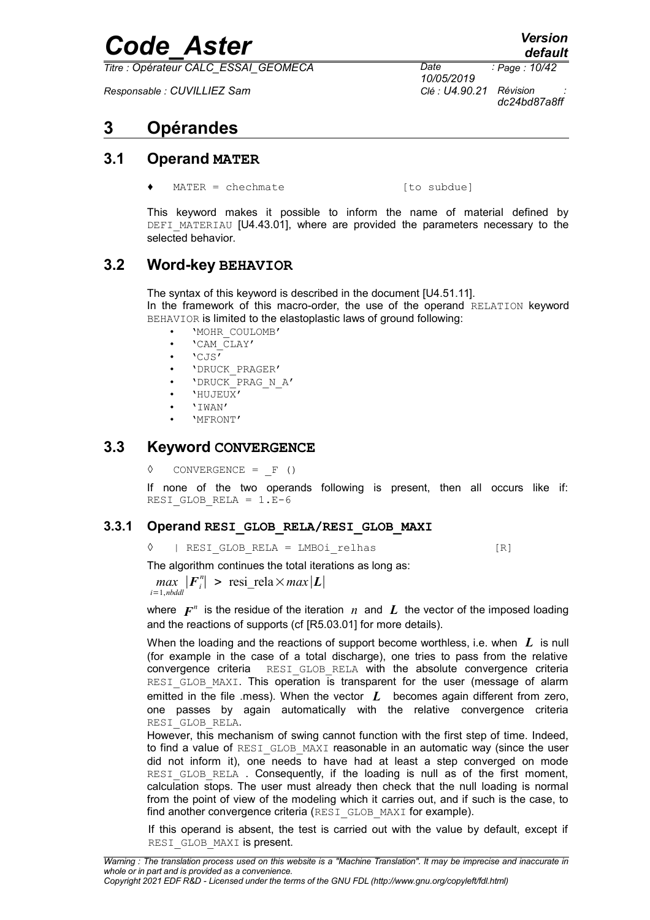*Titre : Opérateur CALC\_ESSAI\_GEOMECA Date :*

*Responsable : CUVILLIEZ Sam Clé : U4.90.21 Révision :*

*10/05/2019 Page : 10/42 dc24bd87a8ff*

## **3 Opérandes**

### **3.1 Operand MATER**

 $MATER = chechmate$  [to subdue]

This keyword makes it possible to inform the name of material defined by DEFI\_MATERIAU [U4.43.01], where are provided the parameters necessary to the selected behavior.

### **3.2 Word-key BEHAVIOR**

The syntax of this keyword is described in the document [U4.51.11]. In the framework of this macro-order, the use of the operand RELATION keyword BEHAVIOR is limited to the elastoplastic laws of ground following:

- 'MOHR\_COULOMB'
- 'CAM\_CLAY'
- 'CJS'
- 'DRUCK\_PRAGER'
- 'DRUCK\_PRAG\_N\_A'
- 'HUJEUX'
- 'IWAN'
- 'MFRONT'

#### **3.3 Keyword CONVERGENCE**

**◊** CONVERGENCE = \_F ()

If none of the two operands following is present, then all occurs like if: RESI GLOB RELA =  $1.E-6$ 

#### **3.3.1 Operand RESI\_GLOB\_RELA/RESI\_GLOB\_MAXI**

◊ | RESI\_GLOB\_RELA = LMBOi\_relhas [R]

The algorithm continues the total iterations as long as:

 $max$   $|F_i^n|$  > resi\_rela $\times max|L|$ *i*=1,*nbddl*

where  $\boldsymbol{F}^n$  is the residue of the iteration  $\,n\,$  and  $\,\boldsymbol{L}\,$  the vector of the imposed loading and the reactions of supports (cf [R5.03.01] for more details).

When the loading and the reactions of support become worthless, i.e. when *L* is null (for example in the case of a total discharge), one tries to pass from the relative convergence criteria RESI\_GLOB\_RELA with the absolute convergence criteria RESI GLOB MAXI. This operation is transparent for the user (message of alarm emitted in the file .mess). When the vector *L* becomes again different from zero, one passes by again automatically with the relative convergence criteria RESI\_GLOB\_RELA.

However, this mechanism of swing cannot function with the first step of time. Indeed, to find a value of RESI GLOB MAXI reasonable in an automatic way (since the user did not inform it), one needs to have had at least a step converged on mode RESI GLOB RELA. Consequently, if the loading is null as of the first moment, calculation stops. The user must already then check that the null loading is normal from the point of view of the modeling which it carries out, and if such is the case, to find another convergence criteria (RESI GLOB\_MAXI for example).

If this operand is absent, the test is carried out with the value by default, except if RESI GLOB MAXI is present.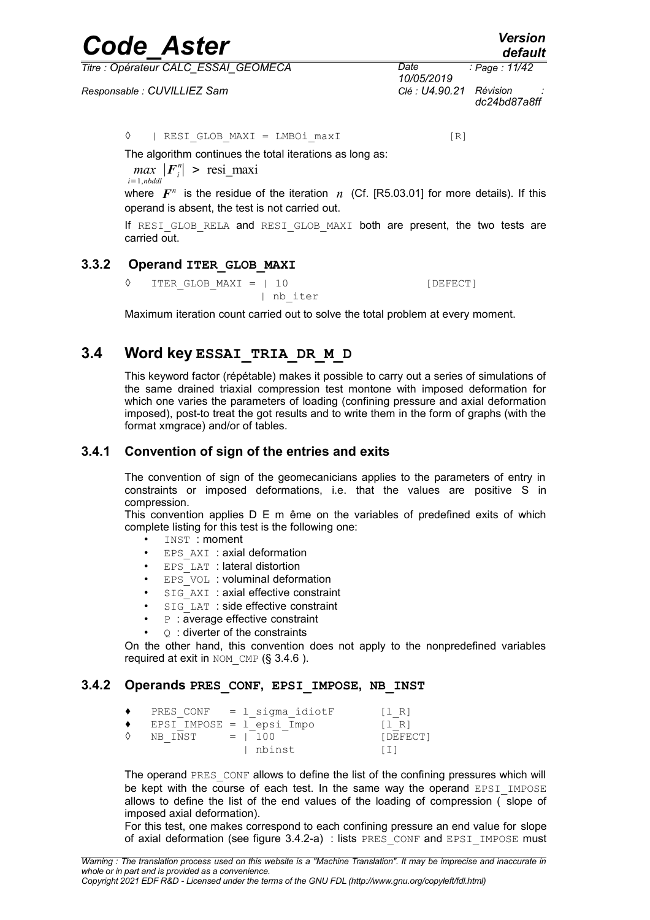*Titre : Opérateur CALC\_ESSAI\_GEOMECA Date :*

*Responsable : CUVILLIEZ Sam Clé : U4.90.21 Révision :*

*10/05/2019 Page : 11/42 dc24bd87a8ff*

◊ | RESI\_GLOB\_MAXI = LMBOi\_maxI [R]

The algorithm continues the total iterations as long as:

 $max$   $|F_i^n| >$  resi\_maxi *i*=1,*nbddl*

where  $\boldsymbol{F}^n$  is the residue of the iteration  $n$  (Cf. [R5.03.01] for more details). If this operand is absent, the test is not carried out.

If RESI GLOB RELA and RESI GLOB MAXI both are present, the two tests are carried out.

#### **3.3.2 Operand ITER\_GLOB\_MAXI**

◊ ITER\_GLOB\_MAXI = | 10 [DEFECT] | nb\_iter

Maximum iteration count carried out to solve the total problem at every moment.

### **3.4 Word key ESSAI\_TRIA\_DR\_M\_D**

<span id="page-10-2"></span>This keyword factor (répétable) makes it possible to carry out a series of simulations of the same drained triaxial compression test montone with imposed deformation for which one varies the parameters of loading (confining pressure and axial deformation imposed), post-to treat the got results and to write them in the form of graphs (with the format xmgrace) and/or of tables.

#### **3.4.1 Convention of sign of the entries and exits**

<span id="page-10-0"></span>The convention of sign of the geomecanicians applies to the parameters of entry in constraints or imposed deformations, i.e. that the values are positive S in compression.

This convention applies D E m ême on the variables of predefined exits of which complete listing for this test is the following one:

- INST : moment
- EPS AXI : axial deformation
- EPS LAT : lateral distortion
- EPS VOL : voluminal deformation
- SIG\_AXI : axial effective constraint
- SIG\_LAT : side effective constraint
- **P** : average effective constraint
- $\circ$  : diverter of the constraints

On the other hand, this convention does not apply to the nonpredefined variables required at exit in  $NOM$  CMP (§ [3.4.6](#page-13-0) ).

#### **3.4.2 Operands PRES\_CONF, EPSI\_IMPOSE, NB\_INST**

<span id="page-10-1"></span>

|                             | PRES CONF $= 1$ sigma idiotF | $\begin{bmatrix} 1 & R \end{bmatrix}$ |
|-----------------------------|------------------------------|---------------------------------------|
| EPSI IMPOSE = $l$ epsi Impo |                              | $\begin{bmatrix} 1 & R \end{bmatrix}$ |
| $NB$ INST $=$ 100           |                              | [DEFECT]                              |
|                             | l nbinst                     | $\perp$                               |

The operand PRES CONF allows to define the list of the confining pressures which will be kept with the course of each test. In the same way the operand EPSI IMPOSE allows to define the list of the end values of the loading of compression ( slope of imposed axial deformation).

For this test, one makes correspond to each confining pressure an end value for slope of axial deformation (see figure [3.4.2-a\)](#page-11-0) : lists PRES\_CONF and EPSI\_IMPOSE must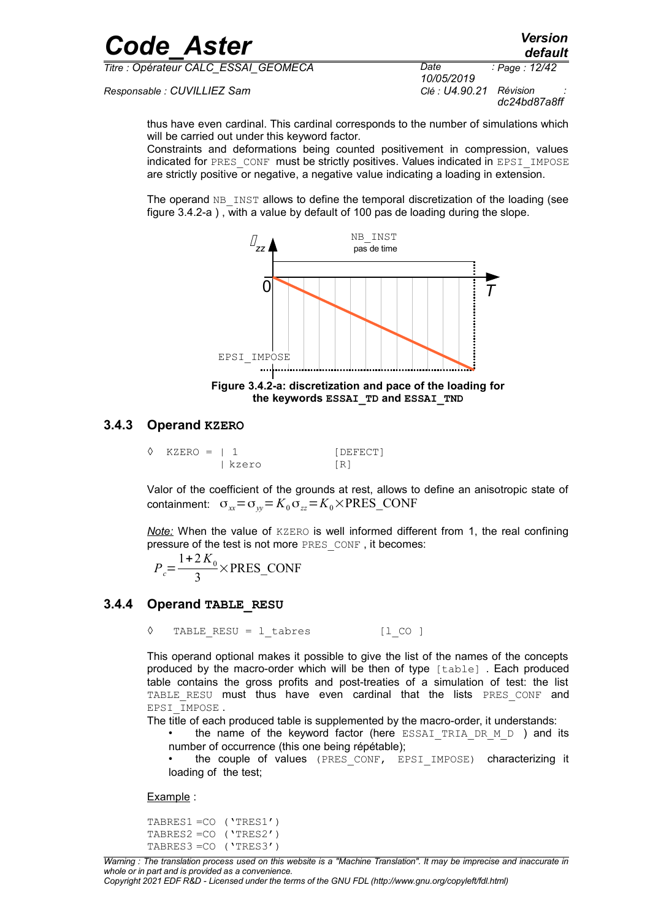| <b>Code Aster</b>                    |                    | <b>Version</b><br>default |
|--------------------------------------|--------------------|---------------------------|
| Titre : Opérateur CALC ESSAI GEOMECA | Date<br>10/05/2010 | : Page : 12/42            |

*Responsable : CUVILLIEZ Sam Clé : U4.90.21 Révision :*

*10/05/2019 Page : 12/42 dc24bd87a8ff*

thus have even cardinal. This cardinal corresponds to the number of simulations which will be carried out under this keyword factor.

Constraints and deformations being counted positivement in compression, values indicated for PRES\_CONF\_must be strictly positives. Values indicated in EPSI\_IMPOSE are strictly positive or negative, a negative value indicating a loading in extension.

The operand  $NB$  INST allows to define the temporal discretization of the loading (see figure [3.4.2-a](#page-11-0) ) , with a value by default of 100 pas de loading during the slope.



<span id="page-11-0"></span>**Figure 3.4.2-a: discretization and pace of the loading for the keywords ESSAI\_TD and ESSAI\_TND**

#### **3.4.3 Operand KZERO**

<span id="page-11-2"></span>

| $\Diamond$ KZERO = 1 1 |         | [DEFECT] |
|------------------------|---------|----------|
|                        | l kzero | [R]      |

Valor of the coefficient of the grounds at rest, allows to define an anisotropic state of containment:  $\sigma_{xx} = \sigma_{yy} = K_0 \sigma_{zz} = K_0 \times \text{PRES\_CONF}$ 

*Note:* When the value of KZERO is well informed different from 1, the real confining pressure of the test is not more PRES\_CONF , it becomes:

$$
P_c = \frac{1 + 2 K_0}{3} \times \text{PRES\_CONF}
$$

#### **3.4.4 Operand TABLE\_RESU**

<span id="page-11-1"></span>◊ TABLE\_RESU = l\_tabres [l\_CO ]

This operand optional makes it possible to give the list of the names of the concepts produced by the macro-order which will be then of type [table] . Each produced table contains the gross profits and post-treaties of a simulation of test: the list TABLE RESU must thus have even cardinal that the lists PRES CONF and EPSI\_IMPOSE .

The title of each produced table is supplemented by the macro-order, it understands:

the name of the keyword factor (here ESSAI TRIA DR  $M$  D) and its number of occurrence (this one being répétable);

the couple of values (PRES CONF, EPSI IMPOSE) characterizing it loading of the test;

Example :

```
TABRES1 =CO ('TRES1')
TABRES2 =CO ('TRES2')
TABRES3 =CO ('TRES3')
```
*Copyright 2021 EDF R&D - Licensed under the terms of the GNU FDL (http://www.gnu.org/copyleft/fdl.html)*

*default*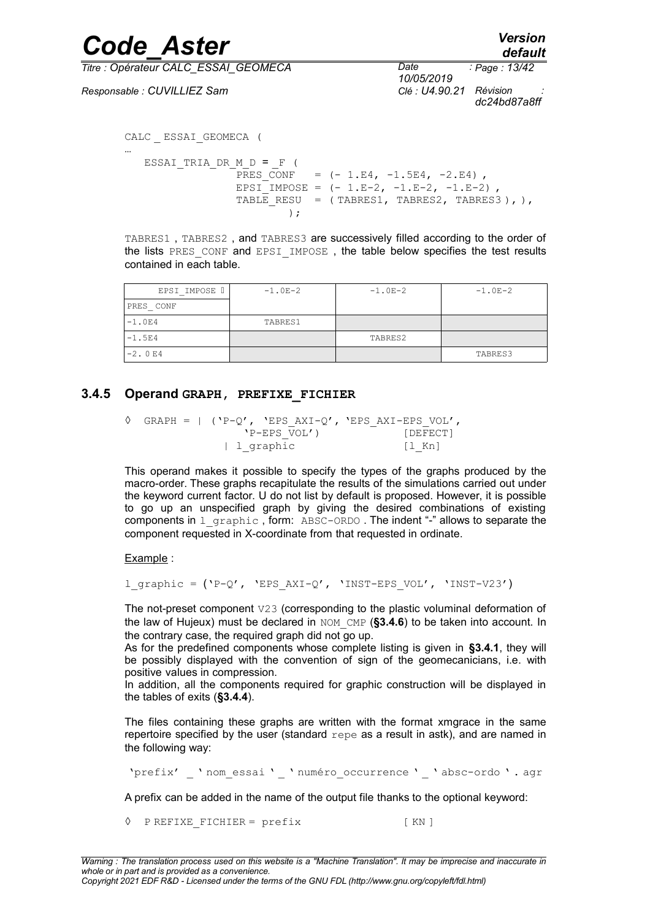*default*

*Titre : Opérateur CALC\_ESSAI\_GEOMECA Date :*

*Responsable : CUVILLIEZ Sam Clé : U4.90.21 Révision :*

*10/05/2019 Page : 13/42 dc24bd87a8ff*

```
CALC _ ESSAI_GEOMECA (
…
  ESSAI TRIA DR M D = F (
```
PRES CONF =  $(- 1.E4, -1.5E4, -2.E4)$ EPSI<sup>I</sup>MPOSE =  $(-1.E-2, -1.E-2, -1.E-2)$ TABLE RESU = ( TABRES1, TABRES2, TABRES3 ), ),  $)$  ;

TABRES1 , TABRES2 , and TABRES3 are successively filled according to the order of the lists PRES\_CONF and EPSI\_IMPOSE, the table below specifies the test results contained in each table.

| EPSI IMPOSE I | $-1.0E-2$ | $-1.0E-2$ | $-1.0E-2$ |
|---------------|-----------|-----------|-----------|
| PRES CONF     |           |           |           |
| $-1.0E4$      | TABRES1   |           |           |
| $-1.5E4$      |           | TABRES2   |           |
| $-2.0 E4$     |           |           | TABRES3   |

#### **3.4.5 Operand GRAPH, PREFIXE\_FICHIER**

```
\Diamond GRAPH = | ('P-Q', 'EPS AXI-Q', 'EPS AXI-EPS VOL',
                'P-EPS_VOL') [DEFECT]
            | l_graphic [l_Kn]
```
This operand makes it possible to specify the types of the graphs produced by the macro-order. These graphs recapitulate the results of the simulations carried out under the keyword current factor. U do not list by default is proposed. However, it is possible to go up an unspecified graph by giving the desired combinations of existing components in  $1$  graphic, form: ABSC-ORDO. The indent "-" allows to separate the component requested in X-coordinate from that requested in ordinate.

Example :

```
l graphic = ('P-Q', 'EPSAXI-Q', 'INST-EPSVOL', 'INST-V23')
```
The not-preset component V23 (corresponding to the plastic voluminal deformation of the law of Hujeux) must be declared in NOM\_CMP (**[§3.4.6](#page-13-0)**) to be taken into account. In the contrary case, the required graph did not go up.

As for the predefined components whose complete listing is given in **[§3.4.1](#page-10-0)**, they will be possibly displayed with the convention of sign of the geomecanicians, i.e. with positive values in compression.

In addition, all the components required for graphic construction will be displayed in the tables of exits (**[§3.4.4](#page-11-1)**).

The files containing these graphs are written with the format xmgrace in the same repertoire specified by the user (standard  $r_{\text{epe}}$  as a result in astk), and are named in the following way:

'prefix' ' nom essai ' ' numéro occurrence ' ' absc-ordo ' . agr

A prefix can be added in the name of the output file thanks to the optional keyword:

◊ P REFIXE\_FICHIER = prefix [ KN ]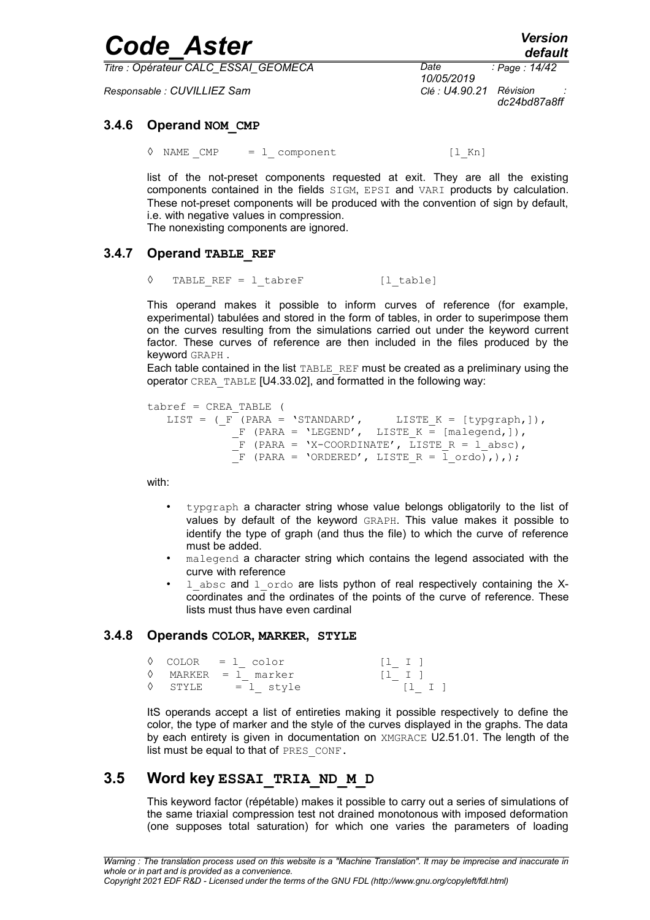| <b>Code Aster</b>                    |                         | <b>Version</b><br>default |
|--------------------------------------|-------------------------|---------------------------|
| Titre : Opérateur CALC ESSAI GEOMECA | Date<br>10/05/2019      | : Page : 14/42            |
| Responsable : CUVILLIEZ Sam          | Clé : U4.90.21 Révision | - 11<br>dc24bd87a8ff      |

#### **3.4.6 Operand NOM\_CMP**

<span id="page-13-0"></span> $\Diamond$  NAME CMP = 1 component [l Kn]

list of the not-preset components requested at exit. They are all the existing components contained in the fields SIGM, EPSI and VARI products by calculation. These not-preset components will be produced with the convention of sign by default, i.e. with negative values in compression. The nonexisting components are ignored.

#### **3.4.7 Operand TABLE\_REF**

<span id="page-13-2"></span>◊ TABLE\_REF = l\_tabreF [l\_table]

This operand makes it possible to inform curves of reference (for example, experimental) tabulées and stored in the form of tables, in order to superimpose them on the curves resulting from the simulations carried out under the keyword current factor. These curves of reference are then included in the files produced by the keyword GRAPH .

Each table contained in the list TABLE\_REF must be created as a preliminary using the operator CREA\_TABLE [U4.33.02], and formatted in the following way:

```
tabref = CREA_TABLE (
   LIST = (F^{\top}(PARA = 'STANDARD', LISTE_K = [typgraph,]),
              F (PARA = 'LEGEND', LISTE K = [malegend,]),
              \overline{F} (PARA = 'X-COORDINATE', LISTE R = l absc),
              \overline{F} (PARA = 'ORDERED', LISTE R = \overline{1} ordo),),);
```
with:

- typgraph a character string whose value belongs obligatorily to the list of values by default of the keyword GRAPH. This value makes it possible to identify the type of graph (and thus the file) to which the curve of reference must be added.
- malegend a character string which contains the legend associated with the curve with reference
- $1$  absc and  $1$  ordo are lists python of real respectively containing the Xcoordinates and the ordinates of the points of the curve of reference. These lists must thus have even cardinal

#### **3.4.8 Operands COLOR, MARKER, STYLE**

<span id="page-13-1"></span>

|  | $\Diamond$ COLOR = 1 color   | $[1 \quad I]$ |
|--|------------------------------|---------------|
|  | $\Diamond$ MARKER = 1 marker | $[1 \quad I]$ |
|  | $\Diamond$ STYLE = 1 style   | $[1 \quad I]$ |

ItS operands accept a list of entireties making it possible respectively to define the color, the type of marker and the style of the curves displayed in the graphs. The data by each entirety is given in documentation on XMGRACE U2.51.01. The length of the list must be equal to that of PRES CONF.

### **3.5 Word key ESSAI\_TRIA\_ND\_M\_D**

<span id="page-13-3"></span>This keyword factor (répétable) makes it possible to carry out a series of simulations of the same triaxial compression test not drained monotonous with imposed deformation (one supposes total saturation) for which one varies the parameters of loading

*Copyright 2021 EDF R&D - Licensed under the terms of the GNU FDL (http://www.gnu.org/copyleft/fdl.html)*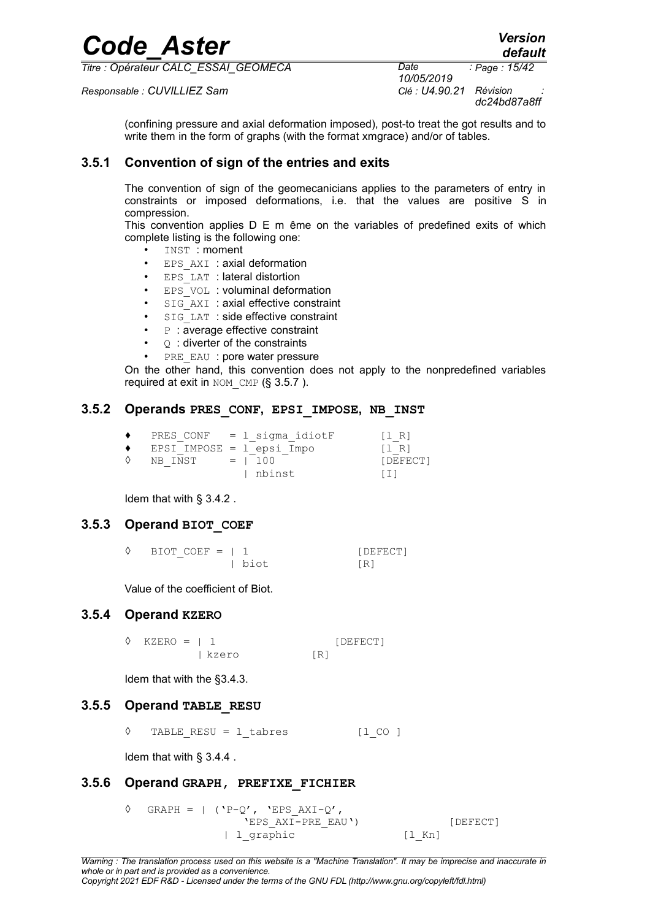*default*

*Page : 15/42*

*Titre : Opérateur CALC\_ESSAI\_GEOMECA Date :*

*Responsable : CUVILLIEZ Sam Clé : U4.90.21 Révision :*

*10/05/2019 dc24bd87a8ff*

(confining pressure and axial deformation imposed), post-to treat the got results and to write them in the form of graphs (with the format xmgrace) and/or of tables.

#### **3.5.1 Convention of sign of the entries and exits**

The convention of sign of the geomecanicians applies to the parameters of entry in constraints or imposed deformations, i.e. that the values are positive S in compression.

This convention applies D E m ême on the variables of predefined exits of which complete listing is the following one:

- INST : moment
- EPS AXI : axial deformation
- EPS LAT : lateral distortion
- EPS VOL : voluminal deformation
- SIG AXI : axial effective constraint
- SIG\_LAT : side effective constraint
- $P$ : average effective constraint
- $Q$ : diverter of the constraints
- PRE EAU : pore water pressure

On the other hand, this convention does not apply to the nonpredefined variables required at exit in  $NOM$  CMP (§ [3.5.7](#page-15-0) ).

#### **3.5.2 Operands PRES\_CONF, EPSI\_IMPOSE, NB\_INST**

| ٠         |                           | PRES CONF = 1 sigma idiotF | [1 R]                                 |
|-----------|---------------------------|----------------------------|---------------------------------------|
| $\bullet$ | EPSI IMPOSE = 1 epsi Impo |                            | $\begin{bmatrix} 1 & R \end{bmatrix}$ |
| ♦         | NB INST                   | $= 100$                    | [DEFECT]                              |
|           |                           | l nbinst                   | $\lceil 1 \rceil$                     |

Idem that with § [3.4.2](#page-10-1) .

#### **3.5.3 Operand BIOT\_COEF**

| $\Diamond$ BIOT COEF =   1 |  |      | [DEFECT] |
|----------------------------|--|------|----------|
|                            |  | biot | [R]      |

Value of the coefficient of Biot.

#### **3.5.4 Operand KZERO**

 $\Diamond$  KZERO = | 1 [DEFECT] | kzero [R]

Idem that with the [§3.4.3.](#page-11-2)

#### **3.5.5 Operand TABLE\_RESU**

◊ TABLE\_RESU = l\_tabres [l\_CO ]

Idem that with § [3.4.4](#page-11-1) .

#### **3.5.6 Operand GRAPH, PREFIXE\_FICHIER**

 $\Diamond$  GRAPH = | ('P-Q', 'EPS AXI-Q', 'EPS\_AXI-PRE\_EAU') [DEFECT] | l\_qraphic [l\_Kn]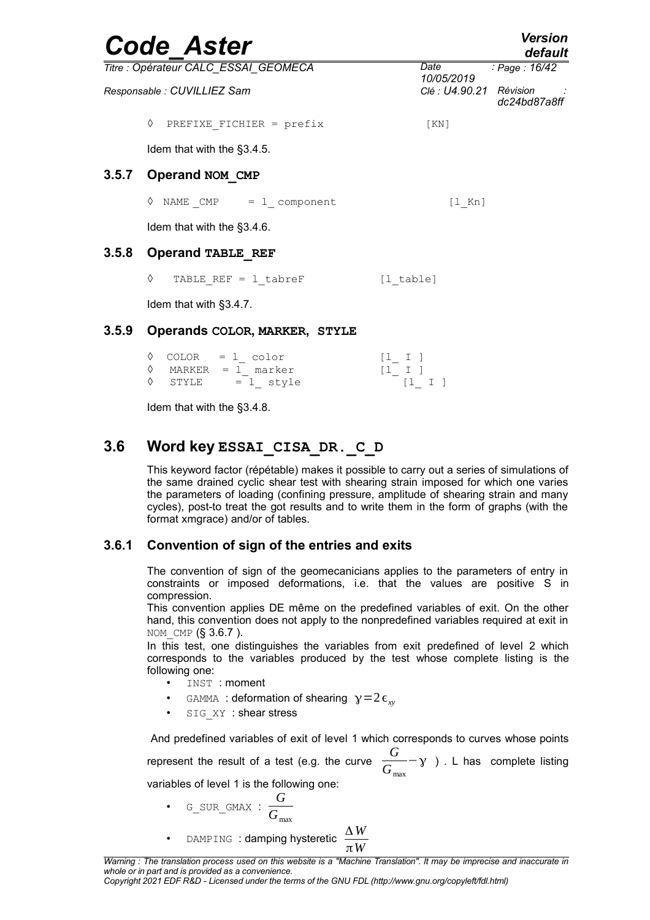<span id="page-15-0"></span>

|       | <b>Code Aster</b>                    |                         | <b>Version</b><br>default |
|-------|--------------------------------------|-------------------------|---------------------------|
|       | Titre : Opérateur CALC_ESSAI_GEOMECA | Date<br>10/05/2019      | : Page: 16/42             |
|       | Responsable : CUVILLIEZ Sam          | Clé : U4.90.21 Révision | dc24bd87a8ff              |
|       | ♦<br>PREFIXE FICHIER = prefix        | KN                      |                           |
|       | Idem that with the §3.4.5.           |                         |                           |
| 3.5.7 | Operand NOM CMP                      |                         |                           |
|       | NAME $CMP = 1$ component<br>♦        | $[1$ Kn]                |                           |
|       | Idem that with the §3.4.6.           |                         |                           |
| 3.5.8 | Operand TABLE REF                    |                         |                           |
|       | ♦<br>TABLE REF = $1$ tabreF          | [1 table]               |                           |
|       | Idem that with §3.4.7.               |                         |                           |
| 3.5.9 | Operands COLOR, MARKER, STYLE        |                         |                           |

|  | $\Diamond$ COLOR = 1 color   | $[1 \quad I]$ |               |  |
|--|------------------------------|---------------|---------------|--|
|  | $\Diamond$ MARKER = 1 marker | $[1 \quad I]$ |               |  |
|  | $\Diamond$ STYLE = 1 style   |               | $[1 \quad 1]$ |  |

Idem that with the [§3.4.8.](#page-13-1)

### **3.6 Word key ESSAI\_CISA\_DR.\_C\_D**

This keyword factor (répétable) makes it possible to carry out a series of simulations of the same drained cyclic shear test with shearing strain imposed for which one varies the parameters of loading (confining pressure, amplitude of shearing strain and many cycles), post-to treat the got results and to write them in the form of graphs (with the format xmgrace) and/or of tables.

#### **3.6.1 Convention of sign of the entries and exits**

The convention of sign of the geomecanicians applies to the parameters of entry in constraints or imposed deformations, i.e. that the values are positive S in compression.

This convention applies DE même on the predefined variables of exit. On the other hand, this convention does not apply to the nonpredefined variables required at exit in NOM CMP (§ [3.6.7](#page-20-0) ).

In this test, one distinguishes the variables from exit predefined of level 2 which corresponds to the variables produced by the test whose complete listing is the following one:

- INST : moment
- GAMMA : deformation of shearing  $y=2\epsilon_{xy}$
- SIG XY : shear stress

And predefined variables of exit of level 1 which corresponds to curves whose points

represent the result of a test (e.g. the curve *G G* max  $-y$ ). L has complete listing

variables of level 1 is the following one:

- G\_SUR\_GMAX : *G G* max
- DAMPING : **damping hysteretic**  $\frac{\Delta W}{\Delta M}$ π*W*

*Copyright 2021 EDF R&D - Licensed under the terms of the GNU FDL (http://www.gnu.org/copyleft/fdl.html)*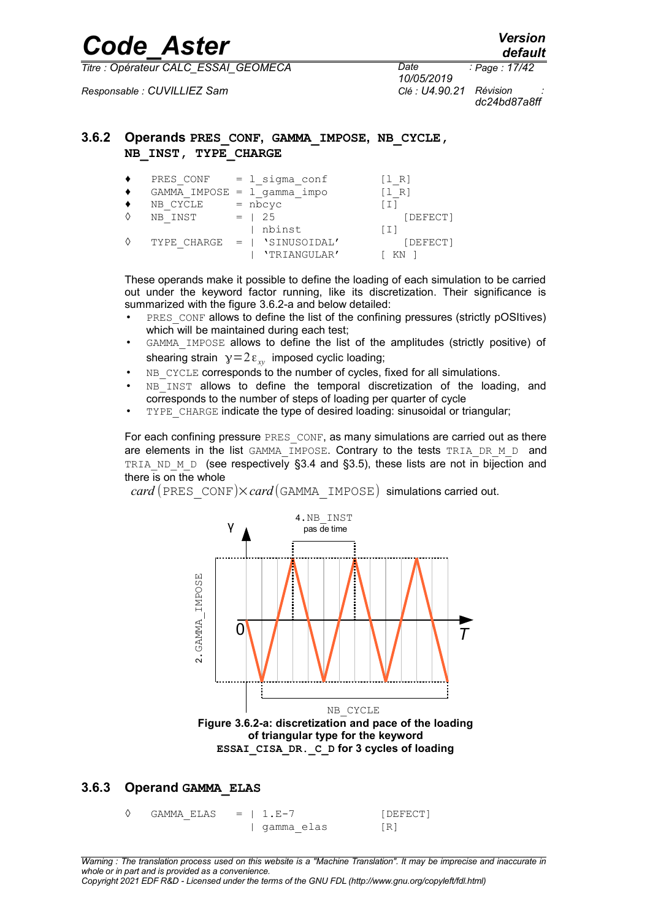*10/05/2019 Page : 17/42*

*Responsable : CUVILLIEZ Sam Clé : U4.90.21 Révision :*

*dc24bd87a8ff*

#### **3.6.2 Operands PRES\_CONF, GAMMA\_IMPOSE, NB\_CYCLE, NB\_INST, TYPE\_CHARGE**

| PRES CONF | = 1 sigma conf               | [1 R]          |
|-----------|------------------------------|----------------|
|           | GAMMA IMPOSE = 1 gamma impo  | R <sub>1</sub> |
| NB CYCLE  | $=$ nbcyc                    |                |
| NB INST   | $=$ 1 2.5                    | [DEFECT]       |
|           | nbinst                       | [I]            |
|           | TYPE CHARGE =   'SINUSOIDAL' | [DEFECT]       |
|           | 'TRIANGULAR'                 | ΚN             |

These operands make it possible to define the loading of each simulation to be carried out under the keyword factor running, like its discretization. Their significance is summarized with the figure [3.6.2-a](#page-16-0) and below detailed:

- PRES CONF allows to define the list of the confining pressures (strictly pOSItives) which will be maintained during each test;
- GAMMA\_IMPOSE allows to define the list of the amplitudes (strictly positive) of shearing strain  $y=2\varepsilon_{xy}$  imposed cyclic loading;
- NB\_CYCLE corresponds to the number of cycles, fixed for all simulations.
- NB INST allows to define the temporal discretization of the loading, and corresponds to the number of steps of loading per quarter of cycle
- TYPE CHARGE indicate the type of desired loading: sinusoidal or triangular;

For each confining pressure PRES CONF, as many simulations are carried out as there are elements in the list  $GAMMA$  IMPOSE. Contrary to the tests TRIA DR M D and TRIA ND M D (see respectively [§3.4](#page-10-2) and [§3.5\)](#page-13-3), these lists are not in bijection and there is on the whole

 $card$  (PRES CONF) $\times card$  (GAMMA IMPOSE) simulations carried out.



#### **3.6.3 Operand GAMMA\_ELAS**

<span id="page-16-0"></span> $\Diamond$  GAMMA ELAS = | 1.E-7 [DEFECT] | gamma\_elas [R]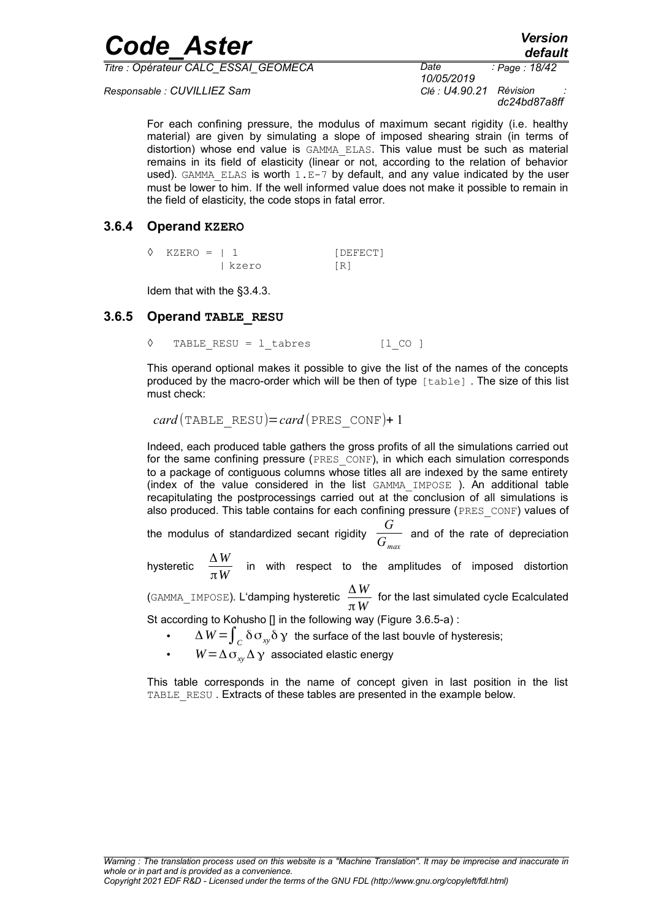| <b>Code Aster</b> | <b>Version</b> |
|-------------------|----------------|
|                   | default        |

*Responsable : CUVILLIEZ Sam Clé : U4.90.21 Révision :*

*10/05/2019 Page : 18/42 dc24bd87a8ff*

For each confining pressure, the modulus of maximum secant rigidity (i.e. healthy material) are given by simulating a slope of imposed shearing strain (in terms of distortion) whose end value is GAMMA\_ELAS. This value must be such as material remains in its field of elasticity (linear or not, according to the relation of behavior used). GAMMA\_ELAS is worth  $1.E-7$  by default, and any value indicated by the user must be lower to him. If the well informed value does not make it possible to remain in the field of elasticity, the code stops in fatal error.

#### **3.6.4 Operand KZERO**

| $\Diamond$ KZERO = 1 1 |         | [DEFECT] |
|------------------------|---------|----------|
|                        | l kzero | [R]      |

Idem that with the [§3.4.3.](#page-11-2)

#### **3.6.5 Operand TABLE\_RESU**

◊ TABLE\_RESU = l\_tabres [l\_CO ]

This operand optional makes it possible to give the list of the names of the concepts produced by the macro-order which will be then of type [table] . The size of this list must check:

 $card(TABLE$  RESU)=*card* (PRES CONF)+ 1

Indeed, each produced table gathers the gross profits of all the simulations carried out for the same confining pressure (PRES CONF), in which each simulation corresponds to a package of contiguous columns whose titles all are indexed by the same entirety (index of the value considered in the list GAMMA\_IMPOSE ). An additional table recapitulating the postprocessings carried out at the conclusion of all simulations is also produced. This table contains for each confining pressure (PRES\_CONF) values of

the modulus of standardized secant rigidity  $\overline{G}$  $\overline{G}_{max}$  and of the rate of depreciation

hysteretic  $\frac{\Delta W}{\Delta M}$  $\frac{m}{\pi W}$  in with respect to the amplitudes of imposed distortion

(GAMMA\_IMPOSE). L'damping hysteretic <sup>Δ</sup> *<sup>W</sup>*  $\frac{m}{\pi}$  for the last simulated cycle Ecalculated

St according to Kohusho [] in the following way (Figure [3.6.5-a\)](#page-18-0) :

- $\Delta$   $W$   $=$   $\int_{C}$   $\delta$   $\sigma_{xy}$  $\delta$   $\gamma$   $\,$  the surface of the last bouvle of hysteresis;
- $W = \Delta \sigma_{xy} \Delta \gamma$  associated elastic energy

This table corresponds in the name of concept given in last position in the list TABLE\_RESU. Extracts of these tables are presented in the example below.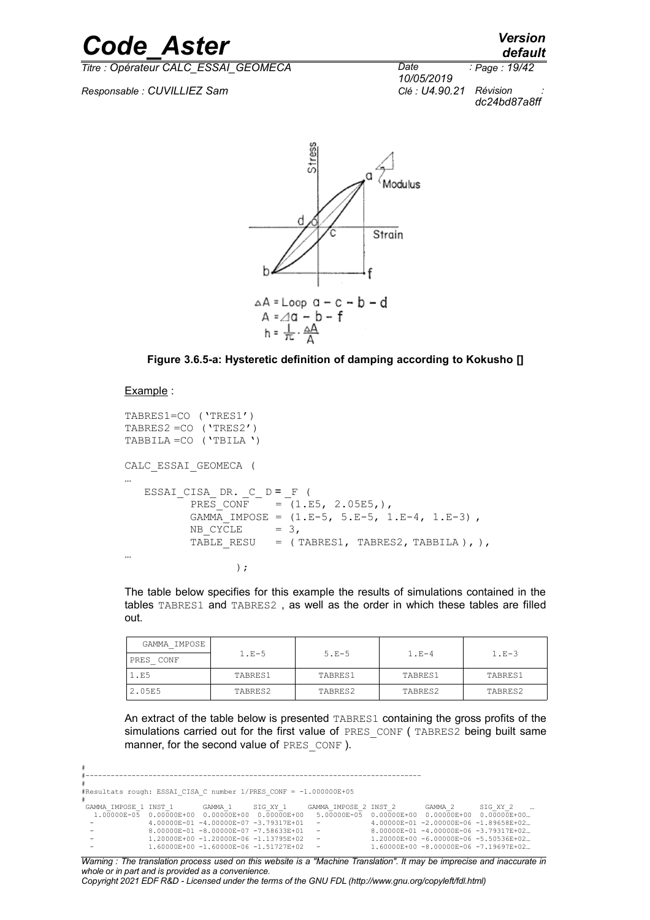*default*

*Titre : Opérateur CALC\_ESSAI\_GEOMECA Date :*

*Responsable : CUVILLIEZ Sam Clé : U4.90.21 Révision :*

*10/05/2019 Page : 19/42 dc24bd87a8ff*



<span id="page-18-0"></span>**Figure 3.6.5-a: Hysteretic definition of damping according to Kokusho []**

#### Example :

```
TABRES1=CO ('TRES1')
TABRES2 =CO ('TRES2')
TABBILA =CO ('TBILA ')
CALC_ESSAI_GEOMECA (
…
   ESSAI_CISA_ DR. _C_ D = _F (<br>PRES CONF = (1.5= (1.E5, 2.05E5,),GAMMA IMPOSE = (1.E-5, 5.E-5, 1.E-4, 1.E-3)NB CYCLE = 3,TABLE RESU = ( TABRES1, TABRES2, TABBILA ), ),
…
);
```
The table below specifies for this example the results of simulations contained in the tables TABRES1 and TABRES2 , as well as the order in which these tables are filled out.

| GAMMA IMPOSE |         |         |         |         |
|--------------|---------|---------|---------|---------|
| PRES CONF    | $1.E-5$ | $5.E-5$ | $1.E-4$ | $1.E-3$ |
| 1.E5         | TABRES1 | TABRES1 | TABRES1 | TABRES1 |
| 2.05E5       | TABRES2 | TABRES2 | TABRES2 | TABRES2 |

An extract of the table below is presented TABRES1 containing the gross profits of the simulations carried out for the first value of PRES CONF (TABRES2 being built same manner, for the second value of PRES CONF ).

```
#
#--------------------------------------------------------------------------------
#
#Resultats rough: ESSAI_CISA_C number 1/PRES_CONF = -1.000000E+05
GAMMA IMPOSE 1 INST 1
... GAMMA_IMPOSE_1_INST_1 GAMMA_1SIG_XY_1 GAMMA_IMPOSE_2_INST_2 GAMMA_2 SIG_XY_2<br>1.00000E-05 0.00000E+00 0.0000E+00 0.00000E+00 5.00000E-05 0.00000E-00 0.0000DE+00 0.0000E+00<br>1.00000E-06 -1.89658E+02... - 1.00000E-07 -3.79
                         0.00000E-01 -8.00000E-07 -7.58633E+01 - 8.00000E-01 -8.00000E-06 -3.79317E+02…<br>
1.20000E+00 -1.20000E-06 -1.13795E+02 - 1.20000E-00 -6.00000E-06 -5.50536E+02…<br>
1.60000E+00 -1.60000E-06 -1.51727E+02 - 1.60000E+00 -8.00000E
 - 1.20000E+00 -1.20000E-06 -1.13795E+02 - 1.20000E+00 -6.00000E-06 -5.50536E+02…
 - 1.60000E+00 -1.60000E-06 -1.51727E+02 - 1.60000E+00 -8.00000E-06 -7.19697E+02…
```
*Warning : The translation process used on this website is a "Machine Translation". It may be imprecise and inaccurate in whole or in part and is provided as a convenience. Copyright 2021 EDF R&D - Licensed under the terms of the GNU FDL (http://www.gnu.org/copyleft/fdl.html)*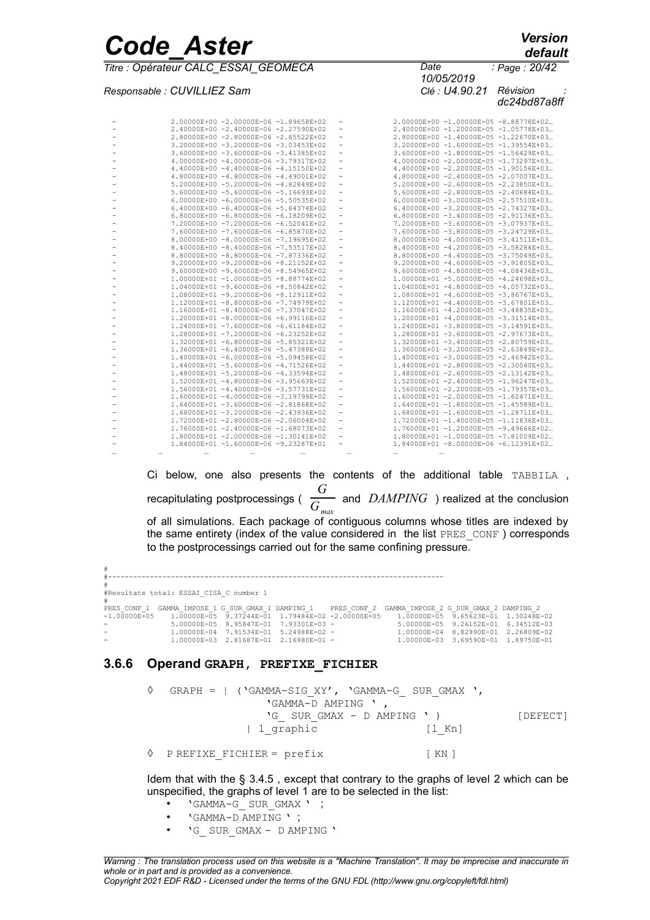*Responsable : CUVILLIEZ Sam Clé : U4.90.21 Révision :*

*default 10/05/2019 Page : 20/42*

*dc24bd87a8ff*

| 2.00000E+00 -2.00000E-06 -1.89658E+02                                          |                          | 2.00000E+00 -1.00000E-05 -8.88778E+02                                          |
|--------------------------------------------------------------------------------|--------------------------|--------------------------------------------------------------------------------|
| 2.40000E+00 -2.40000E-06 -2.27590E+02                                          | $\overline{\phantom{a}}$ | 2.40000E+00 -1.20000E-05 -1.05778E+03                                          |
| 2.80000E+00 -2.80000E-06 -2.65522E+02                                          |                          | 2.80000E+00 -1.40000E-05 -1.22670E+03                                          |
| 3.20000E+00 -3.20000E-06 -3.03453E+02                                          | $\overline{\phantom{a}}$ | 3.20000E+00 -1.60000E-05 -1.39554E+03                                          |
| 3.60000E+00 -3.60000E-06 -3.41385E+02                                          | $\overline{\phantom{a}}$ | 3.60000E+00 -1.80000E-05 -1.56429E+03                                          |
| 4.00000E+00 -4.00000E-06 -3.79317E+02                                          |                          | 4.00000E+00 -2.00000E-05 -1.73297E+03                                          |
| $4.40000E+00 - 4.40000E-06 - 4.15150E+02$                                      |                          | 4.40000E+00 -2.20000E-05 -1.90156E+03                                          |
| 4.80000E+00 -4.80000E-06 -4.49001E+02                                          | $\overline{\phantom{a}}$ | 4.80000E+00 -2.40000E-05 -2.07007E+03                                          |
| 5.20000E+00 -5.20000E-06 -4.82849E+02                                          |                          | 5.20000E+00 -2.60000E-05 -2.23850E+03                                          |
| 5.60000E+00 -5.60000E-06 -5.16693E+02                                          | $\overline{\phantom{a}}$ | 5.60000E+00 -2.80000E-05 -2.40684E+03                                          |
| 6.00000E+00 -6.00000E-06 -5.50535E+02                                          | $\overline{\phantom{a}}$ | 6.00000E+00 -3.00000E-05 -2.57510E+03                                          |
| 6.40000E+00 -6.40000E-06 -5.84374E+02                                          |                          | $6.40000E+00 -3.20000E-05 -2.74327E+03$                                        |
| $6.80000E+00 - 6.80000E-06 - 6.18209E+02$                                      |                          | 6.80000E+00 -3.40000E-05 -2.91136E+03                                          |
| 7.20000E+00 -7.20000E-06 -6.52041E+02                                          | $\overline{\phantom{a}}$ | 7.20000E+00 -3.60000E-05 -3.07937E+03                                          |
| 7.60000E+00 -7.60000E-06 -6.85870E+02                                          |                          | 7.60000E+00 -3.80000E-05 -3.24729E+03                                          |
| 8.00000E+00 -8.00000E-06 -7.19695E+02                                          |                          | 8.00000E+00 -4.00000E-05 -3.41511E+03                                          |
| 8.40000E+00 -8.40000E-06 -7.53517E+02                                          | $\overline{\phantom{a}}$ | 8.40000E+00 -4.20000E-05 -3.58284E+03                                          |
| 8.80000E+00 -8.80000E-06 -7.87336E+02                                          |                          | 8.80000E+00 -4.40000E-05 -3.75049E+03                                          |
| 9.20000E+00 -9.20000E-06 -8.21152E+02                                          |                          | $9.20000E+00 -4.60000E-05 -3.91805E+03$                                        |
| 9.60000E+00 -9.60000E-06 -8.54965E+02                                          | -                        | $9.60000E+00 -4.80000E-05 -4.08436E+03$                                        |
| 1.00000E+01 -1.00000E-05 -8.88774E+02                                          |                          | 1.00000E+01 -5.00000E-05 -4.24698E+03                                          |
| 1.04000E+01 -9.60000E-06 -8.50842E+02                                          |                          | 1.04000E+01 -4.80000E-05 -4.05732E+03                                          |
| 1.08000E+01 -9.20000E-06 -8.12911E+02                                          | $\overline{\phantom{a}}$ | 1.08000E+01 -4.60000E-05 -3.86767E+03                                          |
| 1.12000E+01 -8.80000E-06 -7.74979E+02                                          |                          | 1.12000E+01 -4.40000E-05 -3.67801E+03                                          |
| 1.16000E+01 -8.40000E-06 -7.37047E+02                                          | ۰                        | 1.16000E+01 -4.20000E-05 -3.48835E+03                                          |
| 1.20000E+01 -8.00000E-06 -6.99116E+02                                          | $\overline{\phantom{0}}$ | 1.20000E+01 -4.00000E-05 -3.31514E+03                                          |
| 1.24000E+01 -7.60000E-06 -6.61184E+02                                          |                          | 1.24000E+01 -3.80000E-05 -3.14591E+03                                          |
| 1.28000E+01 -7.20000E-06 -6.23252E+02                                          |                          | 1.28000E+01 -3.60000E-05 -2.97673E+03                                          |
| 1.32000E+01 -6.80000E-06 -5.85321E+02                                          | $\overline{\phantom{a}}$ | 1.32000E+01 -3.40000E-05 -2.80759E+03                                          |
| 1.36000E+01 -6.40000E-06 -5.47389E+02                                          |                          | 1.36000E+01 -3.20000E-05 -2.63849E+03                                          |
| 1.40000E+01 -6.00000E-06 -5.09458E+02                                          |                          | 1.40000E+01 -3.00000E-05 -2.46942E+03                                          |
| 1.44000E+01 -5.60000E-06 -4.71526E+02                                          | $\overline{\phantom{a}}$ | 1.44000E+01 -2.80000E-05 -2.30040E+03                                          |
| 1.48000E+01 -5.20000E-06 -4.33594E+02                                          |                          | 1.48000E+01 -2.60000E-05 -2.13142E+03                                          |
| 1.52000E+01 -4.80000E-06 -3.95663E+02                                          |                          | 1.52000E+01 -2.40000E-05 -1.96247E+03                                          |
| 1.56000E+01 -4.40000E-06 -3.57731E+02                                          | $\overline{\phantom{a}}$ | 1.56000E+01 -2.20000E-05 -1.79357E+03                                          |
| 1.60000E+01 -4.00000E-06 -3.19799E+02                                          | -                        | 1.60000E+01 -2.00000E-05 -1.62471E+03                                          |
| 1.64000E+01 -3.60000E-06 -2.81868E+02                                          |                          | 1.64000E+01 -1.80000E-05 -1.45589E+03                                          |
|                                                                                | $\overline{\phantom{a}}$ |                                                                                |
| 1.68000E+01 -3.20000E-06 -2.43936E+02<br>1.72000E+01 -2.80000E-06 -2.06004E+02 |                          | 1.68000E+01 -1.60000E-05 -1.28711E+03<br>1.72000E+01 -1.40000E-05 -1.11836E+03 |
|                                                                                |                          |                                                                                |
| 1.76000E+01 -2.40000E-06 -1.68073E+02                                          |                          | 1.76000E+01 -1.20000E-05 -9.49666E+02                                          |
| 1.80000E+01 -2.00000E-06 -1.30141E+02<br>1.84000E+01 -1.60000E-06 -9.23287E+01 |                          | 1.80000E+01 -1.00000E-05 -7.81009E+02                                          |
|                                                                                |                          | 1.84000E+01 -8.00000E-06 -6.12391E+02                                          |
|                                                                                |                          | $\cdots$                                                                       |

Ci below, one also presents the contents of the additional table TABBILA , recapitulating postprocessings ( *G*  $\overline{G}_{max}$  and *DAMPING* ) realized at the conclusion of all simulations. Each package of contiguous columns whose titles are indexed by the same entirety (index of the value considered in the list PRES\_CONF ) corresponds to the postprocessings carried out for the same confining pressure.

# #-------------------------------------------------------------------------------- # #Resultats total: ESSAI\_CISA\_C number 1 % #<br>PRES\_CONF\_1 GAMMA\_IMPOSE\_1 G\_SUR\_GMAX\_1 DAMPING\_1 PRES\_CONF\_2 GAMMA\_IMPOSE\_2 G\_SUR\_GMAX\_2 DAMPING\_2<br>-1.00000E+05 1.00000E-05 9.37244E-01 1.79484E-02 -2.00000E+05 1.00000E-05 9.65623E-01 1.30248E-02<br>- 5.00000E-05 8.9584 - 1.00000E-03 2.81687E-01 2.16980E-01 - 1.00000E-03 3.69590E-01 1.89750E-01

#### **3.6.6 Operand GRAPH, PREFIXE\_FICHIER**

| $\Diamond$ GRAPH =   ('GAMMA-SIG XY', 'GAMMA-G SUR GMAX ',<br>'GAMMA-D AMPING ', |                                 |          |
|----------------------------------------------------------------------------------|---------------------------------|----------|
| 'G SUR GMAX - D AMPING ' )<br>  1 graphic                                        | $\lceil$ $\lfloor$ Kn $\rfloor$ | [DEFECT] |
| $\Diamond$ PREFIXE FICHIER = prefix                                              | [KN]                            |          |

Idem that with the § [3.4.5](#page-12-0) , except that contrary to the graphs of level 2 which can be unspecified, the graphs of level 1 are to be selected in the list:

- 'GAMMA-G\_ SUR\_GMAX ' ;
- 'GAMMA-D AMPING ' ;
- 'G\_ SUR\_GMAX D AMPING '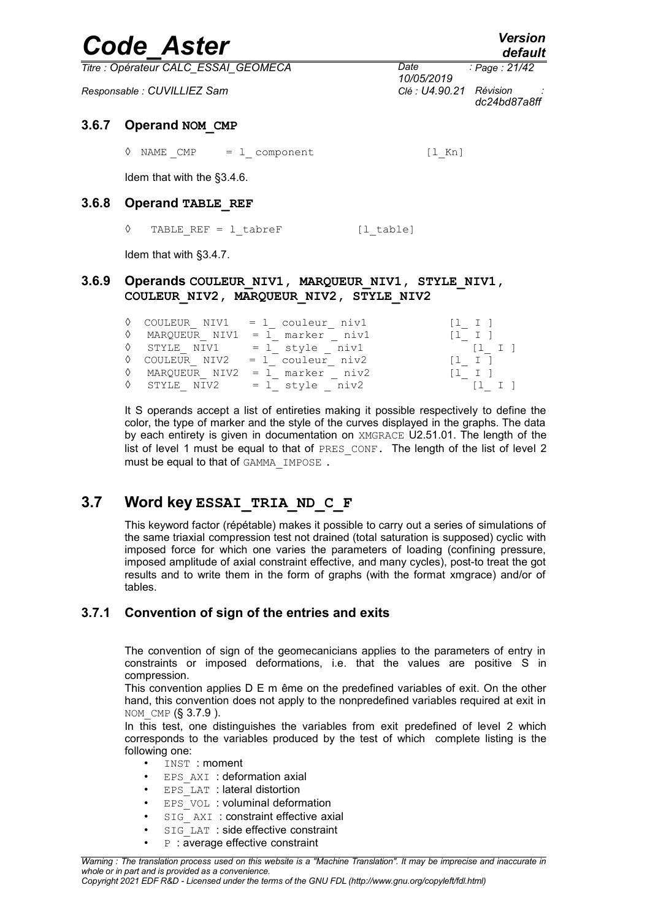*Titre : Opérateur CALC\_ESSAI\_GEOMECA Date :*

*Responsable : CUVILLIEZ Sam Clé : U4.90.21 Révision :*

*10/05/2019 Page : 21/42 dc24bd87a8ff*

#### **3.6.7 Operand NOM\_CMP**

<span id="page-20-0"></span> $\Diamond$  NAME CMP = 1 component [l Kn]

Idem that with the [§3.4.6.](#page-13-0)

#### **3.6.8 Operand TABLE\_REF**

◊ TABLE\_REF = l\_tabreF [l\_table]

Idem that with [§3.4.7.](#page-13-2)

#### **3.6.9 Operands COULEUR\_NIV1, MARQUEUR\_NIV1, STYLE\_NIV1, COULEUR\_NIV2, MARQUEUR\_NIV2, STYLE\_NIV2**

|  | $\Diamond$ COULEUR NIV1 = 1 couleur niv1 | $\begin{bmatrix} 1 & 1 \end{bmatrix}$ |
|--|------------------------------------------|---------------------------------------|
|  | WARQUEUR NIV1 = 1 marker niv1            | $\begin{bmatrix} 1 & 1 \end{bmatrix}$ |
|  | $\Diamond$ STYLE NIV1 = 1 style niv1     | $\begin{bmatrix} 1 & 1 \end{bmatrix}$ |
|  | $\Diamond$ COULEUR NIV2 = 1 couleur niv2 | $[1 \quad I \quad ]$                  |
|  | $\Diamond$ MARQUEUR NIV2 = 1 marker niv2 | $\begin{bmatrix} 1 & 1 \end{bmatrix}$ |
|  | $\Diamond$ STYLE NIV2 = 1 style niv2     | $\begin{bmatrix} 1 & 1 \end{bmatrix}$ |

It S operands accept a list of entireties making it possible respectively to define the color, the type of marker and the style of the curves displayed in the graphs. The data by each entirety is given in documentation on XMGRACE U2.51.01. The length of the list of level 1 must be equal to that of PRES CONF. The length of the list of level 2 must be equal to that of GAMMA\_IMPOSE.

### **3.7 Word key ESSAI\_TRIA\_ND\_C\_F**

This keyword factor (répétable) makes it possible to carry out a series of simulations of the same triaxial compression test not drained (total saturation is supposed) cyclic with imposed force for which one varies the parameters of loading (confining pressure, imposed amplitude of axial constraint effective, and many cycles), post-to treat the got results and to write them in the form of graphs (with the format xmgrace) and/or of tables.

### **3.7.1 Convention of sign of the entries and exits**

The convention of sign of the geomecanicians applies to the parameters of entry in constraints or imposed deformations, i.e. that the values are positive S in compression.

This convention applies D E m ême on the predefined variables of exit. On the other hand, this convention does not apply to the nonpredefined variables required at exit in NOM CMP (§ [3.7.9](#page-28-0) ).

In this test, one distinguishes the variables from exit predefined of level 2 which corresponds to the variables produced by the test of which complete listing is the following one:

- INST : moment
- EPS AXI : deformation axial
- EPS LAT : lateral distortion
- EPS VOL : voluminal deformation
- SIG AXI : constraint effective axial
- SIG\_LAT : side effective constraint
- **P** : average effective constraint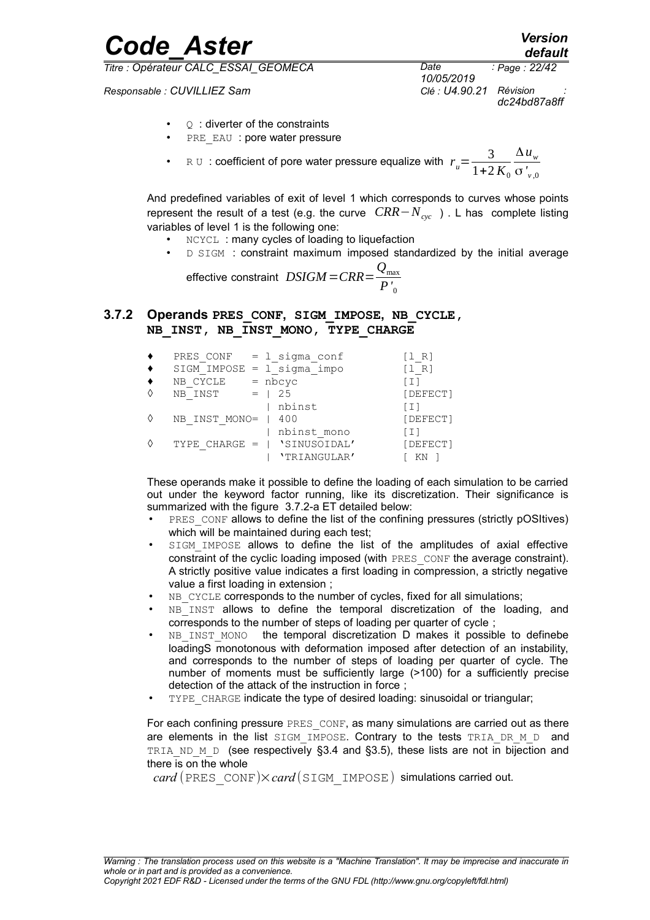*Responsable : CUVILLIEZ Sam Clé : U4.90.21 Révision :*

*Code\_Aster Version default*

> *10/05/2019 Page : 22/42 dc24bd87a8ff*

- $Q$ : diverter of the constraints
- PRE EAU : pore water pressure
- RU : coefficient of pore water pressure equalize with  $r_u = \frac{3}{1+2}$  $1+2 K_0$ Δ*u<sup>w</sup>* σ *' v* ,0

And predefined variables of exit of level 1 which corresponds to curves whose points represent the result of a test (e.g. the curve *CRR*−*Ncyc* ) . L has complete listing variables of level 1 is the following one:

- **NCYCL : many cycles of loading to liquefaction**
- D SIGM : constraint maximum imposed standardized by the initial average

effective constraint *DSIGM*=*CRR*= *Q*max *P'* 0

#### **3.7.2 Operands PRES\_CONF, SIGM\_IMPOSE, NB\_CYCLE, NB\_INST, NB\_INST\_MONO, TYPE\_CHARGE**

| PRES CONF       | = 1 sigma conf               | [1 R]                                 |
|-----------------|------------------------------|---------------------------------------|
|                 | $SIGM$ IMPOSE = 1 sigma impo | $\begin{bmatrix} 1 & R \end{bmatrix}$ |
| NB CYCLE        | $=$ nbcyc                    | [I]                                   |
| NB INST         | 25<br>$=$ $\Box$             | [DEFECT]                              |
|                 | nbinst                       | [I]                                   |
| NB INST MONO=   | 400                          | [DEFECT]                              |
|                 | nbinst mono                  | [I]                                   |
| TYPE CHARGE $=$ | 'SINUSOIDAL'                 | [DEFECT]                              |
|                 | 'TRIANGULAR'                 |                                       |

These operands make it possible to define the loading of each simulation to be carried out under the keyword factor running, like its discretization. Their significance is summarized with the figure [3.7.2-a](#page-22-0) ET detailed below:

- PRES CONF allows to define the list of the confining pressures (strictly pOSItives) which will be maintained during each test;
- SIGM IMPOSE allows to define the list of the amplitudes of axial effective constraint of the cyclic loading imposed (with PRES\_CONF the average constraint). A strictly positive value indicates a first loading in compression, a strictly negative value a first loading in extension ;
- NB CYCLE corresponds to the number of cycles, fixed for all simulations;
- NB INST allows to define the temporal discretization of the loading, and corresponds to the number of steps of loading per quarter of cycle ;
- NB\_INST\_MONO the temporal discretization D makes it possible to definebe loadingS monotonous with deformation imposed after detection of an instability, and corresponds to the number of steps of loading per quarter of cycle. The number of moments must be sufficiently large (>100) for a sufficiently precise detection of the attack of the instruction in force ;
- TYPE CHARGE indicate the type of desired loading: sinusoidal or triangular;

For each confining pressure PRES CONF, as many simulations are carried out as there are elements in the list  $SIGM$  IMPOSE. Contrary to the tests TRIA DR M D and TRIA ND M D (see respectively [§3.4](#page-10-2) and [§3.5\)](#page-13-3), these lists are not in bijection and there is on the whole

 $card$  (PRES CONF) $\times card$  (SIGM IMPOSE) simulations carried out.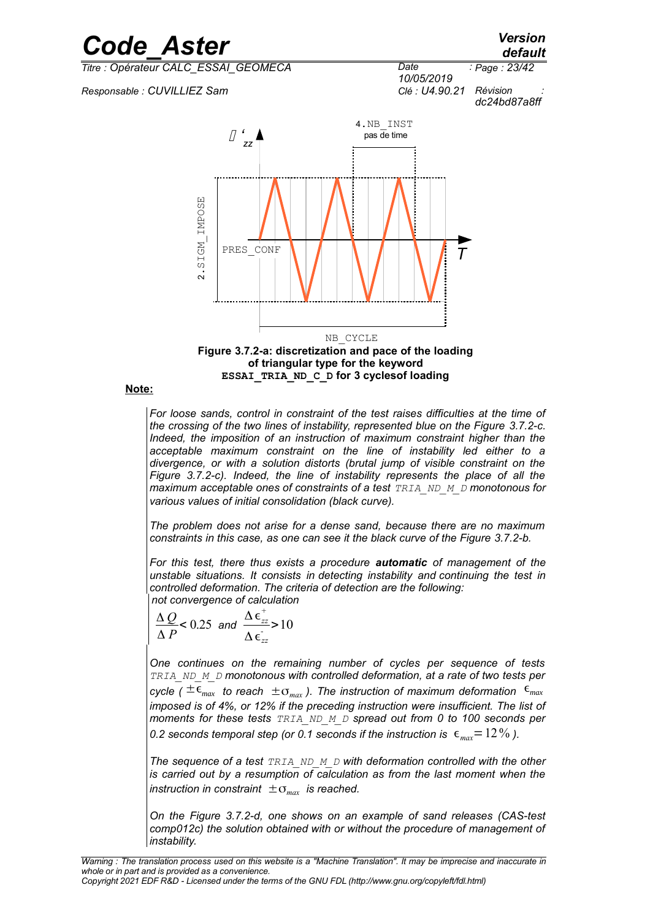

**Note:**

<span id="page-22-0"></span>*For loose sands, control in constraint of the test raises difficulties at the time of the crossing of the two lines of instability, represented blue on the Figure [3.7.2-c.](#page-23-1) Indeed, the imposition of an instruction of maximum constraint higher than the acceptable maximum constraint on the line of instability led either to a divergence, or with a solution distorts (brutal jump of visible constraint on the Figure [3.7.2-c\)](#page-23-1). Indeed, the line of instability represents the place of all the maximum acceptable ones of constraints of a test TRIA\_ND\_M\_D monotonous for various values of initial consolidation (black curve).*

*The problem does not arise for a dense sand, because there are no maximum constraints in this case, as one can see it the black curve of the Figure [3.7.2-b.](#page-23-0)*

*For this test, there thus exists a procedure automatic of management of the unstable situations. It consists in detecting instability and continuing the test in controlled deformation. The criteria of detection are the following: not convergence of calculation*

$$
\frac{\Delta Q}{\Delta P} < 0.25 \text{ and } \frac{\Delta \epsilon_{zz}^{+}}{\Delta \epsilon_{zz}^{-}} > 10
$$

*One continues on the remaining number of cycles per sequence of tests TRIA\_ND\_M\_D monotonous with controlled deformation, at a rate of two tests per cycle* ( $\pm \epsilon_{max}$  *to reach*  $\pm \sigma_{max}$ ). The instruction of maximum deformation  $\epsilon_{max}$ *imposed is of 4%, or 12% if the preceding instruction were insufficient. The list of moments for these tests TRIA\_ND\_M\_D spread out from 0 to 100 seconds per 0.2 seconds temporal step (or 0.1 seconds if the instruction is*  $\epsilon_{\textit{max}} = 12\%$ ).

*The sequence of a test TRIA\_ND\_M\_D with deformation controlled with the other is carried out by a resumption of calculation as from the last moment when the instruction in constraint*  $±σ<sub>max</sub>$  *is reached.* 

*On the Figure [3.7.2-d,](#page-24-0) one shows on an example of sand releases (CAS-test comp012c) the solution obtained with or without the procedure of management of instability.*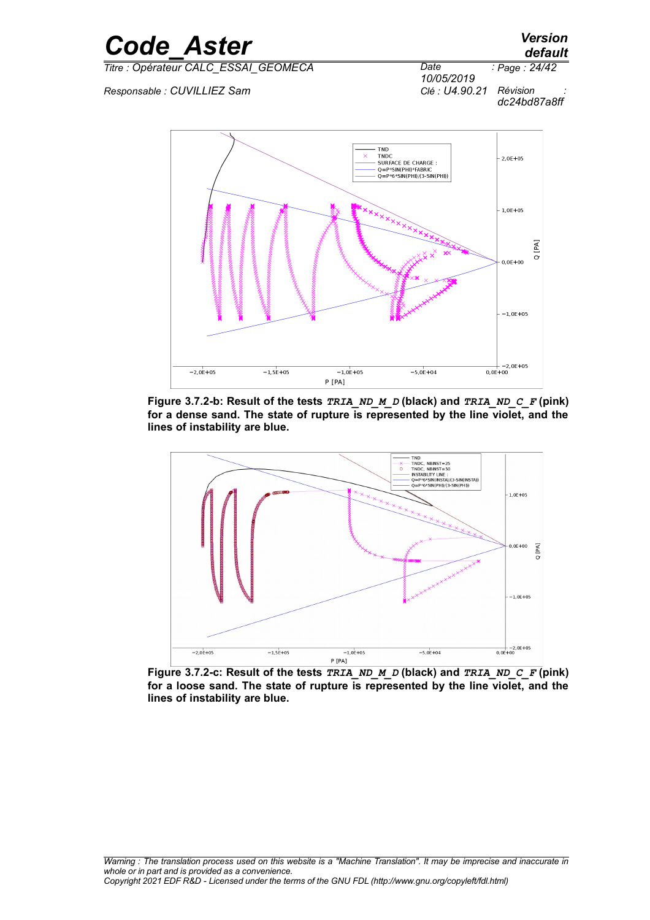*Page : 24/42*



 $Responsible : CUVILLIEZ Sam$ 





<span id="page-23-0"></span>**Figure 3.7.2-b: Result of the tests** *TRIA\_ND\_M\_D* **(black) and** *TRIA\_ND\_C\_F* **(pink) for a dense sand. The state of rupture is represented by the line violet, and the lines of instability are blue.**



<span id="page-23-1"></span>**Figure 3.7.2-c: Result of the tests** *TRIA\_ND\_M\_D* **(black) and** *TRIA\_ND\_C\_F* **(pink) for a loose sand. The state of rupture is represented by the line violet, and the lines of instability are blue.**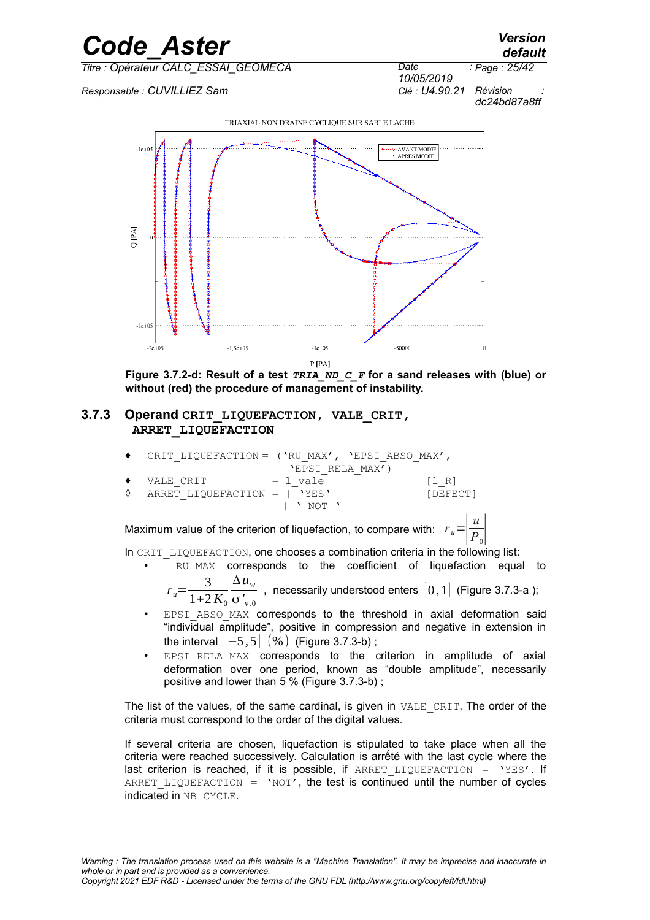

*Responsable : CUVILLIEZ Sam Clé : U4.90.21 Révision :*



*10/05/2019 dc24bd87a8ff*



<span id="page-24-1"></span><span id="page-24-0"></span>**Figure 3.7.2-d: Result of a test** *TRIA\_ND\_C\_F* **for a sand releases with (blue) or without (red) the procedure of management of instability.**

#### **3.7.3 Operand CRIT\_LIQUEFACTION, VALE\_CRIT, ARRET\_LIQUEFACTION**

|   |                              | CRIT LIQUEFACTION = $(\text{VRU MAX}', \text{'EPSI ABSO MAX}',$                                                                                                                                                                                                                                                                                                                      |                                       |
|---|------------------------------|--------------------------------------------------------------------------------------------------------------------------------------------------------------------------------------------------------------------------------------------------------------------------------------------------------------------------------------------------------------------------------------|---------------------------------------|
|   |                              | 'EPSI RELA MAX')                                                                                                                                                                                                                                                                                                                                                                     |                                       |
|   | VALE CRIT                    | = 1 vale                                                                                                                                                                                                                                                                                                                                                                             | $\begin{bmatrix} 1 & R \end{bmatrix}$ |
| ♦ | ARRET LIQUEFACTION =   'YES' |                                                                                                                                                                                                                                                                                                                                                                                      | [DEFECT]                              |
|   |                              | $\overline{1}$ $\overline{1}$ $\overline{1}$ $\overline{1}$ $\overline{1}$ $\overline{1}$ $\overline{1}$ $\overline{1}$ $\overline{1}$ $\overline{1}$ $\overline{1}$ $\overline{1}$ $\overline{1}$ $\overline{1}$ $\overline{1}$ $\overline{1}$ $\overline{1}$ $\overline{1}$ $\overline{1}$ $\overline{1}$ $\overline{1}$ $\overline{1}$ $\overline{1}$ $\overline{1}$ $\overline{$ |                                       |

Maximum value of the criterion of liquefaction, to compare with:  $\left| \frac{u}{P} \right|$ *P*<sub>0</sub>∣

In CRIT\_LIQUEFACTION, one chooses a combination criteria in the following list:

- RU MAX corresponds to the coefficient of liquefaction equal to  $r_u = \frac{3}{1+2}$ Δ*u<sup>w</sup>*
	- $1+2 K_0$ σ*' v* ,0 , necessarily understood enters  $\begin{bmatrix} 0 & 1 \end{bmatrix}$  (Figure [3.7.3-a](#page-25-1) );
- EPSI ABSO MAX corresponds to the threshold in axial deformation said "individual amplitude", positive in compression and negative in extension in the interval  $|-5,5|$   $(%)$  (Figure [3.7.3-b\)](#page-25-0);
- EPSI RELA MAX corresponds to the criterion in amplitude of axial deformation over one period, known as "double amplitude", necessarily positive and lower than 5 % (Figure [3.7.3-b\)](#page-25-0) ;

The list of the values, of the same cardinal, is given in VALE\_CRIT. The order of the criteria must correspond to the order of the digital values.

If several criteria are chosen, liquefaction is stipulated to take place when all the criteria were reached successively. Calculation is arrếté with the last cycle where the last criterion is reached, if it is possible, if  $ARRET LIQUEFACTION = 'YES'.$  If ARRET LIQUEFACTION = 'NOT', the test is continued until the number of cycles indicated in NB CYCLE.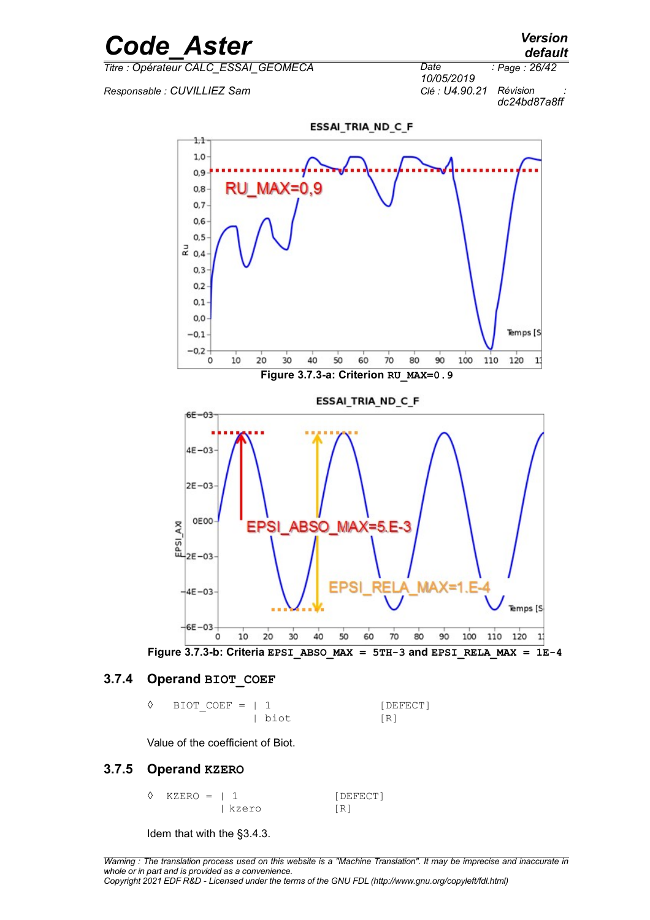

*Responsable : CUVILLIEZ Sam Clé : U4.90.21 Révision :*



<span id="page-25-1"></span>ESSAI\_TRIA\_ND\_C\_F  $1,1$  $1,0$  $0,9$ **MAX:** =0.9  $0,8$  $0,7$  $0,6$  $0, 5$  $\vec{a}$  0.4  $0,3$  $0.2$  $0,1$  $0,0$ Temps [S  $-0,1$  $-0.2$ 10 20  $30$ 40 50 60 70 80 90 100 110 120  $\mathbf{1}$  $\circ$ **Figure 3.7.3-a: Criterion RU\_MAX=0.9 ESSAI TRIA ND C F**  $65 - 03$  $4E-03$  $2E-03$ **OEOO**  $\begin{bmatrix} 8 \\ 4 \\ 1 \\ 2 \end{bmatrix}$  OEOO ABSO MAX=5.E-3 EPSI  $-4E-03$ Temps [S  $-6E - 03$  $\alpha$ 10  $20$ 30 40 50 60 70 80 90 100 110 120  $\mathbf{1}$ **Figure 3.7.3-b: Criteria EPSI\_ABSO\_MAX = 5TH-3 and EPSI\_RELA\_MAX =**  $1E-4$ 

#### **3.7.4 Operand BIOT\_COEF**

<span id="page-25-0"></span>
$$
\begin{array}{ll}\n\lozenge & \text{BIOT\_COEF} = | 1 & \text{[DEFECT]} \\
 & | \text{biot} & \text{[R]}\n\end{array}
$$

Value of the coefficient of Biot.

#### **3.7.5 Operand KZERO**

| $\Diamond$ KZERO = 1 1 |       | [DEFECT] |
|------------------------|-------|----------|
|                        | kzero | [R]      |

Idem that with the [§3.4.3.](#page-11-2)

*default*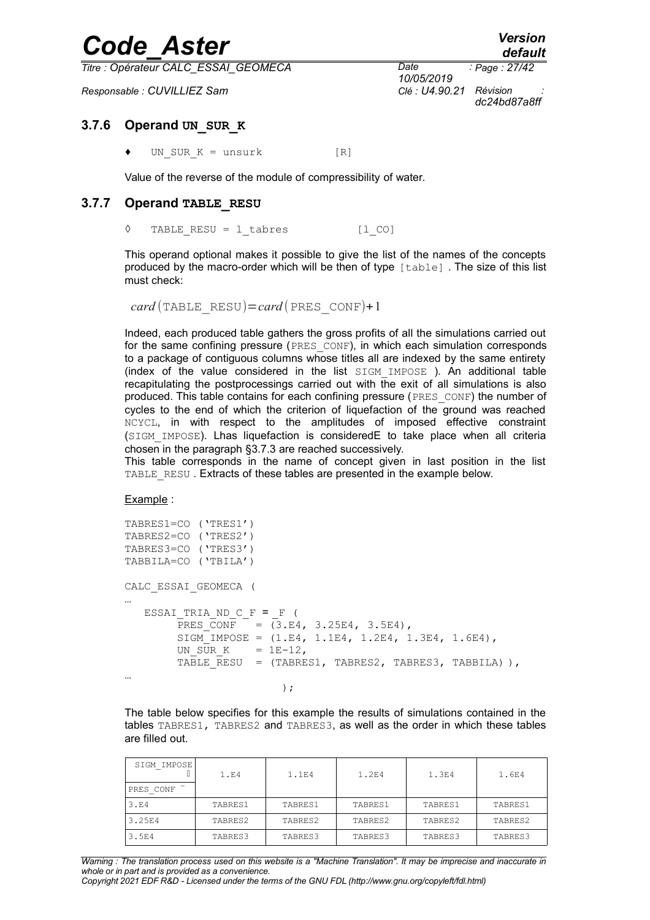*Titre : Opérateur CALC\_ESSAI\_GEOMECA Date :*

*Responsable : CUVILLIEZ Sam Clé : U4.90.21 Révision :*

*10/05/2019 Page : 27/42 dc24bd87a8ff*

#### **3.7.6 Operand UN\_SUR\_K**

UN SUR  $K =$  unsurk  $[R]$ 

Value of the reverse of the module of compressibility of water.

#### **3.7.7 Operand TABLE\_RESU**

◊ TABLE\_RESU = l\_tabres [l\_CO]

This operand optional makes it possible to give the list of the names of the concepts produced by the macro-order which will be then of type [table] . The size of this list must check:

 $card$  (TABLE\_RESU)= $card$  (PRES\_CONF)+1

Indeed, each produced table gathers the gross profits of all the simulations carried out for the same confining pressure (PRES CONF), in which each simulation corresponds to a package of contiguous columns whose titles all are indexed by the same entirety (index of the value considered in the list  $STGM$  IMPOSE ). An additional table recapitulating the postprocessings carried out with the exit of all simulations is also produced. This table contains for each confining pressure (PRES\_CONF) the number of cycles to the end of which the criterion of liquefaction of the ground was reached NCYCL, in with respect to the amplitudes of imposed effective constraint (SIGM\_IMPOSE). Lhas liquefaction is consideredE to take place when all criteria chosen in the paragraph [§3.7.3](#page-24-1) are reached successively.

This table corresponds in the name of concept given in last position in the list TABLE\_RESU. Extracts of these tables are presented in the example below.

Example :

```
TABRES1=CO ('TRES1')
TABRES2=CO ('TRES2')
TABRES3=CO ('TRES3')
TABBILA=CO ('TBILA')
CALC_ESSAI_GEOMECA (
…
   \begin{tabular}{ll} \multicolumn{2}{l}{{\bf ESSAI\_TRIA\_ND\_C\_F}} = \begin{tabular}{ll} = & $\end{tabular} \end{tabular}PRES CONF = (3.E4, 3.25E4, 3.5E4),
         SIGM IMPOSE = (1.E4, 1.IE4, 1.2E4, 1.3E4, 1.6E4)UN SUR K = 1E-12,
         TABLE RESU = (TABLES1, TABLES2, TABLES3, TABLEL) ),
…
) ;
```
The table below specifies for this example the results of simulations contained in the tables TABRES1, TABRES2 and TABRES3, as well as the order in which these tables are filled out.

| SIGM IMPOSE       | 1.54    | 1.1FA   | 1.2E4   | 1.3E4   | 1.6E4   |
|-------------------|---------|---------|---------|---------|---------|
| PRES CONF         |         |         |         |         |         |
| 3.E4              | TABRES1 | TABRES1 | TABRES1 | TABRES1 | TABRES1 |
| 3.25E4            | TABRES2 | TABRES2 | TABRES2 | TABRES2 | TABRES2 |
| 3.5 <sub>E4</sub> | TABRES3 | TABRES3 | TABRES3 | TABRES3 | TABRES3 |

*Warning : The translation process used on this website is a "Machine Translation". It may be imprecise and inaccurate in whole or in part and is provided as a convenience.*

*Copyright 2021 EDF R&D - Licensed under the terms of the GNU FDL (http://www.gnu.org/copyleft/fdl.html)*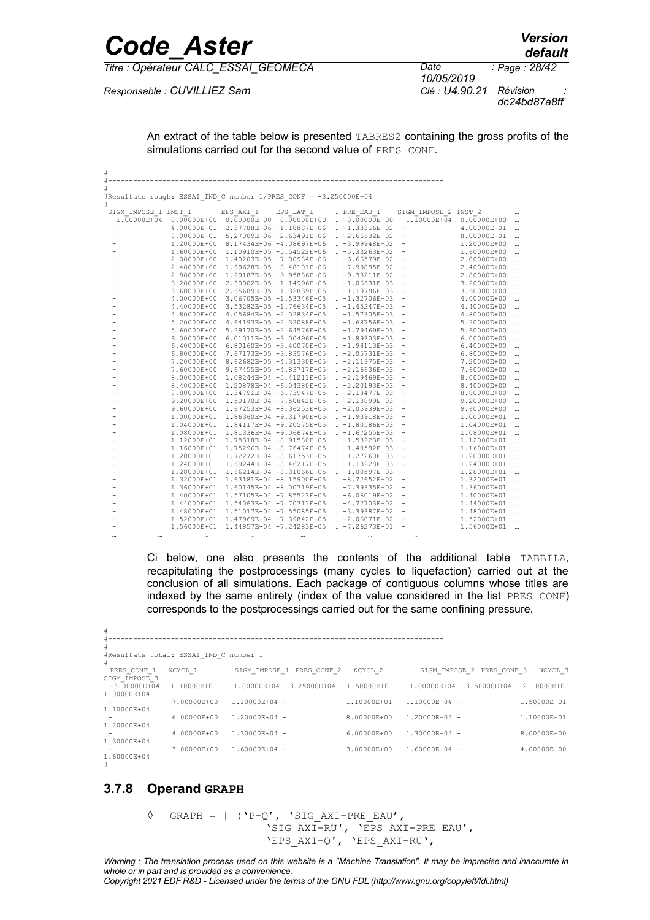| <b>Code Aster</b>                   |                                      |                                                                  |             |                                                                                                |                                                             |                            | <b>Version</b><br>default                                                              |
|-------------------------------------|--------------------------------------|------------------------------------------------------------------|-------------|------------------------------------------------------------------------------------------------|-------------------------------------------------------------|----------------------------|----------------------------------------------------------------------------------------|
|                                     | Titre : Opérateur CALC_ESSAI_GEOMECA |                                                                  |             |                                                                                                |                                                             | 10/05/2019                 | : Page: 28/42                                                                          |
| Responsable : CUVILLIEZ Sam         |                                      |                                                                  |             |                                                                                                |                                                             | Clé : U4.90.21             | Révision<br>dc24bd87a8ff                                                               |
|                                     |                                      |                                                                  |             | simulations carried out for the second value of PRES CONF.                                     |                                                             |                            | An extract of the table below is presented TABRES2 containing the gross profits of the |
|                                     |                                      |                                                                  |             |                                                                                                |                                                             |                            |                                                                                        |
|                                     |                                      | #Resultats rough: ESSAI TND C number 1/PRES CONF = -3.250000E+04 |             |                                                                                                |                                                             |                            |                                                                                        |
| #                                   |                                      |                                                                  |             |                                                                                                |                                                             |                            |                                                                                        |
| SIGM IMPOSE 1 INST 1<br>1.00000E+04 |                                      | EPS AXI 1<br>$0.00000E+00$ $0.00000E+00$ $0.00000E+00$           | EPS LAT 1   | PRE EAU 1<br>$\ldots$ -0.00000E+00                                                             | SIGM IMPOSE 2 INST 2<br>1.10000E+04 0.00000E+00             |                            |                                                                                        |
|                                     |                                      |                                                                  |             | 4.00000E-01 2.37788E-06 -1.18887E-06  -1.33316E+02                                             |                                                             | 4.00000E-01                | $\ddotsc$                                                                              |
|                                     | 8.00000E-01                          |                                                                  |             | 5.27009E-06 -2.63491E-06  -2.66632E+02                                                         | $\frac{1}{2}$                                               | 8.00000E-01                |                                                                                        |
|                                     |                                      |                                                                  |             | 1.20000E+00 8.17434E-06 -4.08697E-06  -3.99948E+02                                             | $\overline{\phantom{a}}$                                    | 1,20000E+00                |                                                                                        |
|                                     | 1,60000E+00                          |                                                                  |             | 1.10910E-05 -5.54522E-06  -5.33263E+02                                                         | $\hspace{0.1mm}-\hspace{0.1mm}$                             | 1,60000E+00                |                                                                                        |
|                                     | 2.00000E+00                          |                                                                  |             | 1.40203E-05 -7.00984E-06  -6.66579E+02                                                         | $\overline{\phantom{a}}$                                    | 2.00000E+00                |                                                                                        |
|                                     | 2.40000E+00<br>2.80000E+00           |                                                                  |             | 1.69628E-05 -8.48101E-06  -7.99895E+02<br>1.99187E-05 -9.95886E-06  -9.33211E+02               | $\hspace{0.1mm}-\hspace{0.1mm}$                             | 2.40000E+00<br>2.80000E+00 |                                                                                        |
|                                     | 3.20000E+00                          | 2.30002E-05 -1.14996E-05                                         |             | $ -1.06631E+03$                                                                                | $\hspace{0.1mm}-\hspace{0.1mm}$                             | 3.20000E+00                | $\ddotsc$                                                                              |
|                                     | 3.60000E+00                          |                                                                  |             | 2.65689E-05 -1.32839E-05  -1.19796E+03                                                         | $\overline{\phantom{a}}$                                    | 3.60000E+00                |                                                                                        |
|                                     | 4.00000E+00                          |                                                                  |             | $3.06705E-05 -1.53346E-05$ $-1.32706E+03$                                                      | $\overline{\phantom{a}}$                                    | 4.00000E+00                |                                                                                        |
|                                     | 4.40000E+00                          | 3.53282E-05 -1.76634E-05                                         |             | $ -1.45247E+03$                                                                                |                                                             | 4.40000E+00                |                                                                                        |
|                                     | 4.80000E+00                          |                                                                  |             | 4.05684E-05 -2.02834E-05  -1.57305E+03                                                         | $\overline{\phantom{a}}$                                    | 4.80000E+00                |                                                                                        |
|                                     | 5.20000E+00<br>5.60000E+00           |                                                                  |             | 4.64193E-05 -2.32088E-05  -1.68756E+03<br>5.29170E-05 -2.64576E-05  -1.79469E+03               | $\hspace{0.1mm}-\hspace{0.1mm}$<br>$\overline{\phantom{a}}$ | 5.20000E+00<br>5.60000E+00 |                                                                                        |
|                                     | 6.00000E+00                          | $6.01011E-05 -3.00496E-05$                                       |             | $ -1.89303E+03$                                                                                | $\overline{\phantom{a}}$                                    | 6.00000E+00                |                                                                                        |
|                                     | 6.40000E+00                          |                                                                  |             | 6.80160E-05 -3.40070E-05  -1.98113E+03                                                         | $\overline{\phantom{a}}$                                    | 6.40000E+00                |                                                                                        |
|                                     | 6.80000E+00                          |                                                                  |             | 7.67173E-05 -3.83576E-05  -2.05731E+03                                                         | $\hspace{0.1mm}-\hspace{0.1mm}$                             | 6.80000E+00                |                                                                                        |
|                                     | 7.20000E+00                          | 8.62682E-05 -4.31330E-05                                         |             | $ -2.11975E+03$                                                                                |                                                             | 7.20000E+00                |                                                                                        |
|                                     | 7.60000E+00                          | 9.67455E-05 -4.83717E-05                                         |             | … -2.16636E+03                                                                                 | $\overline{\phantom{a}}$                                    | 7.60000E+00                | $\ddotsc$                                                                              |
|                                     | 8.00000E+00                          |                                                                  |             | 1.08244E-04 -5.41211E-05  -2.19469E+03                                                         | $\overline{\phantom{a}}$                                    | 8.00000E+00                |                                                                                        |
|                                     | 8.80000E+00                          | 1.34791E-04 -6.73947E-05                                         |             | 8.40000E+00  1.20878E-04 -6.04380E-05   -2.20193E+03<br>$-2.18477E+03$                         | $\overline{\phantom{a}}$<br>$\overline{\phantom{a}}$        | 8.40000E+00<br>8.80000E+00 |                                                                                        |
|                                     | 9.20000E+00                          |                                                                  |             | 1.50170E-04 -7.50842E-05  -2.13899E+03                                                         | $\overline{\phantom{a}}$                                    | 9.20000E+00                |                                                                                        |
|                                     | 9.60000E+00                          |                                                                  |             | $1.67253E-04 -8.36253E-05$ $-2.05939E+03$                                                      | $\overline{\phantom{a}}$                                    | 9.60000E+00                |                                                                                        |
|                                     | 1.00000E+01                          |                                                                  |             | 1.86360E-04 -9.31790E-05  -1.93918E+03                                                         | $\overline{\phantom{a}}$                                    | 1.00000E+01                |                                                                                        |
|                                     |                                      | 1.04000E+01  1.84117E-04 -9.20575E-05                            |             | $ -1.80586E + 03$                                                                              | $\hspace{0.1mm}-\hspace{0.1mm}$                             | 1.04000E+01                |                                                                                        |
|                                     | 1.08000E+01                          |                                                                  |             | 1.81336E-04 -9.06674E-05  -1.67255E+03                                                         | $\overline{\phantom{a}}$                                    | 1.08000E+01                |                                                                                        |
|                                     | 1.12000E+01                          |                                                                  |             | 1.78318E-04 -8.91580E-05  -1.53923E+03                                                         | $\overline{\phantom{a}}$                                    | 1,12000E+01                |                                                                                        |
|                                     | 1.16000E+01                          |                                                                  |             | $1.75296E-04 -8.76474E-05$ $-1.40592E+03$                                                      |                                                             | 1.16000E+01                |                                                                                        |
|                                     | 1.20000E+01                          |                                                                  |             | 1.72272E-04 -8.61353E-05  -1.27260E+03<br>1.24000E+01  1.69244E-04 -8.46217E-05   -1.13928E+03 | $\overline{\phantom{a}}$<br>$\overline{\phantom{a}}$        | 1.20000E+01<br>1.24000E+01 |                                                                                        |
|                                     |                                      | 1.28000E+01  1.66214E-04 -8.31066E-05                            |             | $ -1.00597E+03$                                                                                |                                                             | 1.28000E+01                |                                                                                        |
|                                     |                                      | $\sim$ $\sim$ $\sim$ $\sim$ $\sim$ $\sim$ $\sim$                 | 0.150000.05 |                                                                                                |                                                             | $\bigcap_{n=1}^{\infty}$   |                                                                                        |

|          |                      | $1.32000E+01$ $1.63181E-04$ $-8.15900E-05$ $\ldots$ $-8.72652E+02$ - |          |          | 1.32000E+01 .   |  |
|----------|----------------------|----------------------------------------------------------------------|----------|----------|-----------------|--|
|          |                      | $1.36000E+01$ $1.60145E-04$ $-8.00719E-05$ $-7.39335E+02$ $-$        |          |          | $1.36000E + 01$ |  |
|          |                      | $1.40000E+01$ $1.57105E-04$ $-7.85523E-05$ $$ $-6.06019E+02$ $-$     |          |          | $1.40000E + 01$ |  |
|          |                      | $1.44000E+01$ $1.54063E-04$ $-7.70311E-05$ $$ $-4.72703E+02$ $-$     |          |          | $1.44000E+01$   |  |
|          |                      | $1.48000E+01$ $1.51017E-04$ $-7.55085E-05$ $-3.39387E+02$ $-$        |          |          | $1.48000E + 01$ |  |
|          |                      | $1.520000E+01$ $1.47969E-04$ $-7.39842E-05$ $-2.06071E+02$ $-$       |          |          | $1.52000E + 01$ |  |
|          |                      | $1.56000E+01$ 1.44857E-04 -7.24283E-05 $-7.26273E+01$ -              |          |          | $1.56000E + 01$ |  |
| $\cdots$ | $\cdots$<br>$\cdots$ | $\cdots$<br>$\cdots$                                                 | $\cdots$ | $\cdots$ |                 |  |
|          |                      |                                                                      |          |          |                 |  |

Ci below, one also presents the contents of the additional table TABBILA, recapitulating the postprocessings (many cycles to liquefaction) carried out at the conclusion of all simulations. Each package of contiguous columns whose titles are indexed by the same entirety (index of the value considered in the list PRES\_CONF) corresponds to the postprocessings carried out for the same confining pressure.

| #                |                                        |                                  |             |                                  |             |
|------------------|----------------------------------------|----------------------------------|-------------|----------------------------------|-------------|
| #                |                                        |                                  |             |                                  |             |
|                  | #Resultats total: ESSAI TND C number 1 |                                  |             |                                  |             |
| #<br>PRES CONF 1 | NCYCL 1                                | SIGM IMPOSE 1 PRES CONF 2        | NCYCL 2     | SIGM IMPOSE 2 PRES CONF 3        | NCYCL 3     |
| SIGM IMPOSE 3    |                                        |                                  |             |                                  |             |
| $-3.00000E + 04$ | 1.10000E+01                            | $1.000000E + 04 - 3.25000E + 04$ | 1.50000E+01 | $1.000000E + 04 - 3.50000E + 04$ | 2.10000E+01 |
| 1.00000E+04      |                                        |                                  |             |                                  |             |
|                  | 7.00000E+00                            | $1.10000E+04 -$                  | 1.10000E+01 | $1.10000E+04 -$                  | 1.50000E+01 |
| 1.10000E+04      |                                        |                                  |             |                                  |             |
|                  | $6.00000E + 00$                        | $1.20000E + 04 -$                | 8.00000E+00 | $1.20000E + 04 -$                | 1.10000E+01 |
| 1.20000E+04      |                                        |                                  |             |                                  |             |
|                  | $4.00000E + 00$                        | $1.30000E + 04 -$                | 6.00000E+00 | $1.30000E + 04 -$                | 8.00000E+00 |
| 1.30000E+04      |                                        |                                  |             |                                  |             |
|                  | 3.00000E+00                            | $1.60000E + 04 -$                | 3.00000E+00 | $1.60000E+04 -$                  | 4.00000E+00 |
| 1.60000E+04      |                                        |                                  |             |                                  |             |
|                  |                                        |                                  |             |                                  |             |

#### **3.7.8 Operand GRAPH**

```
\Diamond GRAPH = | ('P-Q', 'SIG AXI-PRE EAU',
 'SIG_AXI-RU', 'EPS_AXI-PRE_EAU',
 'EPS_AXI-Q', 'EPS_AXI-RU',
```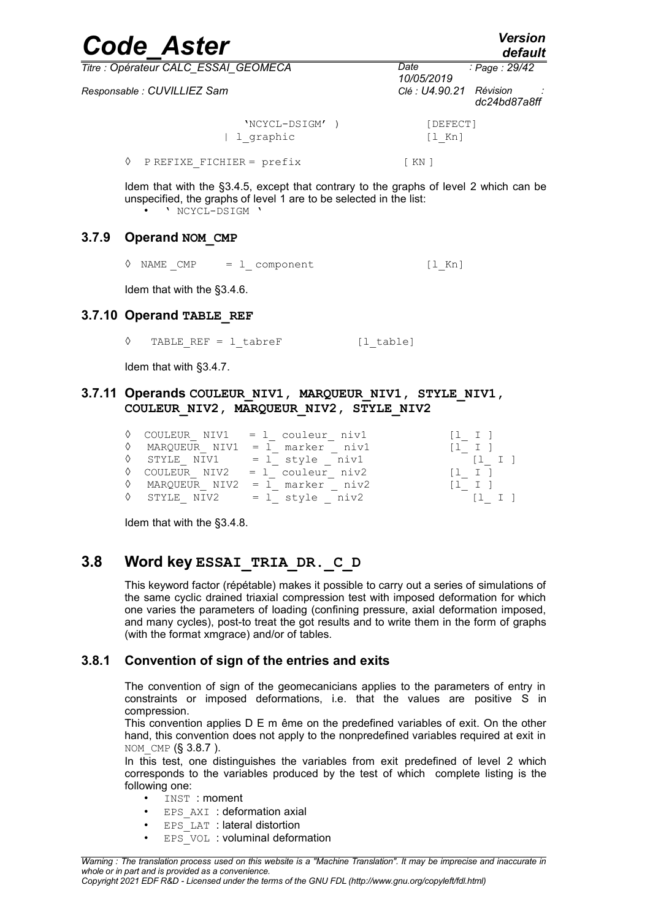| <b>Code Aster</b>                    |                      | <b>Version</b><br>default |
|--------------------------------------|----------------------|---------------------------|
| Titre : Opérateur CALC ESSAI GEOMECA | Date<br>10/05/2019   | : Page : 29/42            |
| Responsable : CUVILLIEZ Sam          | Clé : U4.90.21       | Révision<br>dc24bd87a8ff  |
| 'NCYCL-DSIGM' )<br>1 graphic         | [DEFECT]<br>$[1$ Kn] |                           |
| PREFIXE FICHIER = prefix             | [ KN ]               |                           |

Idem that with the [§3.4.5,](#page-12-0) except that contrary to the graphs of level 2 which can be unspecified, the graphs of level 1 are to be selected in the list:<br> $\bullet \qquad \qquad \text{NCYCL-PSICM}$ • ' NCYCL-DSIGM '

#### **3.7.9 Operand NOM\_CMP**

<span id="page-28-0"></span> $\Diamond$  NAME CMP = l component [l Kn]

Idem that with the [§3.4.6.](#page-13-0)

#### **3.7.10 Operand TABLE\_REF**

TABLE REF =  $l$  tabreF  $[l$  table]

Idem that with [§3.4.7.](#page-13-2)

#### **3.7.11 Operands COULEUR\_NIV1, MARQUEUR\_NIV1, STYLE\_NIV1, COULEUR\_NIV2, MARQUEUR\_NIV2, STYLE\_NIV2**

|  | $\Diamond$ COULEUR NIV1 = 1 couleur niv1 | $\begin{bmatrix} 1 & 1 \end{bmatrix}$ |
|--|------------------------------------------|---------------------------------------|
|  | $\Diamond$ MARQUEUR NIV1 = 1 marker niv1 | $\begin{bmatrix} 1 & 1 \end{bmatrix}$ |
|  | $\Diamond$ STYLE NIV1 = 1 style niv1     | $\begin{bmatrix} 1 & 1 \end{bmatrix}$ |
|  | $\Diamond$ COULEUR NIV2 = 1 couleur niv2 | $[1 \quad I \quad ]$                  |
|  | $\Diamond$ MARQUEUR NIV2 = 1 marker niv2 | $\begin{bmatrix} 1 & 1 \end{bmatrix}$ |
|  | $\Diamond$ STYLE NIV2 = 1 style niv2     | $\begin{bmatrix} 1 & 1 \end{bmatrix}$ |

Idem that with the [§3.4.8.](#page-13-1)

### **3.8 Word key ESSAI\_TRIA\_DR.\_C\_D**

This keyword factor (répétable) makes it possible to carry out a series of simulations of the same cyclic drained triaxial compression test with imposed deformation for which one varies the parameters of loading (confining pressure, axial deformation imposed, and many cycles), post-to treat the got results and to write them in the form of graphs (with the format xmgrace) and/or of tables.

#### **3.8.1 Convention of sign of the entries and exits**

The convention of sign of the geomecanicians applies to the parameters of entry in constraints or imposed deformations, i.e. that the values are positive S in compression.

This convention applies D E m ême on the predefined variables of exit. On the other hand, this convention does not apply to the nonpredefined variables required at exit in NOM CMP (§ [3.8.7](#page-33-0) ).

In this test, one distinguishes the variables from exit predefined of level 2 which corresponds to the variables produced by the test of which complete listing is the following one:

- INST : moment
- EPS AXI : deformation axial
- EPS LAT : lateral distortion
- EPS VOL : voluminal deformation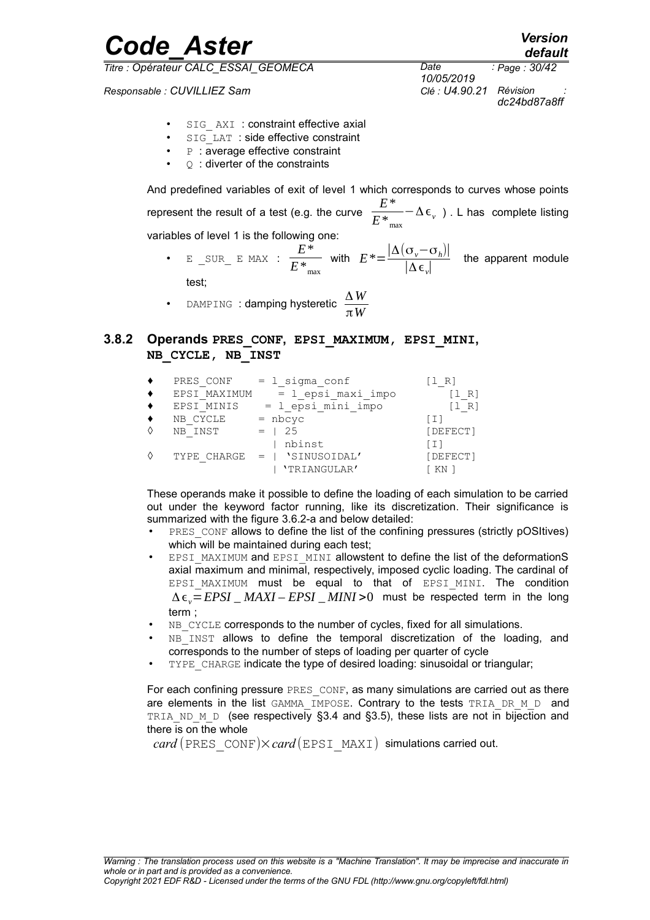*Responsable : CUVILLIEZ Sam Clé : U4.90.21 Révision :*

*10/05/2019 Page : 30/42 dc24bd87a8ff*

- SIG AXI : constraint effective axial
- SIG LAT : side effective constraint
- **P** : average effective constraint
- $\circ$  : diverter of the constraints

And predefined variables of exit of level 1 which corresponds to curves whose points represent the result of a test (e.g. the curve  $\frac{E^*}{E^*}$  $E^*$ <sub>max</sub> −Δϵ*<sup>v</sup>* ) . L has complete listing variables of level 1 is the following one:

• E \_SUR\_ E MAX : *E*\*  $\frac{E^*}{E^*}$  with  $E^* = \frac{|\Delta(\sigma_v - \sigma_h)|}{|\Delta \epsilon_v|}$  $\frac{\partial \varphi}{\partial \xi}$  the apparent module

test;

• DAMPING : **damping hysteretic**  $\frac{\Delta W}{\Delta M}$ π*W*

#### **3.8.2 Operands PRES\_CONF, EPSI\_MAXIMUM, EPSI\_MINI, NB\_CYCLE, NB\_INST**

<span id="page-29-0"></span>

| PRES CONF    | $= 1$ sigma conf             | II RI    |
|--------------|------------------------------|----------|
| EPSI MAXIMUM | $= 1$ epsi maxi impo         | $R^+$    |
| EPSI MINIS   | = 1 epsi mini impo           | [1 R]    |
| NB CYCLE     | $=$ nbcyc                    | ו ב ז    |
| NB INST      | -25                          | [DEFECT] |
|              | nbinst                       | [ I ]    |
|              | TYPE CHARGE =   'SINUSOIDAL' | [DEFECT] |
|              | 'TRIANGULAR'                 |          |
|              |                              |          |

These operands make it possible to define the loading of each simulation to be carried out under the keyword factor running, like its discretization. Their significance is summarized with the figure [3.6.2-a](#page-16-0) and below detailed:

- PRES CONF allows to define the list of the confining pressures (strictly pOSItives) which will be maintained during each test;
- EPSI MAXIMUM and EPSI MINI allowstent to define the list of the deformationS axial maximum and minimal, respectively, imposed cyclic loading. The cardinal of EPSI MAXIMUM must be equal to that of EPSI MINI. The condition Δϵ*v*=*EPSI* \_ *MAXI – EPSI* \_ *MINI* >0 must be respected term in the long term ;
- NB CYCLE corresponds to the number of cycles, fixed for all simulations.
- NB<sup>INST</sup> allows to define the temporal discretization of the loading, and corresponds to the number of steps of loading per quarter of cycle
- TYPE\_CHARGE indicate the type of desired loading: sinusoidal or triangular;

For each confining pressure PRES CONF, as many simulations are carried out as there are elements in the list GAMMA\_IMPOSE. Contrary to the tests TRIA\_DR\_M\_D and TRIA ND M D (see respectively [§3.4](#page-10-2) and [§3.5\)](#page-13-3), these lists are not in bijection and there is on the whole

 $card$  (PRES CONF) $\times card$  (EPSI\_MAXI) simulations carried out.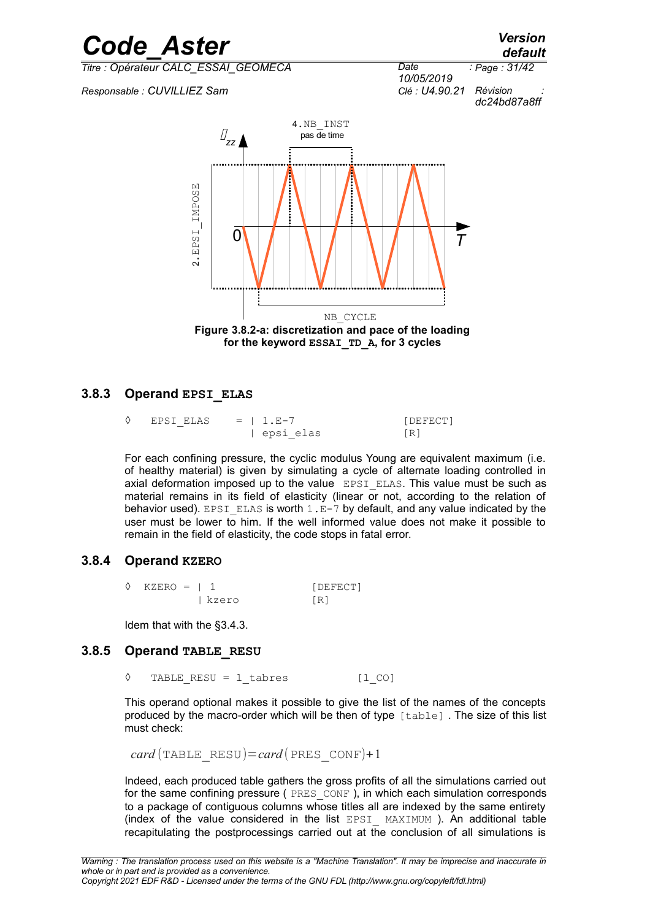*default*

*Titre : Opérateur CALC\_ESSAI\_GEOMECA Date :*

*Responsable : CUVILLIEZ Sam Clé : U4.90.21 Révision :*





#### **3.8.3 Operand EPSI\_ELAS**

| ◊ EPSI ELAS | $= 1. E - 7$ | [DEFECT]          |
|-------------|--------------|-------------------|
|             | epsi elas    | $\lceil R \rceil$ |

For each confining pressure, the cyclic modulus Young are equivalent maximum (i.e. of healthy material) is given by simulating a cycle of alternate loading controlled in axial deformation imposed up to the value EPSI ELAS. This value must be such as material remains in its field of elasticity (linear or not, according to the relation of behavior used). EPSI ELAS is worth  $1.E-7$  by default, and any value indicated by the user must be lower to him. If the well informed value does not make it possible to remain in the field of elasticity, the code stops in fatal error.

#### **3.8.4 Operand KZERO**

| $\Diamond$ KZERO = 1 1 |         | [DEFECT] |
|------------------------|---------|----------|
|                        | l kzero | TR1      |

Idem that with the [§3.4.3.](#page-11-2)

#### **3.8.5 Operand TABLE\_RESU**

◊ TABLE\_RESU = l\_tabres [l\_CO]

This operand optional makes it possible to give the list of the names of the concepts produced by the macro-order which will be then of type [table] . The size of this list must check:

```
card (TABLE_RESU)=card (PRES_CONF)+1
```
Indeed, each produced table gathers the gross profits of all the simulations carried out for the same confining pressure ( PRES CONF ), in which each simulation corresponds to a package of contiguous columns whose titles all are indexed by the same entirety (index of the value considered in the list EPSI\_ MAXIMUM ). An additional table recapitulating the postprocessings carried out at the conclusion of all simulations is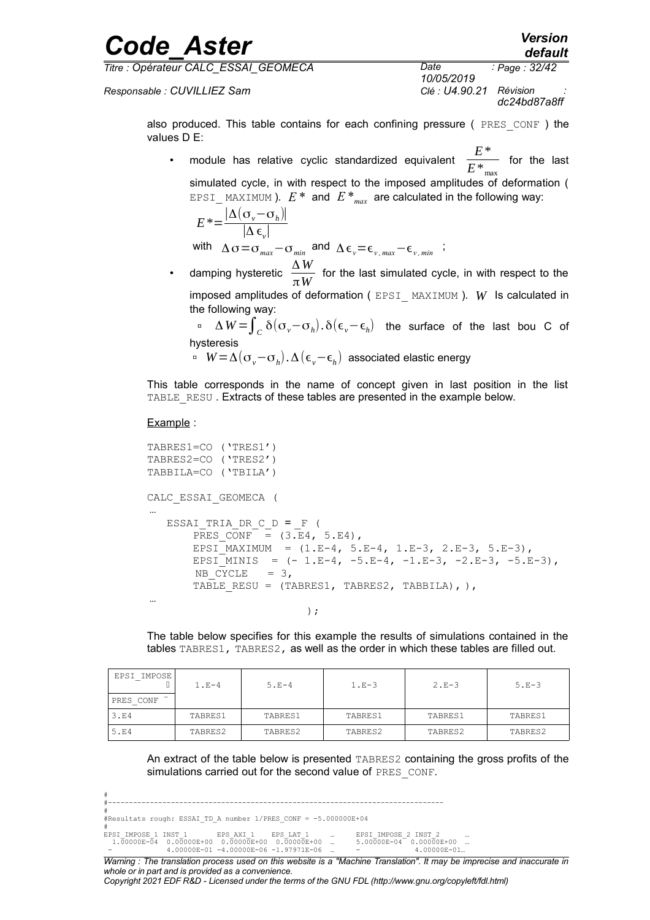# *Code\_Aster Version Titre : Opérateur CALC\_ESSAI\_GEOMECA Date :*

*default*

*Responsable : CUVILLIEZ Sam Clé : U4.90.21 Révision :*

*10/05/2019 Page : 32/42 dc24bd87a8ff*

also produced. This table contains for each confining pressure ( $PRES\ CONF$  ) the values D E:

• module has relative cyclic standardized equivalent *E*\*  $\overline{E^{*}}_{\textrm{\tiny max}}^{*}$  for the last

```
simulated cycle, in with respect to the imposed amplitudes of deformation (
EPSI MAXIMUM ). E^* and E^*_{max} are calculated in the following way:
```

$$
E^* = \frac{|\Delta(\sigma_v - \sigma_h)|}{|\Delta \epsilon_v|}
$$

with  $\Delta \sigma = \sigma_{max} - \sigma_{min}$  and  $\Delta \epsilon_{v} = \epsilon_{v,max} - \epsilon_{v,min}$ ;

• damping hysteretic  $\frac{\Delta W}{\Delta W}$  $\frac{m}{\pi W}$  for the last simulated cycle, in with respect to the imposed amplitudes of deformation ( EPSI\_ MAXIMUM ). *W* Is calculated in the following way:

 <sup>Δ</sup> *<sup>W</sup>* <sup>=</sup>∫*<sup>C</sup>* δ(σ*v*−σ*<sup>h</sup>* ). δ(ϵ*v*−ϵ*<sup>h</sup>* ) the surface of the last bou C of hysteresis

*W*=Δ(σ*v*−σ*<sup>h</sup>* ).Δ(ϵ*v*−ϵ*<sup>h</sup>* ) associated elastic energy

This table corresponds in the name of concept given in last position in the list TABLE\_RESU. Extracts of these tables are presented in the example below.

#### Example :

```
TABRES1=CO ('TRES1')
TABRES2=CO ('TRES2')
TABBILA=CO ('TBILA')
CALC_ESSAI_GEOMECA (
…
  ESSAI TRIA DR C D = F (
      PRES CONF = (3.E4, 5.E4),
      EPSI<sup>M</sup>AXIMUM = (1.E-4, 5.E-4, 1.E-3, 2.E-3, 5.E-3),
      EPSI_MINIS = (- 1.E-4, -5.E-4, -1.E-3, -2.E-3, -5.E-3),NB CYCLE = 3,
      TABLE RESU = (TABLES1, TABLES2, TABLEL), ),
…
) ;
```
The table below specifies for this example the results of simulations contained in the tables TABRES1, TABRES2, as well as the order in which these tables are filled out.

| EPSI IMPOSE | $1. F - 4$ | $5.E-4$ | $1.E-3$ | $2.E-3$ | $5.E-3$ |
|-------------|------------|---------|---------|---------|---------|
| PRES CONF   |            |         |         |         |         |
| 3.E4        | TABRES1    | TABRES1 | TABRES1 | TABRES1 | TABRES1 |
| 5.E4        | TABRES2    | TABRES2 | TABRES2 | TABRES2 | TABRES2 |

An extract of the table below is presented TABRES2 containing the gross profits of the simulations carried out for the second value of PRES\_CONF.

|                                                                            |  | ______________________________             |  |              |                                                                                                                    |
|----------------------------------------------------------------------------|--|--------------------------------------------|--|--------------|--------------------------------------------------------------------------------------------------------------------|
|                                                                            |  |                                            |  |              |                                                                                                                    |
| #Resultats rough: ESSAI TD A number 1/PRES CONF = -5.000000E+04            |  |                                            |  |              |                                                                                                                    |
| EPSI IMPOSE 1 INST 1 UPS AXI 1 UPS LAT 1 U  UPSI IMPOSE 2 INST 2           |  |                                            |  |              |                                                                                                                    |
| $1.00000E-04$ 0.00000E+00 0.00000E+00 0.00000E+00  5.00000E-04 0.00000E+00 |  |                                            |  |              |                                                                                                                    |
|                                                                            |  | $4.00000E-01$ -4.00000E-06 -1.97971E-06  - |  | 4.00000E-01. |                                                                                                                    |
|                                                                            |  |                                            |  |              | Illorojna : The translation process used en this urabeite is a "Mechine Translation" It mou he impresion and inces |

*Warning : The translation process used on this website is a "Machine Translation". It may be imprecise and inaccurate in whole or in part and is provided as a convenience.*

*Copyright 2021 EDF R&D - Licensed under the terms of the GNU FDL (http://www.gnu.org/copyleft/fdl.html)*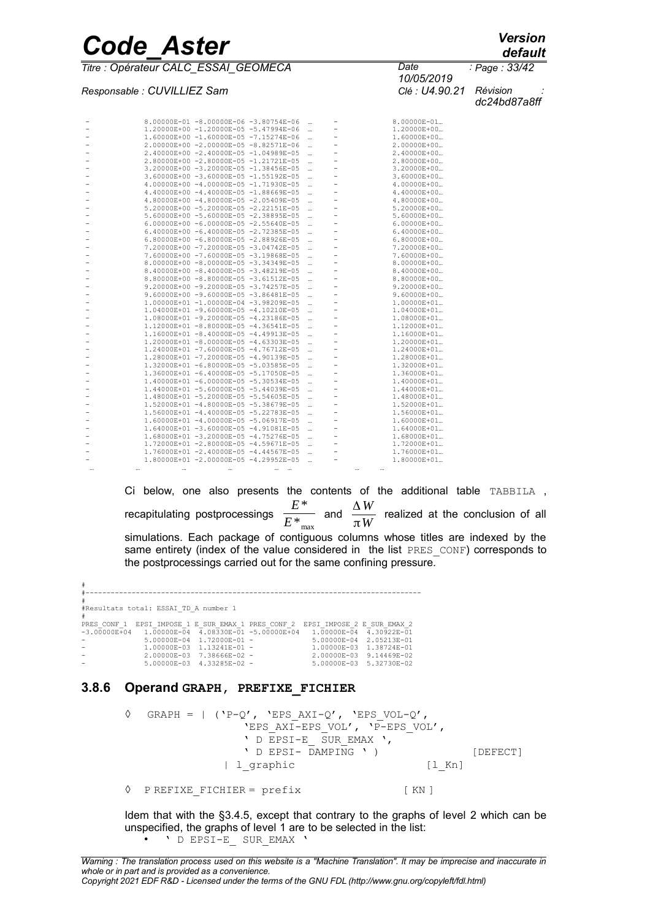*Titre : Opérateur CALC\_ESSAI\_GEOMECA Date :*

*Responsable : CUVILLIEZ Sam Clé : U4.90.21 Révision :*

*10/05/2019 Page : 33/42 dc24bd87a8ff*

|   |      | 8.00000E-01 -8.00000E-06 -3.80754E-06     |              | $\cdots$  |                |      | 8.00000E-01     |
|---|------|-------------------------------------------|--------------|-----------|----------------|------|-----------------|
|   |      | 1.20000E+00 -1.20000E-05 -5.47994E-06     |              | $\ddotsc$ | $\overline{a}$ |      | 1.20000E+00     |
|   |      | 1.60000E+00 -1.60000E-05 -7.15274E-06     |              | $\cdots$  |                |      | 1.60000E+00     |
|   |      | 2.00000E+00 -2.00000E-05 -8.82571E-06     |              | $\ddotsc$ |                |      | 2.00000E+00     |
|   |      | 2.40000E+00 -2.40000E-05 -1.04989E-05     |              | $\ddotsc$ |                |      | 2.40000E+00     |
|   |      | 2.80000E+00 -2.80000E-05 -1.21721E-05     |              | $\ddotsc$ |                |      | 2.80000E+00     |
|   |      | 3.20000E+00 -3.20000E-05 -1.38456E-05     |              | $\ddotsc$ | ۰              |      | 3.20000E+00     |
|   |      | 3.60000E+00 -3.60000E-05 -1.55192E-05     |              | $\ddotsc$ |                |      | 3.60000E+00     |
|   |      | 4.00000E+00 -4.00000E-05 -1.71930E-05     |              | $\ddotsc$ |                |      | 4.00000E+00     |
|   |      | 4.40000E+00 -4.40000E-05 -1.88669E-05     |              | $\ddotsc$ |                |      | 4.40000E+00     |
|   |      | 4.80000E+00 -4.80000E-05 -2.05409E-05     |              | $\ddotsc$ |                |      | 4.80000E+00     |
|   |      | 5.20000E+00 -5.20000E-05 -2.22151E-05     |              | $\cdots$  |                |      | 5.20000E+00     |
|   |      | 5.60000E+00 -5.60000E-05 -2.38895E-05     |              | $\ddotsc$ |                |      | 5.60000E+00     |
|   |      | $6.00000E+00 - 6.00000E-05 - 2.55640E-05$ |              | $\ddotsc$ |                |      | 6.00000E+00     |
|   |      | 6.40000E+00 -6.40000E-05 -2.72385E-05     |              | $\ddotsc$ |                |      | 6.40000E+00     |
|   |      | 6.80000E+00 -6.80000E-05 -2.88926E-05     |              |           |                |      | 6.80000E+00     |
|   |      | 7.20000E+00 -7.20000E-05 -3.04742E-05     |              | $\ddotsc$ |                |      | 7.20000E+00     |
|   |      |                                           |              | $\cdots$  |                |      |                 |
|   |      | 7.60000E+00 -7.60000E-05 -3.19868E-05     |              | $\ddotsc$ |                |      | 7.60000E+00     |
|   |      | 8.00000E+00 -8.00000E-05 -3.34349E-05     |              | $\cdots$  |                |      | 8.00000E+00     |
|   |      | 8.40000E+00 -8.40000E-05 -3.48219E-05     |              | $\ddotsc$ |                |      | 8.40000E+00     |
|   |      | 8.80000E+00 -8.80000E-05 -3.61512E-05     |              | $\ddotsc$ |                |      | 8.80000E+00     |
|   |      | 9.20000E+00 -9.20000E-05 -3.74257E-05     |              | $\ddotsc$ |                |      | 9.20000E+00     |
|   |      | $9.60000E+00 - 9.60000E-05 - 3.86481E-05$ |              | $\ddotsc$ |                |      | 9.60000E+00     |
|   |      | 1.00000E+01 -1.00000E-04 -3.98209E-05     |              | $\ddotsc$ |                |      | 1.00000E+01     |
|   |      | 1.04000E+01 -9.60000E-05 -4.10210E-05     |              |           |                |      | 1.04000E+01     |
|   |      | 1.08000E+01 -9.20000E-05 -4.23186E-05     |              | $\ddotsc$ |                |      | 1.08000E+01     |
|   |      | 1.12000E+01 -8.80000E-05 -4.36541E-05     |              | $\ddotsc$ |                |      | 1.12000E+01     |
|   |      | 1.16000E+01 -8.40000E-05 -4.49913E-05     |              | $\ddotsc$ |                |      | 1.16000E+01     |
|   |      | 1.20000E+01 -8.00000E-05 -4.63303E-05     |              | $\ddotsc$ |                |      | 1.20000E+01     |
|   |      | 1.24000E+01 -7.60000E-05 -4.76712E-05     |              |           |                |      | 1.24000E+01     |
|   |      | 1.28000E+01 -7.20000E-05 -4.90139E-05     |              | $\ddotsc$ |                |      | 1.28000E+01     |
|   |      | 1.32000E+01 -6.80000E-05 -5.03585E-05     |              | $\ddotsc$ |                |      | 1.32000E+01     |
|   |      | 1.36000E+01 -6.40000E-05 -5.17050E-05     |              | $\ddotsc$ |                |      | 1.36000E+01     |
|   |      | 1.40000E+01 -6.00000E-05 -5.30534E-05     |              | $\ddotsc$ |                |      | 1.40000E+01     |
| - |      | 1.44000E+01 -5.60000E-05 -5.44039E-05     |              | $\ddotsc$ | $\overline{a}$ |      | 1.44000E+01     |
|   |      | 1.48000E+01 -5.20000E-05 -5.54605E-05     |              | $\ddotsc$ |                |      | 1.48000E+01     |
|   |      | 1.52000E+01 -4.80000E-05 -5.38679E-05     |              | $\ddotsc$ |                |      | 1.52000E+01     |
|   |      | 1.56000E+01 -4.40000E-05 -5.22783E-05     |              | $\ddotsc$ |                |      | 1.56000E+01     |
|   |      | 1.60000E+01 -4.00000E-05 -5.06917E-05     |              | $\ddotsc$ |                |      | 1.60000E+01     |
| - |      | 1.64000E+01 -3.60000E-05 -4.91081E-05     |              | $\cdots$  | ۰              |      | $1.64000E + 01$ |
|   |      | 1.68000E+01 -3.20000E-05 -4.75276E-05     |              | $\cdots$  |                |      | 1.68000E+01     |
|   |      | 1.72000E+01 -2.80000E-05 -4.59671E-05     |              | $\ddotsc$ |                |      | 1.72000E+01     |
|   |      | 1.76000E+01 -2.40000E-05 -4.44567E-05     |              |           |                |      | 1.76000E+01     |
| ۰ |      | 1.80000E+01 -2.00000E-05 -4.29952E-05     |              |           |                |      | 1.80000E+01     |
|   | <br> |                                           | $\cdots$<br> |           |                | <br> |                 |
|   |      |                                           |              |           |                |      |                 |

Ci below, one also presents the contents of the additional table TABBILA , recapitulating postprocessings *E*\*  $\frac{E^*}{E^*_{\textrm{max}}}$  and  $\frac{\Delta W}{\pi W}$  $\frac{100}{\pi W}$  realized at the conclusion of all simulations. Each package of contiguous columns whose titles are indexed by the same entirety (index of the value considered in the list PRES CONF) corresponds to the postprocessings carried out for the same confining pressure.

# #-------------------------------------------------------------------------------- # #Resultats total: ESSAI\_TD\_A number 1 #<br>PRES\_CONF\_1 EPSI\_IMPOSE\_1 E\_SUR\_EMAX\_1 PRES\_CONF\_2 EPSI\_IMPOSE\_2 E\_SUR\_EMAX\_2<br>-3.00000E+04 1.00000E-04 4.08330E-01 -5.00000E+04 1.00000E-04 4.30922E-01<br>- 1.00000E-03 1.13241E-01 - 1.00000E-03 1.38724E-01<br>- 1.00000E-03 1 1.00000E-03 1.13241E-01 -<br>2.00000E-03 7.38666E-02 -<br>5.00000E-03 4.33285E-02 -1.00000E-03 1.38724E-01<br>2.00000E-03 9.14469E-02<br>5.00000E-03 5.32730E-02

#### **3.8.6 Operand GRAPH, PREFIXE\_FICHIER**

 $\Diamond$  GRAPH = | ('P-O', 'EPS AXI-O', 'EPS VOL-O', 'EPS\_AXI-EPS\_VOL', 'P-EPS\_VOL', ' D EPSI-E SUR EMAX ', ' D EPSI- DAMPING ' ) [DEFECT] | l\_qraphic [l\_Kn] ◊ P REFIXE\_FICHIER = prefix [ KN ]

Idem that with the [§3.4.5,](#page-12-0) except that contrary to the graphs of level 2 which can be unspecified, the graphs of level 1 are to be selected in the list: • ' D EPSI-E\_ SUR\_EMAX '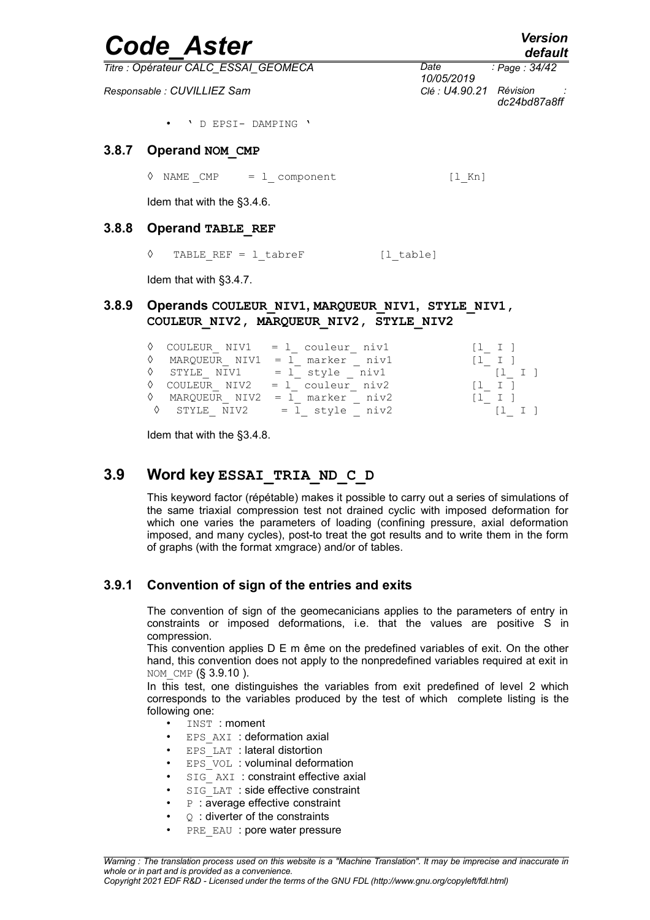<span id="page-33-0"></span>

|       | <b>Code Aster</b>                    |                    | <b>Version</b><br>default |
|-------|--------------------------------------|--------------------|---------------------------|
|       | Titre : Opérateur CALC_ESSAI_GEOMECA | Date<br>10/05/2019 | : Page : 34/42            |
|       | Responsable: CUVILLIEZ Sam           | Clé : U4.90.21     | Révision<br>dc24bd87a8ff  |
|       | ' D EPSI- DAMPING '                  |                    |                           |
| 3.8.7 | Operand NOM CMP                      |                    |                           |
|       | NAME $CMP = 1$ component<br>♦        | [1 Kn]             |                           |
|       | Idem that with the §3.4.6.           |                    |                           |
| 3.8.8 | <b>Operand TABLE REF</b>             |                    |                           |
|       | ♦<br>TABLE REF = $1$ tabreF          | [l table]          |                           |

Idem that with [§3.4.7.](#page-13-2)

#### **3.8.9 Operands COULEUR\_NIV1, MARQUEUR\_NIV1, STYLE\_NIV1, COULEUR\_NIV2, MARQUEUR\_NIV2, STYLE\_NIV2**

|  | $\Diamond$ COULEUR NIV1 = 1 couleur niv1 | $\begin{bmatrix} 1 & 1 \end{bmatrix}$ |
|--|------------------------------------------|---------------------------------------|
|  | $\Diamond$ MARQUEUR NIV1 = 1 marker niv1 | 1 I                                   |
|  | $\Diamond$ STYLE NIV1 = 1 style niv1     | $[1 \quad I]$                         |
|  | $\Diamond$ COULEUR NIV2 = 1 couleur niv2 | $[1 \quad I \quad ]$                  |
|  | $\Diamond$ MARQUEUR NIV2 = 1 marker niv2 | $\begin{bmatrix} 1 & 1 \end{bmatrix}$ |
|  | $\sqrt{2}$ STYLE NIV2 = 1 style niv2     |                                       |

Idem that with the [§3.4.8.](#page-13-1)

### **3.9 Word key ESSAI\_TRIA\_ND\_C\_D**

This keyword factor (répétable) makes it possible to carry out a series of simulations of the same triaxial compression test not drained cyclic with imposed deformation for which one varies the parameters of loading (confining pressure, axial deformation imposed, and many cycles), post-to treat the got results and to write them in the form of graphs (with the format xmgrace) and/or of tables.

### **3.9.1 Convention of sign of the entries and exits**

The convention of sign of the geomecanicians applies to the parameters of entry in constraints or imposed deformations, i.e. that the values are positive S in compression.

This convention applies D E m ême on the predefined variables of exit. On the other hand, this convention does not apply to the nonpredefined variables required at exit in NOM CMP (§ 3.9.10).

In this test, one distinguishes the variables from exit predefined of level 2 which corresponds to the variables produced by the test of which complete listing is the following one:

- INST : moment
- EPS AXI : deformation axial
- $\cdot$  EPS LAT : lateral distortion
- $\cdot$  EPS VOL : voluminal deformation
- SIG AXI : constraint effective axial
- SIG LAT : side effective constraint
- $P$  : average effective constraint
- $\circ$  : diverter of the constraints
- PRE EAU : pore water pressure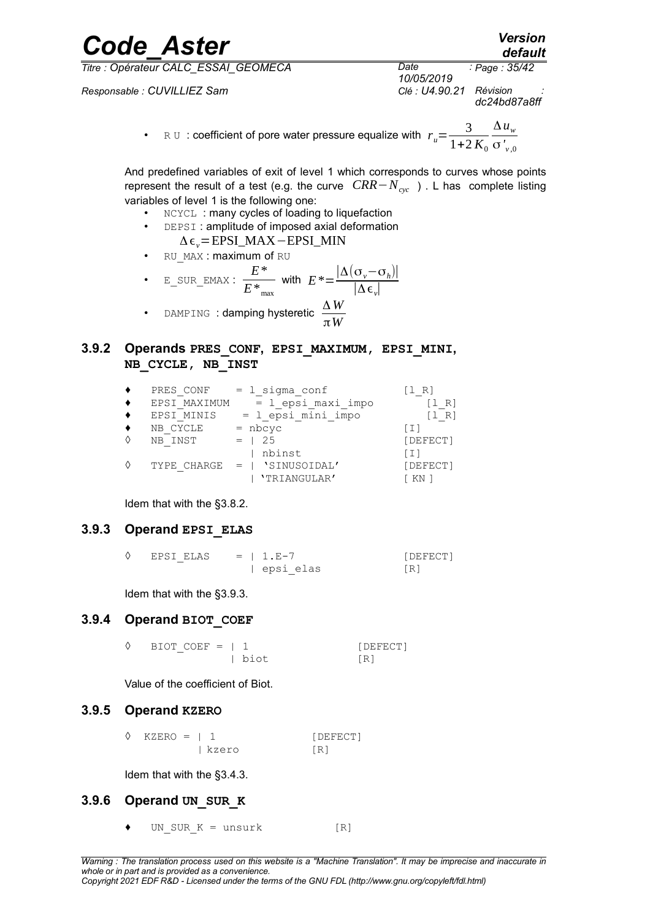*Responsable : CUVILLIEZ Sam Clé : U4.90.21 Révision :*

*Code\_Aster Version default 10/05/2019 Page : 35/42 dc24bd87a8ff*

> • RU : coefficient of pore water pressure equalize with  $r_u = \frac{3}{1+2}$  $1+2 K_0$ Δ*u<sup>w</sup>* σ*' v* ,0

And predefined variables of exit of level 1 which corresponds to curves whose points represent the result of a test (e.g. the curve *CRR*−*Ncyc* ) . L has complete listing variables of level 1 is the following one:

- NCYCL: many cycles of loading to liquefaction
	- DEPSI: amplitude of imposed axial deformation Δϵ*v*=EPSI\_MAX−EPSI\_MIN
- RU MAX : maximum of RU

$$
\bullet \quad \text{E\_ SUR\_EMAX}: \quad \frac{E^*}{E^*_{\text{max}}} \text{ with } \quad E^* = \frac{|\Delta(\sigma_v - \sigma_h)|}{|\Delta \epsilon_v|}
$$

• DAMPING : **damping hysteretic**  $\frac{\Delta W}{\Delta M}$ π*W*

#### **3.9.2 Operands PRES\_CONF, EPSI\_MAXIMUM, EPSI\_MINI, NB\_CYCLE, NB\_INST**

| PRES CONF    | $= 1$ sigma conf   |                         |
|--------------|--------------------|-------------------------|
| EPSI MAXIMUM | = 1 epsi maxi impo | R)                      |
| EPSI MINIS   | = 1 epsi mini impo | R I                     |
| NB CYCLE     | $=$ nbcyc          | $\perp$ $\perp$ $\perp$ |
| NB INST      | 25                 | [DEFECT]                |
|              | nbinst             | ו בו                    |
| TYPE CHARGE  | 'SINUSOIDAL'       | [DEFECT]                |
|              | 'TRIANGULAR'       | KN                      |

<span id="page-34-0"></span>Idem that with the [§3.8.2.](#page-29-0)

#### **3.9.3 Operand EPSI\_ELAS**

| EPSI ELAS | $= 1. E - 7$ | [DEFECT] |
|-----------|--------------|----------|
|           | epsi elas    |          |

Idem that with the [§3.9.3.](#page-34-0)

#### **3.9.4 Operand BIOT\_COEF**

| $\Diamond$ BIOT COEF =   1 |        | [DEFECT]   |
|----------------------------|--------|------------|
|                            | l biot | $\sqrt{R}$ |

Value of the coefficient of Biot.

#### **3.9.5 Operand KZERO**

◊ KZERO = | 1 [DEFECT] | kzero [R]

Idem that with the [§3.4.3.](#page-11-2)

#### **3.9.6 Operand UN\_SUR\_K**

UN SUR  $K =$  unsurk  $[R]$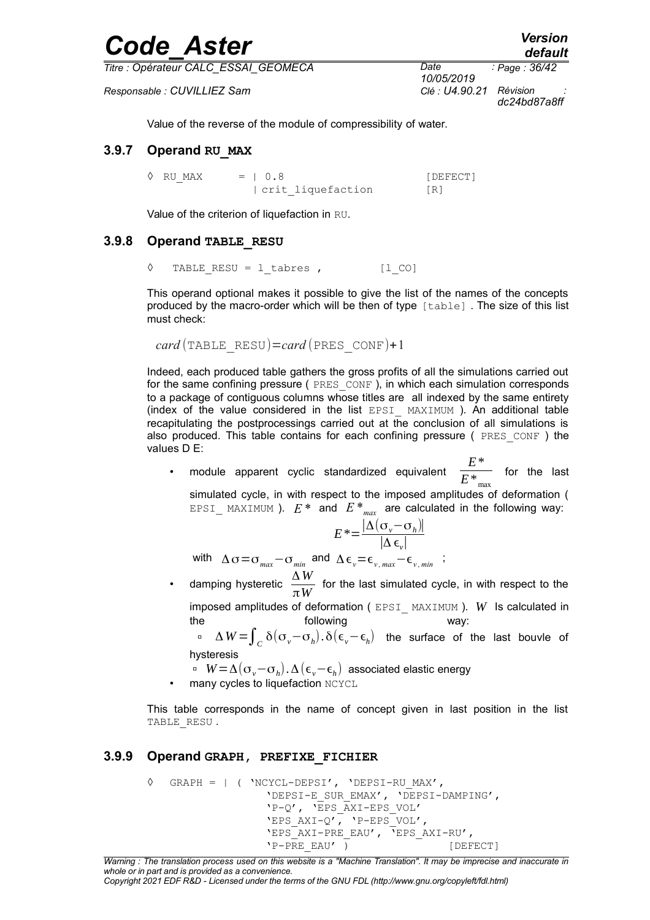| <b>Code Aster</b> | <b>Version</b> |
|-------------------|----------------|
|                   | default        |

*Responsable : CUVILLIEZ Sam Clé : U4.90.21 Révision :*

*10/05/2019 Page : 36/42 dc24bd87a8ff*

Value of the reverse of the module of compressibility of water.

#### **3.9.7 Operand RU\_MAX**

 $\Diamond$  RU MAX = | 0.8 [DEFECT] | crit\_liquefaction [R]

Value of the criterion of liquefaction in RU.

#### **3.9.8 Operand TABLE\_RESU**

◊ TABLE\_RESU = l\_tabres , [l\_CO]

This operand optional makes it possible to give the list of the names of the concepts produced by the macro-order which will be then of type  $\lceil \text{table} \rceil$ . The size of this list must check:

```
card (TABLE_RESU)=card (PRES_CONF)+1
```
Indeed, each produced table gathers the gross profits of all the simulations carried out for the same confining pressure ( PRES CONF ), in which each simulation corresponds to a package of contiguous columns whose titles are all indexed by the same entirety (index of the value considered in the list EPSI\_ MAXIMUM ). An additional table recapitulating the postprocessings carried out at the conclusion of all simulations is also produced. This table contains for each confining pressure ( $PRES\ CONF$  ) the values D E:

• module apparent cyclic standardized equivalent *E*\*  $E^*$ <sub>max</sub> for the last simulated cycle, in with respect to the imposed amplitudes of deformation ( EPSI MAXIMUM ).  $E^*$  and  $E^*_{max}$  are calculated in the following way:

$$
E^* = \frac{|\Delta(\sigma_v - \sigma_h)|}{|\Delta \epsilon_v|}
$$

with  $\Delta \sigma = \sigma_{max} - \sigma_{min}$  and  $\Delta \epsilon_{v} = \epsilon_{v,max} - \epsilon_{v,min}$ ;

• damping hysteretic Δ *W*  $\frac{m}{\pi W}$  for the last simulated cycle, in with respect to the imposed amplitudes of deformation ( EPSI\_ MAXIMUM ). *W* Is calculated in

the following way: <sup>Δ</sup> *<sup>W</sup>* <sup>=</sup>∫*<sup>C</sup>* δ(σ*v*−σ*<sup>h</sup>* ). δ(ϵ*v*−ϵ*<sup>h</sup>* ) the surface of the last bouvle of hysteresis

*W*=Δ(σ*v*−σ*<sup>h</sup>* ).Δ(ϵ*v*−ϵ*<sup>h</sup>* ) associated elastic energy

many cycles to liquefaction NCYCL

This table corresponds in the name of concept given in last position in the list TABLE RESU.

#### **3.9.9 Operand GRAPH, PREFIXE\_FICHIER**

```
◊ GRAPH = | ( 'NCYCL-DEPSI', 'DEPSI-RU_MAX',
                  'DEPSI-E_SUR_EMAX', 'DEPSI-DAMPING',
                  'P-Q', 'EPS_AXI-EPS_VOL'
                 'EPS AXI-Q', 'P-EPS VOL',
                  'EPS_AXI-PRE_EAU', 'EPS_AXI-RU',
                 'P-PRE EAU' ) [DEFECT]
```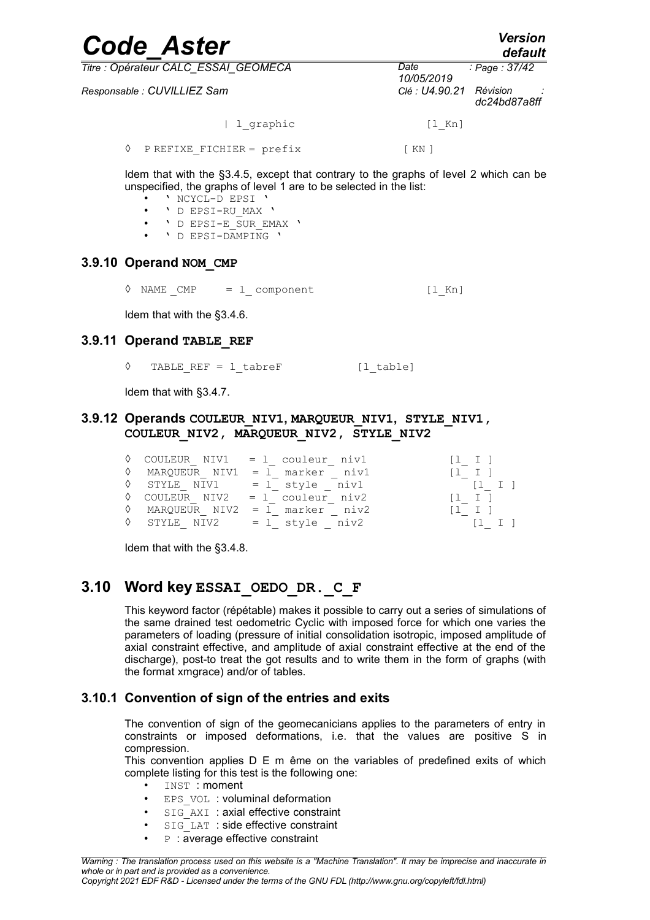| <b>Code Aster</b>                    | <b>Version</b><br>default                  |  |  |
|--------------------------------------|--------------------------------------------|--|--|
| Titre : Opérateur CALC ESSAI GEOMECA | Date<br>: Page : 37/42<br>10/05/2019       |  |  |
| Responsable : CUVILLIEZ Sam          | Révision<br>Clé : U4.90.21<br>dc24bd87a8ff |  |  |
| l graphic                            | $[1$ Kn]                                   |  |  |
| PREFIXE FICHIER = prefix<br>♦        | $\lceil$ KN $\rceil$                       |  |  |

Idem that with the [§3.4.5,](#page-12-0) except that contrary to the graphs of level 2 which can be unspecified, the graphs of level 1 are to be selected in the list:

- ' NCYCL-D EPSI '<br>• ' D FPST-PH MAY
- ' D EPSI-RU\_MAX '
- ' D EPSI-E\_SUR\_EMAX '
- ' D EPSI-DAMPING '

#### **3.9.10 Operand NOM\_CMP**

<span id="page-36-0"></span> $\Diamond$  NAME CMP = 1 component [lKn]

Idem that with the [§3.4.6.](#page-13-0)

#### **3.9.11 Operand TABLE\_REF**

◊ TABLE\_REF = l\_tabreF [l\_table]

Idem that with [§3.4.7.](#page-13-2)

#### **3.9.12 Operands COULEUR\_NIV1, MARQUEUR\_NIV1, STYLE\_NIV1, COULEUR\_NIV2, MARQUEUR\_NIV2, STYLE\_NIV2**

|  | $\Diamond$ COULEUR NIV1 = 1 couleur niv1 | [1 I]                                 |
|--|------------------------------------------|---------------------------------------|
|  | $\Diamond$ MARQUEUR NIV1 = 1 marker niv1 | $\begin{bmatrix} 1 & 1 \end{bmatrix}$ |
|  | $\Diamond$ STYLE NIV1 = 1 style niv1     | $\begin{bmatrix} 1 & 1 \end{bmatrix}$ |
|  | $\Diamond$ COULEUR NIV2 = 1 couleur niv2 | $[1 \quad I \quad ]$                  |
|  | $\Diamond$ MARQUEUR NIV2 = 1 marker niv2 | $\begin{bmatrix} 1 & 1 \end{bmatrix}$ |
|  | $\Diamond$ STYLE NIV2 = 1 style niv2     | $\begin{bmatrix} 1 & 1 \end{bmatrix}$ |

Idem that with the [§3.4.8.](#page-13-1)

### **3.10 Word key ESSAI\_OEDO\_DR.\_C\_F**

This keyword factor (répétable) makes it possible to carry out a series of simulations of the same drained test oedometric Cyclic with imposed force for which one varies the parameters of loading (pressure of initial consolidation isotropic, imposed amplitude of axial constraint effective, and amplitude of axial constraint effective at the end of the discharge), post-to treat the got results and to write them in the form of graphs (with the format xmgrace) and/or of tables.

#### **3.10.1 Convention of sign of the entries and exits**

<span id="page-36-1"></span>The convention of sign of the geomecanicians applies to the parameters of entry in constraints or imposed deformations, i.e. that the values are positive S in compression.

This convention applies D E m ême on the variables of predefined exits of which complete listing for this test is the following one:

- INST : moment
- EPS VOL : voluminal deformation
- SIG AXI : axial effective constraint
- SIG\_LAT : side effective constraint
- $P$  : average effective constraint

*Copyright 2021 EDF R&D - Licensed under the terms of the GNU FDL (http://www.gnu.org/copyleft/fdl.html)*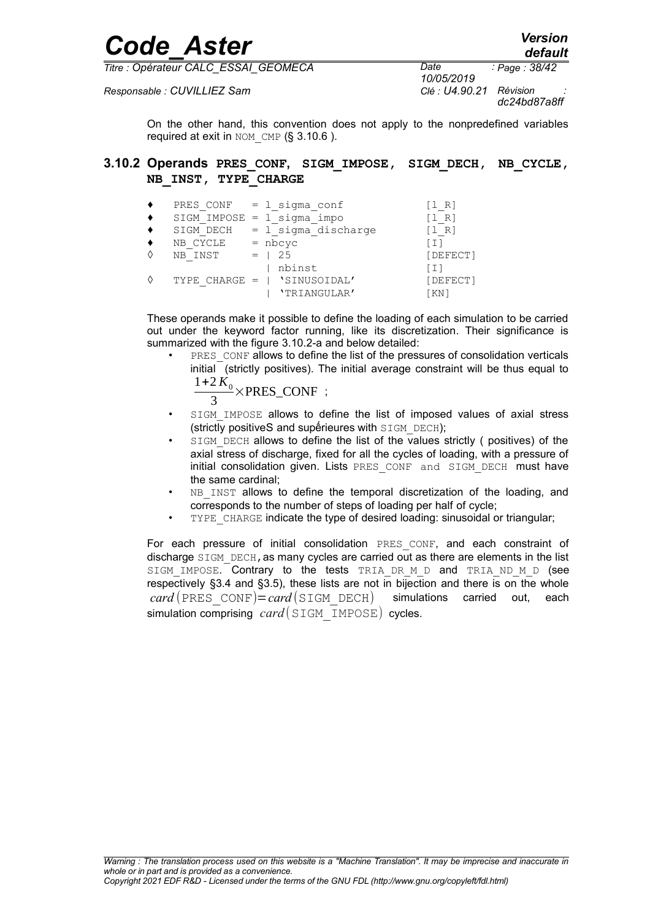| Version |
|---------|
| default |

*Responsable : CUVILLIEZ Sam Clé : U4.90.21 Révision :*

*Code\_Aster Version*

*10/05/2019 Page : 38/42 dc24bd87a8ff*

<span id="page-37-0"></span>On the other hand, this convention does not apply to the nonpredefined variables required at exit in NOM CMP ( $§$  3.10.6).

#### **3.10.2 Operands PRES\_CONF, SIGM\_IMPOSE, SIGM\_DECH, NB\_CYCLE, NB\_INST, TYPE\_CHARGE**

| PRES CONF       | = 1 sigma conf        | $R^2$                  |
|-----------------|-----------------------|------------------------|
| SIGM IMPOSE     | $= 1$ sigma impo      | R.                     |
| SIGM DECH       | $= 1$ sigma discharge | $\perp$ R <sub>1</sub> |
| NB CYCLE        | $=$ nbcyc             | $+1$                   |
| NB INST         | 25<br>$=$ $\Box$      | [DEFECT]               |
|                 | nbinst                | ו ב ז                  |
| TYPE CHARGE $=$ | 'SINUSOIDAL'          | [DEFECT]               |
|                 | 'TRIANGULAR'          | 'KN 1                  |

These operands make it possible to define the loading of each simulation to be carried out under the keyword factor running, like its discretization. Their significance is summarized with the figure [3.10.2-a](#page-38-0) and below detailed:

- PRES\_CONF allows to define the list of the pressures of consolidation verticals initial (strictly positives). The initial average constraint will be thus equal to  $1+2 K_0$ ×PRES\_CONF ;
	- 3
- SIGM\_IMPOSE allows to define the list of imposed values of axial stress (strictly positiveS and supérieures with SIGM DECH);
- SIGM DECH allows to define the list of the values strictly ( positives) of the axial stress of discharge, fixed for all the cycles of loading, with a pressure of initial consolidation given. Lists PRES CONF and SIGM DECH must have the same cardinal;
- NB\_INST allows to define the temporal discretization of the loading, and corresponds to the number of steps of loading per half of cycle;
- TYPE CHARGE indicate the type of desired loading: sinusoidal or triangular;

For each pressure of initial consolidation PRES CONF, and each constraint of discharge SIGM DECH, as many cycles are carried out as there are elements in the list SIGM IMPOSE. Contrary to the tests TRIA DR M D and TRIA ND M D (see respectively [§3.4](#page-10-2) and [§3.5\)](#page-13-3), these lists are not in bijection and there is on the whole  $card(PRES\ CONF)=card(SICM\ DECH)$  simulations carried out, each simulation comprising *card* (SIGM\_IMPOSE) cycles.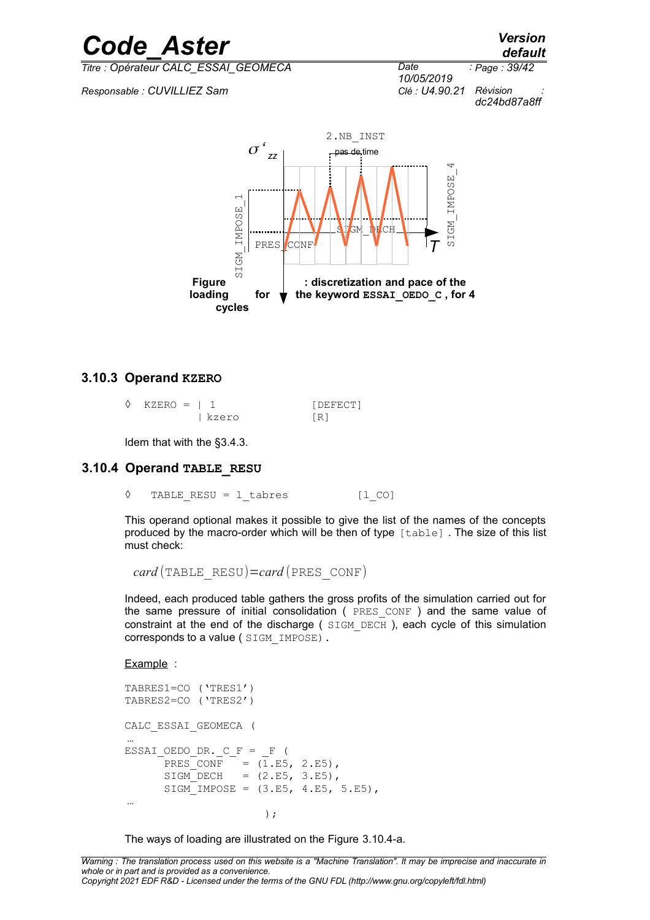*default*

*Titre : Opérateur CALC\_ESSAI\_GEOMECA Date :*

*Responsable : CUVILLIEZ Sam Clé : U4.90.21 Révision :*

*10/05/2019 Page : 39/42 dc24bd87a8ff*

<span id="page-38-0"></span>

#### **3.10.3 Operand KZERO**

| $\Diamond$ KZERO =   1 |       | [DEFECT] |
|------------------------|-------|----------|
|                        | kzero | [R]      |

<span id="page-38-1"></span>Idem that with the [§3.4.3.](#page-11-2)

#### **3.10.4 Operand TABLE\_RESU**

◊ TABLE\_RESU = l\_tabres [l\_CO]

This operand optional makes it possible to give the list of the names of the concepts produced by the macro-order which will be then of type [table] . The size of this list must check:

*card* (TABLE\_RESU)=*card* (PRES\_CONF)

Indeed, each produced table gathers the gross profits of the simulation carried out for the same pressure of initial consolidation ( PRES CONF ) and the same value of constraint at the end of the discharge ( SIGM\_DECH ), each cycle of this simulation corresponds to a value ( SIGM\_IMPOSE).

Example :

```
TABRES1=CO ('TRES1')
TABRES2=CO ('TRES2')
CALC_ESSAI_GEOMECA (
…
ESSAI OEDO DR. C F = F (
      PRES CONF = (1.E5, 2.E5),
     SIGM DECH = (2.E5, 3.E5),
     SIGM IMPOSE = (3.E5, 4.E5, 5.E5),
…
); \sum_{i=1}^{n}
```
The ways of loading are illustrated on the Figure [3.10.4-a.](#page-39-0)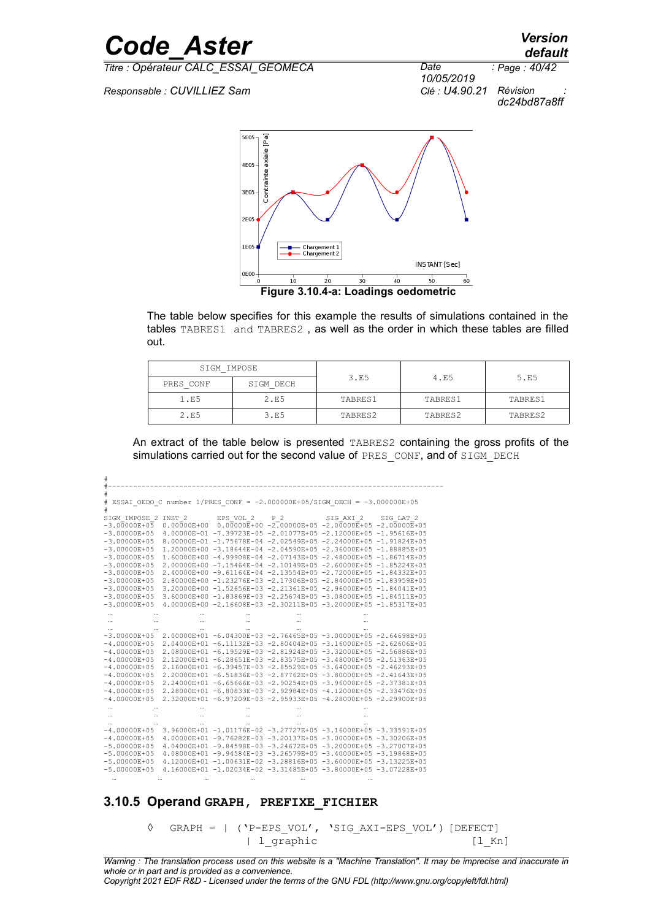*Responsable : CUVILLIEZ Sam Clé : U4.90.21 Révision :*

#



<span id="page-39-0"></span>**Figure 3.10.4-a: Loadings oedometric**

The table below specifies for this example the results of simulations contained in the tables TABRES1 and TABRES2 , as well as the order in which these tables are filled out.

| SIGM IMPOSE |           |         |         |         |  |
|-------------|-----------|---------|---------|---------|--|
| PRES CONF   | SIGM DECH | 3.E5    | 4.E5    | 5.E5    |  |
| 1.E5        | 2.E5      | TABRES1 | TABRES1 | TABRES1 |  |
| 2.E5        | 3.E5      | TABRES2 | TABRES2 | TABRES2 |  |

An extract of the table below is presented TABRES2 containing the gross profits of the simulations carried out for the second value of PRES\_CONF, and of SIGM\_DECH

|                   |                   | ESSAI OEDO C number 1/PRES CONF = $-2.000000E+05/STGM$ DECH = $-3.000000E+05$ |     |           |           |
|-------------------|-------------------|-------------------------------------------------------------------------------|-----|-----------|-----------|
| #                 |                   |                                                                               |     |           |           |
| SIGM IMPOSE 2     | INST <sub>2</sub> | EPS VOL 2                                                                     | P 2 | SIG AXI 2 | SIG LAT 2 |
| $-3.00000E + 0.5$ |                   | $0.00000E+00$ $0.00000E+00$ -2.00000E+05 -2.00000E+05 -2.00000E+05            |     |           |           |
| $-3.00000E + 05$  |                   | 4.00000E-01 -7.39723E-05 -2.01077E+05 -2.12000E+05 -1.95616E+05               |     |           |           |
| $-3.00000E + 0.5$ |                   | 8.00000E-01 -1.75678E-04 -2.02549E+05 -2.24000E+05 -1.91824E+05               |     |           |           |
| $-3.00000E + 05$  |                   | 1.20000E+00 -3.18644E-04 -2.04590E+05 -2.36000E+05 -1.88885E+05               |     |           |           |
| $-3.00000E + 05$  |                   | 1.60000E+00 -4.99908E-04 -2.07143E+05 -2.48000E+05 -1.86714E+05               |     |           |           |
| $-3.00000E+05$    |                   | 2.00000E+00 -7.15464E-04 -2.10149E+05 -2.60000E+05 -1.85224E+05               |     |           |           |
| $-3.00000E+05$    |                   | 2.40000E+00 -9.61164E-04 -2.13554E+05 -2.72000E+05 -1.84332E+05               |     |           |           |
| $-3.00000E + 0.5$ |                   | 2.80000E+00 -1.23276E-03 -2.17306E+05 -2.84000E+05 -1.83959E+05               |     |           |           |
| $-3.00000E + 0.5$ |                   | 3.20000E+00 -1.52656E-03 -2.21361E+05 -2.96000E+05 -1.84041E+05               |     |           |           |
| $-3.00000E + 05$  |                   | 3.60000E+00 -1.83869E-03 -2.25674E+05 -3.08000E+05 -1.84511E+05               |     |           |           |
| $-3.00000E + 0.5$ |                   | 4.00000E+00 -2.16608E-03 -2.30211E+05 -3.20000E+05 -1.85317E+05               |     |           |           |
|                   |                   |                                                                               |     |           |           |
|                   |                   |                                                                               |     |           |           |
|                   |                   |                                                                               |     |           |           |
| $-3.00000E+05$    |                   | 2.00000E+01 -6.04300E-03 -2.76465E+05 -3.00000E+05 -2.64698E+05               |     |           |           |
| $-4.00000E+05$    |                   | 2.04000E+01 -6.11132E-03 -2.80404E+05 -3.16000E+05 -2.62606E+05               |     |           |           |
| $-4.00000E+05$    |                   | 2.08000E+01 -6.19529E-03 -2.81924E+05 -3.32000E+05 -2.56886E+05               |     |           |           |
| $-4.00000E+05$    |                   | 2.12000E+01 -6.28651E-03 -2.83575E+05 -3.48000E+05 -2.51363E+05               |     |           |           |
| $-4.00000E+05$    |                   | 2.16000E+01 -6.39457E-03 -2.85529E+05 -3.64000E+05 -2.46293E+05               |     |           |           |
| $-4.00000E+05$    |                   | 2.20000E+01 -6.51836E-03 -2.87762E+05 -3.80000E+05 -2.41643E+05               |     |           |           |
| $-4.00000E+05$    |                   | 2.24000E+01 -6.65666E-03 -2.90254E+05 -3.96000E+05 -2.37381E+05               |     |           |           |
| $-4.00000E + 0.5$ |                   | 2.28000E+01 -6.80833E-03 -2.92984E+05 -4.12000E+05 -2.33476E+05               |     |           |           |
| $-4.00000E + 0.5$ |                   | 2.32000E+01 -6.97209E-03 -2.95933E+05 -4.28000E+05 -2.29900E+05               |     |           |           |
|                   |                   |                                                                               |     |           |           |
|                   |                   |                                                                               |     |           |           |
|                   |                   |                                                                               |     |           |           |
| $-4.00000E+05$    |                   | 3.96000E+01 -1.01176E-02 -3.27727E+05 -3.16000E+05 -3.33591E+05               |     |           |           |
| $-4.00000E + 0.5$ |                   | 4.00000E+01 -9.76282E-03 -3.20137E+05 -3.00000E+05 -3.30206E+05               |     |           |           |
| $-5.00000E + 0.5$ |                   | 4.04000E+01 -9.84598E-03 -3.24672E+05 -3.20000E+05 -3.27007E+05               |     |           |           |
| $-5.00000E+05$    |                   | 4.08000E+01 -9.94584E-03 -3.26579E+05 -3.40000E+05 -3.19868E+05               |     |           |           |
| $-5.00000E+05$    |                   | 4.12000E+01 -1.00631E-02 -3.28816E+05 -3.60000E+05 -3.13225E+05               |     |           |           |
| $-5.00000E + 05$  |                   | 4.16000E+01 -1.02034E-02 -3.31485E+05 -3.80000E+05 -3.07228E+05               |     |           |           |
|                   |                   |                                                                               |     |           |           |
|                   |                   |                                                                               |     |           |           |

#### **3.10.5 Operand GRAPH, PREFIXE\_FICHIER**

◊ GRAPH = | ('P-EPS\_VOL', 'SIG\_AXI-EPS\_VOL') [DEFECT] | l\_graphic [l\_Kn]

*Code\_Aster Version default*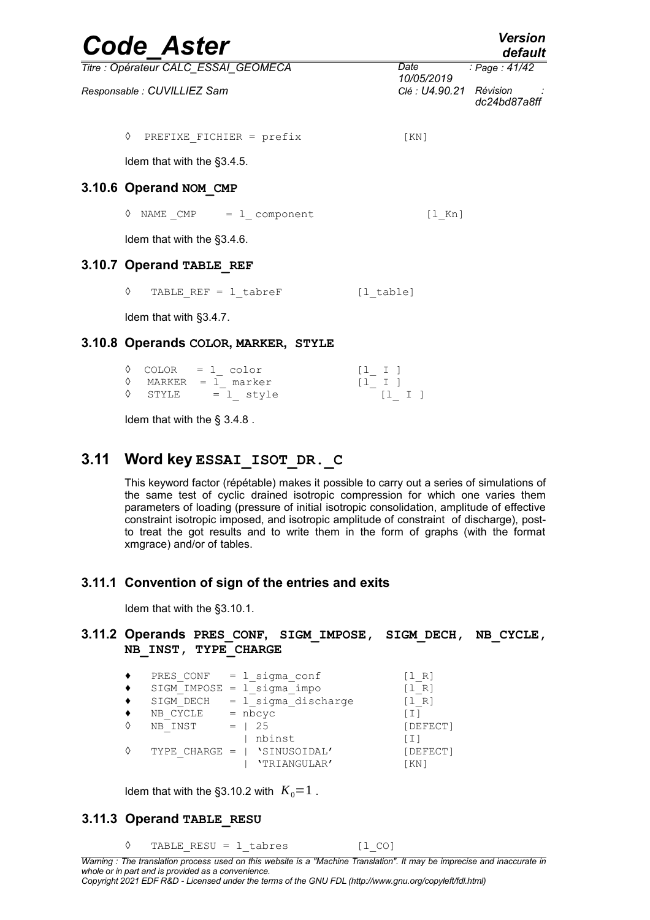<span id="page-40-0"></span>

| <b>Code Aster</b>                    |                         | <b>Version</b><br>default |
|--------------------------------------|-------------------------|---------------------------|
| Titre : Opérateur CALC ESSAI GEOMECA | Date<br>10/05/2019      | : Page: 41/42             |
| Responsable : CUVILLIEZ Sam          | Clé : U4.90.21 Révision | dc24bd87a8ff              |
| ♦<br>PREFIXE FICHIER = prefix        | KN                      |                           |
| Idem that with the §3.4.5.           |                         |                           |
| 3.10.6 Operand NOM CMP               |                         |                           |
| $\Diamond$ NAME CMP = 1 component    | $\lceil 1 \rceil$ Kn    |                           |
| Idem that with the §3.4.6.           |                         |                           |
| 3.10.7 Operand TABLE REF             |                         |                           |
| ♦<br>TABLE REF = $1$ tabreF          | $[1$ table]             |                           |
| Idem that with §3.4.7.               |                         |                           |
| 3.10.8 Operands COLOR, MARKER, STYLE |                         |                           |

|  | $\Diamond$ COLOR = 1 color   |               | $[1 \quad I]$ |  |
|--|------------------------------|---------------|---------------|--|
|  | $\Diamond$ MARKER = 1 marker | $[1 \quad I]$ |               |  |
|  | $\Diamond$ STYLE = 1 style   |               | $[1 \quad I]$ |  |

Idem that with the § [3.4.8](#page-13-1) .

### **3.11 Word key ESSAI\_ISOT\_DR.\_C**

This keyword factor (répétable) makes it possible to carry out a series of simulations of the same test of cyclic drained isotropic compression for which one varies them parameters of loading (pressure of initial isotropic consolidation, amplitude of effective constraint isotropic imposed, and isotropic amplitude of constraint of discharge), postto treat the got results and to write them in the form of graphs (with the format xmgrace) and/or of tables.

#### **3.11.1 Convention of sign of the entries and exits**

Idem that with the [§3.10.1.](#page-36-1)

#### **3.11.2 Operands PRES\_CONF, SIGM\_IMPOSE, SIGM\_DECH, NB\_CYCLE, NB\_INST, TYPE\_CHARGE**

|               | PRES CONF $= 1$ sigma conf     | $R^+$                     |
|---------------|--------------------------------|---------------------------|
|               | $SIGM$ IMPOSE = $l$ sigma impo | R.                        |
| SIGM DECH     | $= 1$ sigma discharge          | $^{\circ}$ R <sub>1</sub> |
| CYCLE<br>NB   | $=$ nbcyc                      | ſΙ.                       |
| NB INST       | 25                             | [DEFECT]                  |
|               | nbinst                         | $\top$ $\bot$             |
| TYPE CHARGE = | 'SINUSOIDAL'                   | [DEFECT]                  |
|               | 'TRIANGULAR'                   | KN]                       |

Idem that with the [§3.10.2](#page-37-0) with  $K_0=1$ .

#### **3.11.3 Operand TABLE\_RESU**

◊ TABLE\_RESU = l\_tabres [l\_CO]